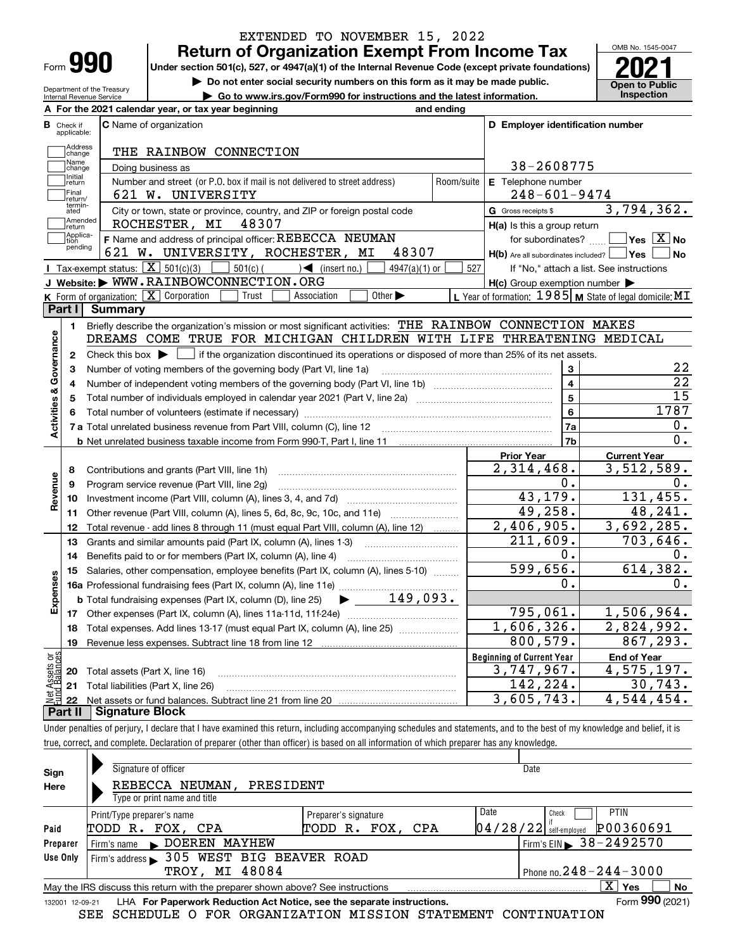| Form |  |
|------|--|

Department of the Treasury Internal Revenue Service

# **Return of Organization Exempt From Income Tax** EXTENDED TO NOVEMBER 15, 2022

Under section 501(c), 527, or 4947(a)(1) of the Internal Revenue Code (except private foundations) **2021** 

**| Do not enter social security numbers on this form as it may be made public.**

**| Go to www.irs.gov/Form990 for instructions and the latest information. Inspection**



|                         |                                                          | A For the 2021 calendar year, or tax year beginning                                                                                                 | and ending              |                                                                       |                                                                          |  |  |  |  |  |
|-------------------------|----------------------------------------------------------|-----------------------------------------------------------------------------------------------------------------------------------------------------|-------------------------|-----------------------------------------------------------------------|--------------------------------------------------------------------------|--|--|--|--|--|
| В                       | Check if<br>applicable:                                  | <b>C</b> Name of organization                                                                                                                       |                         | D Employer identification number                                      |                                                                          |  |  |  |  |  |
|                         | Address<br>change                                        | THE RAINBOW CONNECTION                                                                                                                              |                         |                                                                       |                                                                          |  |  |  |  |  |
|                         | -<br>]Name<br>]change<br>38-2608775<br>Doing business as |                                                                                                                                                     |                         |                                                                       |                                                                          |  |  |  |  |  |
|                         | Initial<br>return                                        | Number and street (or P.O. box if mail is not delivered to street address)                                                                          | Room/suite              | E Telephone number                                                    |                                                                          |  |  |  |  |  |
|                         | Final<br>Ireturn/                                        | 621 W. UNIVERSITY                                                                                                                                   |                         | $248 - 601 - 9474$                                                    |                                                                          |  |  |  |  |  |
|                         | termin-<br>ated                                          | City or town, state or province, country, and ZIP or foreign postal code                                                                            |                         | G Gross receipts \$                                                   | 3,794,362.                                                               |  |  |  |  |  |
|                         | Amended<br>return<br>Applica-                            | ROCHESTER, MI 48307                                                                                                                                 |                         | $H(a)$ is this a group return                                         |                                                                          |  |  |  |  |  |
|                         | tion<br>pending                                          | F Name and address of principal officer: REBECCA NEUMAN<br>621 W. UNIVERSITY, ROCHESTER, MI<br>48307                                                |                         | for subordinates?<br>$H(b)$ Are all subordinates included? $\Box$ Yes | $ {\mathsf Y}{\mathsf e}{\mathsf s} \mid {\mathrm X}\, $ No<br><b>No</b> |  |  |  |  |  |
|                         |                                                          | Tax-exempt status: $\boxed{\mathbf{X}}$ 501(c)(3)<br>$501(c)$ (<br>$\leq$ (insert no.)<br>$4947(a)(1)$ or                                           | 527                     |                                                                       | If "No," attach a list. See instructions                                 |  |  |  |  |  |
|                         |                                                          | J Website: WWW.RAINBOWCONNECTION.ORG                                                                                                                |                         | $H(c)$ Group exemption number $\blacktriangleright$                   |                                                                          |  |  |  |  |  |
|                         |                                                          | K Form of organization: X Corporation<br>Other $\blacktriangleright$<br>Trust<br>Association                                                        |                         |                                                                       | L Year of formation: 1985 M State of legal domicile: MI                  |  |  |  |  |  |
|                         | Part I                                                   | Summary                                                                                                                                             |                         |                                                                       |                                                                          |  |  |  |  |  |
|                         | 1.                                                       | Briefly describe the organization's mission or most significant activities: THE RAINBOW CONNECTION MAKES                                            |                         |                                                                       |                                                                          |  |  |  |  |  |
| Activities & Governance |                                                          | DREAMS COME TRUE FOR MICHIGAN CHILDREN WITH LIFE THREATENING MEDICAL                                                                                |                         |                                                                       |                                                                          |  |  |  |  |  |
|                         | 2                                                        | Check this box $\blacktriangleright$ $\blacksquare$ if the organization discontinued its operations or disposed of more than 25% of its net assets. |                         |                                                                       |                                                                          |  |  |  |  |  |
|                         | З                                                        | Number of voting members of the governing body (Part VI, line 1a)                                                                                   | 3                       | 22                                                                    |                                                                          |  |  |  |  |  |
|                         | 4                                                        |                                                                                                                                                     | $\overline{\mathbf{4}}$ | $\overline{22}$                                                       |                                                                          |  |  |  |  |  |
|                         | 5                                                        |                                                                                                                                                     |                         | $\overline{5}$                                                        | $\overline{15}$                                                          |  |  |  |  |  |
|                         | 6                                                        |                                                                                                                                                     |                         | 6                                                                     | 1787                                                                     |  |  |  |  |  |
|                         |                                                          | 7 a Total unrelated business revenue from Part VIII, column (C), line 12                                                                            |                         | <b>7a</b>                                                             | 0.                                                                       |  |  |  |  |  |
|                         |                                                          |                                                                                                                                                     |                         | 7b                                                                    | $\overline{0}$ .                                                         |  |  |  |  |  |
|                         |                                                          |                                                                                                                                                     |                         | <b>Prior Year</b>                                                     | <b>Current Year</b>                                                      |  |  |  |  |  |
|                         | 8                                                        | Contributions and grants (Part VIII, line 1h)                                                                                                       |                         | 2,314,468.                                                            | 3,512,589.                                                               |  |  |  |  |  |
|                         | 9                                                        | Program service revenue (Part VIII, line 2g)                                                                                                        |                         | 0.                                                                    | О.                                                                       |  |  |  |  |  |
| Revenue                 | 10                                                       |                                                                                                                                                     |                         | 43,179.                                                               | 131, 455.                                                                |  |  |  |  |  |
|                         | 11                                                       | Other revenue (Part VIII, column (A), lines 5, 6d, 8c, 9c, 10c, and 11e)                                                                            |                         | 49,258.                                                               | 48,241.                                                                  |  |  |  |  |  |
|                         | 12                                                       | Total revenue - add lines 8 through 11 (must equal Part VIII, column (A), line 12)                                                                  |                         | $\overline{2,406,905}$ .<br>$\overline{211}$ , 609.                   | 3,692,285.<br>703,646.                                                   |  |  |  |  |  |
|                         | 13                                                       | Grants and similar amounts paid (Part IX, column (A), lines 1-3)                                                                                    |                         | 0.                                                                    | 0.                                                                       |  |  |  |  |  |
|                         | 14                                                       | Benefits paid to or for members (Part IX, column (A), line 4)                                                                                       |                         | 599,656.                                                              | 614,382.                                                                 |  |  |  |  |  |
|                         | 15                                                       | Salaries, other compensation, employee benefits (Part IX, column (A), lines 5-10)                                                                   |                         | 0.                                                                    | 0.                                                                       |  |  |  |  |  |
| Expenses                |                                                          | $\blacktriangleright$ 149,093.<br><b>b</b> Total fundraising expenses (Part IX, column (D), line 25)                                                |                         |                                                                       |                                                                          |  |  |  |  |  |
|                         |                                                          |                                                                                                                                                     |                         | 795,061.                                                              | 1,506,964.                                                               |  |  |  |  |  |
|                         | 18                                                       | Total expenses. Add lines 13-17 (must equal Part IX, column (A), line 25)                                                                           |                         | 1,606,326.                                                            | 2,824,992.                                                               |  |  |  |  |  |
|                         | 19                                                       |                                                                                                                                                     |                         | 800,579.                                                              | 867,293.                                                                 |  |  |  |  |  |
| ăğ                      |                                                          |                                                                                                                                                     |                         | <b>Beginning of Current Year</b>                                      | <b>End of Year</b>                                                       |  |  |  |  |  |
| Assets<br>Ralanc        |                                                          | <b>20</b> Total assets (Part X, line 16)                                                                                                            |                         | 3,747,967.                                                            | 4,575,197.                                                               |  |  |  |  |  |
|                         |                                                          | 21 Total liabilities (Part X, line 26)                                                                                                              |                         | 142,224.                                                              | 30, 743.                                                                 |  |  |  |  |  |
|                         |                                                          |                                                                                                                                                     |                         | 3,605,743.                                                            | 4,544,454.                                                               |  |  |  |  |  |
|                         |                                                          | <u> Eigneture Plank</u>                                                                                                                             |                         |                                                                       |                                                                          |  |  |  |  |  |

Under penalties of perjury, I declare that I have examined this return, including accompanying schedules and statements, and to the best of my knowledge and belief, it is **Part II Signature Block**

true, correct, and complete. Declaration of preparer (other than officer) is based on all information of which preparer has any knowledge.

| Sign<br>Here | Signature of officer<br>REBECCA NEUMAN.<br>PRESIDENT<br>Type or print name and title                         |                                          | Date                                                                  |  |  |  |  |  |  |  |
|--------------|--------------------------------------------------------------------------------------------------------------|------------------------------------------|-----------------------------------------------------------------------|--|--|--|--|--|--|--|
| Paid         | Print/Type preparer's name<br>TODD R. FOX, CPA                                                               | Preparer's signature<br>TODD R. FOX, CPA | Date<br><b>PTIN</b><br>Check<br>P00360691<br>$04/28/22$ self-employed |  |  |  |  |  |  |  |
| Preparer     |                                                                                                              |                                          | Firm's EIN 38-2492570                                                 |  |  |  |  |  |  |  |
| Use Only     | Firm's address > 305 WEST BIG BEAVER ROAD                                                                    |                                          |                                                                       |  |  |  |  |  |  |  |
|              | Phone no. $248 - 244 - 3000$<br>TROY, MI 48084                                                               |                                          |                                                                       |  |  |  |  |  |  |  |
|              | X.<br>No<br>Yes<br>May the IRS discuss this return with the preparer shown above? See instructions           |                                          |                                                                       |  |  |  |  |  |  |  |
|              | Form 990 (2021)<br>LHA For Paperwork Reduction Act Notice, see the separate instructions.<br>132001 12-09-21 |                                          |                                                                       |  |  |  |  |  |  |  |

SEE SCHEDULE O FOR ORGANIZATION MISSION STATEMENT CONTINUATION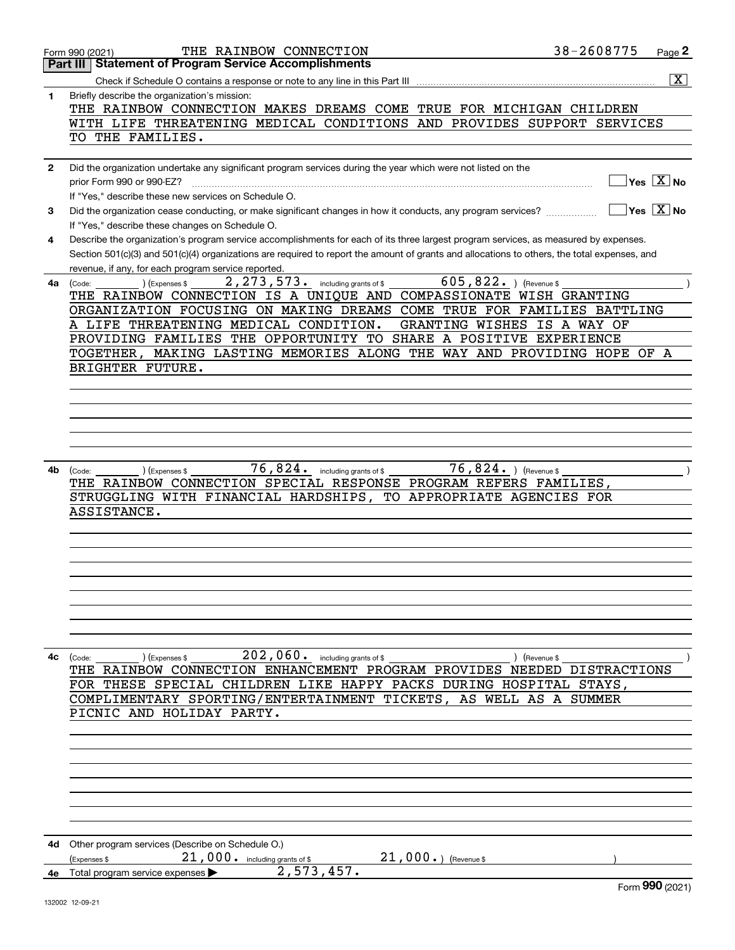|              | THE RAINBOW CONNECTION<br>Form 990 (2021)                                                                                                    | 38-2608775 | Page 2                                          |
|--------------|----------------------------------------------------------------------------------------------------------------------------------------------|------------|-------------------------------------------------|
|              | <b>Part III   Statement of Program Service Accomplishments</b>                                                                               |            |                                                 |
|              |                                                                                                                                              |            | $\overline{\text{X}}$                           |
| 1            | Briefly describe the organization's mission:                                                                                                 |            |                                                 |
|              | THE RAINBOW CONNECTION MAKES DREAMS COME TRUE FOR MICHIGAN CHILDREN                                                                          |            |                                                 |
|              | WITH LIFE THREATENING MEDICAL CONDITIONS AND PROVIDES SUPPORT SERVICES                                                                       |            |                                                 |
|              | TO THE FAMILIES.                                                                                                                             |            |                                                 |
|              |                                                                                                                                              |            |                                                 |
| $\mathbf{2}$ | Did the organization undertake any significant program services during the year which were not listed on the                                 |            |                                                 |
|              | prior Form 990 or 990-EZ?                                                                                                                    |            | $\overline{\ }$ Yes $\overline{\phantom{X}}$ No |
|              |                                                                                                                                              |            |                                                 |
|              | If "Yes," describe these new services on Schedule O.                                                                                         |            |                                                 |
| 3            | Did the organization cease conducting, or make significant changes in how it conducts, any program services?                                 |            | $\sqrt{}$ Yes $\sqrt{}$ X $\sqrt{}$ No          |
|              | If "Yes," describe these changes on Schedule O.                                                                                              |            |                                                 |
| 4            | Describe the organization's program service accomplishments for each of its three largest program services, as measured by expenses.         |            |                                                 |
|              | Section 501(c)(3) and 501(c)(4) organizations are required to report the amount of grants and allocations to others, the total expenses, and |            |                                                 |
|              | revenue, if any, for each program service reported.                                                                                          |            |                                                 |
| 4a           | 605,822. ) (Revenue \$<br>$2$ , $273$ , $573$ . including grants of \$<br>) (Expenses \$<br>(Code:                                           |            |                                                 |
|              | THE RAINBOW CONNECTION IS A UNIQUE AND COMPASSIONATE WISH GRANTING                                                                           |            |                                                 |
|              | ORGANIZATION FOCUSING ON MAKING DREAMS COME TRUE FOR FAMILIES BATTLING                                                                       |            |                                                 |
|              | A LIFE THREATENING MEDICAL CONDITION.<br>GRANTING WISHES IS A WAY OF                                                                         |            |                                                 |
|              | PROVIDING FAMILIES THE OPPORTUNITY TO SHARE A POSITIVE EXPERIENCE                                                                            |            |                                                 |
|              | TOGETHER, MAKING LASTING MEMORIES ALONG THE WAY AND PROVIDING HOPE OF A                                                                      |            |                                                 |
|              | BRIGHTER FUTURE.                                                                                                                             |            |                                                 |
|              |                                                                                                                                              |            |                                                 |
|              |                                                                                                                                              |            |                                                 |
|              |                                                                                                                                              |            |                                                 |
|              |                                                                                                                                              |            |                                                 |
|              |                                                                                                                                              |            |                                                 |
|              |                                                                                                                                              |            |                                                 |
|              |                                                                                                                                              |            |                                                 |
| 4b           | $\overline{76}$ , $824$ . including grants of \$<br>$76,824.$ ) (Revenue \$<br>(Expenses \$<br>(Code:                                        |            |                                                 |
|              | THE RAINBOW CONNECTION SPECIAL RESPONSE PROGRAM REFERS FAMILIES,                                                                             |            |                                                 |
|              | STRUGGLING WITH FINANCIAL HARDSHIPS, TO APPROPRIATE AGENCIES FOR                                                                             |            |                                                 |
|              | ASSISTANCE.                                                                                                                                  |            |                                                 |
|              |                                                                                                                                              |            |                                                 |
|              |                                                                                                                                              |            |                                                 |
|              |                                                                                                                                              |            |                                                 |
|              |                                                                                                                                              |            |                                                 |
|              |                                                                                                                                              |            |                                                 |
|              |                                                                                                                                              |            |                                                 |
|              |                                                                                                                                              |            |                                                 |
|              |                                                                                                                                              |            |                                                 |
|              |                                                                                                                                              |            |                                                 |
| 4c           | $202,060$ . including grants of \$<br>(Expenses \$<br>(Revenue \$<br>(Code:                                                                  |            |                                                 |
|              | THE RAINBOW CONNECTION ENHANCEMENT PROGRAM PROVIDES NEEDED DISTRACTIONS                                                                      |            |                                                 |
|              | FOR THESE SPECIAL CHILDREN LIKE HAPPY PACKS DURING HOSPITAL STAYS,                                                                           |            |                                                 |
|              | COMPLIMENTARY SPORTING/ENTERTAINMENT TICKETS,<br>AS WELL AS A SUMMER                                                                         |            |                                                 |
|              | PICNIC AND HOLIDAY PARTY.                                                                                                                    |            |                                                 |
|              |                                                                                                                                              |            |                                                 |
|              |                                                                                                                                              |            |                                                 |
|              |                                                                                                                                              |            |                                                 |
|              |                                                                                                                                              |            |                                                 |
|              |                                                                                                                                              |            |                                                 |
|              |                                                                                                                                              |            |                                                 |
|              |                                                                                                                                              |            |                                                 |
|              |                                                                                                                                              |            |                                                 |
|              |                                                                                                                                              |            |                                                 |
| 4d           | Other program services (Describe on Schedule O.)                                                                                             |            |                                                 |
|              | $21,000.$ (Revenue \$<br>21,000. including grants of \$<br>(Expenses \$                                                                      |            |                                                 |
| 4e           | 2,573,457.<br>Total program service expenses                                                                                                 |            |                                                 |
|              |                                                                                                                                              |            | QQQ                                             |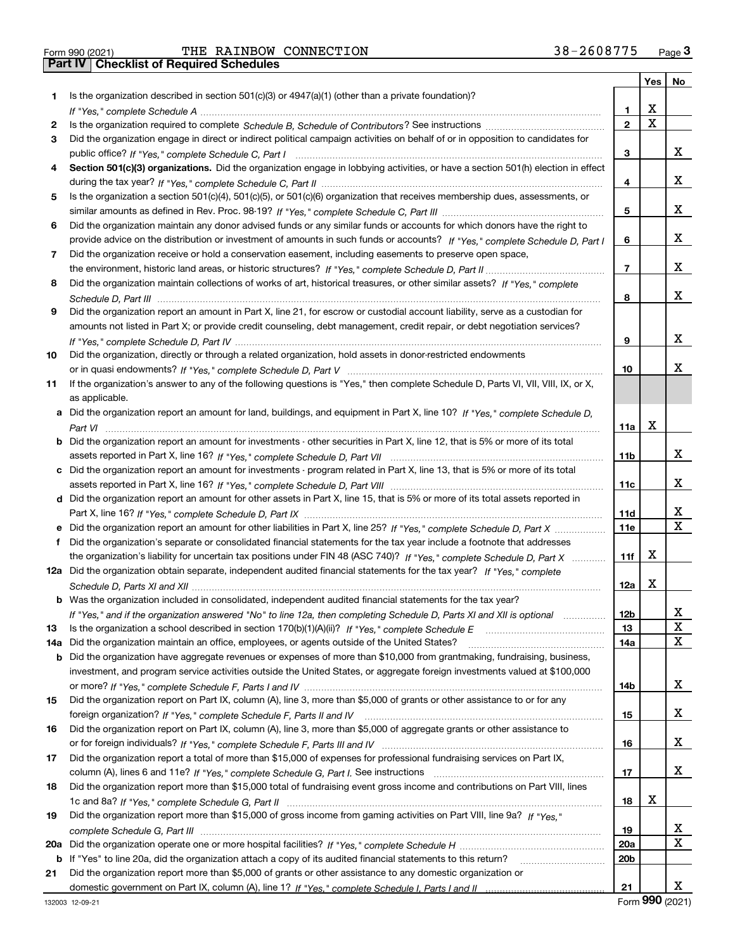|     |                                                                                                                                   |                 | Yes | No |
|-----|-----------------------------------------------------------------------------------------------------------------------------------|-----------------|-----|----|
| 1.  | Is the organization described in section $501(c)(3)$ or $4947(a)(1)$ (other than a private foundation)?                           |                 |     |    |
|     |                                                                                                                                   | 1               | х   |    |
| 2   |                                                                                                                                   | $\mathbf{2}$    | Χ   |    |
| 3   | Did the organization engage in direct or indirect political campaign activities on behalf of or in opposition to candidates for   |                 |     |    |
|     |                                                                                                                                   | 3               |     | X. |
| 4   | Section 501(c)(3) organizations. Did the organization engage in lobbying activities, or have a section 501(h) election in effect  |                 |     |    |
|     |                                                                                                                                   | 4               |     | X. |
| 5   | Is the organization a section 501(c)(4), 501(c)(5), or 501(c)(6) organization that receives membership dues, assessments, or      |                 |     |    |
|     |                                                                                                                                   | 5               |     | X. |
| 6   | Did the organization maintain any donor advised funds or any similar funds or accounts for which donors have the right to         |                 |     |    |
|     | provide advice on the distribution or investment of amounts in such funds or accounts? If "Yes," complete Schedule D, Part I      | 6               |     | х  |
| 7   | Did the organization receive or hold a conservation easement, including easements to preserve open space,                         |                 |     |    |
|     |                                                                                                                                   | $\overline{7}$  |     | х  |
| 8   | Did the organization maintain collections of works of art, historical treasures, or other similar assets? If "Yes," complete      |                 |     |    |
|     |                                                                                                                                   | 8               |     | х  |
| 9   | Did the organization report an amount in Part X, line 21, for escrow or custodial account liability, serve as a custodian for     |                 |     |    |
|     | amounts not listed in Part X; or provide credit counseling, debt management, credit repair, or debt negotiation services?         |                 |     |    |
|     |                                                                                                                                   | 9               |     | х  |
| 10  | Did the organization, directly or through a related organization, hold assets in donor-restricted endowments                      |                 |     |    |
|     |                                                                                                                                   | 10              |     | x. |
|     |                                                                                                                                   |                 |     |    |
| 11  | If the organization's answer to any of the following questions is "Yes," then complete Schedule D, Parts VI, VII, VIII, IX, or X, |                 |     |    |
|     | as applicable.                                                                                                                    |                 |     |    |
|     | a Did the organization report an amount for land, buildings, and equipment in Part X, line 10? If "Yes," complete Schedule D,     |                 | х   |    |
|     |                                                                                                                                   | 11a             |     |    |
| b   | Did the organization report an amount for investments - other securities in Part X, line 12, that is 5% or more of its total      |                 |     |    |
|     |                                                                                                                                   | 11 <sub>b</sub> |     | X. |
|     | c Did the organization report an amount for investments - program related in Part X, line 13, that is 5% or more of its total     |                 |     |    |
|     |                                                                                                                                   | 11c             |     | X. |
|     | d Did the organization report an amount for other assets in Part X, line 15, that is 5% or more of its total assets reported in   |                 |     |    |
|     |                                                                                                                                   | 11d             |     | х  |
|     | Did the organization report an amount for other liabilities in Part X, line 25? If "Yes," complete Schedule D, Part X             | 11e             |     | X  |
| f   | Did the organization's separate or consolidated financial statements for the tax year include a footnote that addresses           |                 |     |    |
|     | the organization's liability for uncertain tax positions under FIN 48 (ASC 740)? If "Yes," complete Schedule D, Part X            | 11f             | х   |    |
|     | 12a Did the organization obtain separate, independent audited financial statements for the tax year? If "Yes," complete           |                 |     |    |
|     |                                                                                                                                   | 12a             | х   |    |
|     | <b>b</b> Was the organization included in consolidated, independent audited financial statements for the tax year?                |                 |     |    |
|     | If "Yes," and if the organization answered "No" to line 12a, then completing Schedule D, Parts XI and XII is optional             | 12 <sub>b</sub> |     | х  |
| 13  | Is the organization a school described in section 170(b)(1)(A)(ii)? If "Yes," complete Schedule E                                 | 13              |     | X  |
| 14a | Did the organization maintain an office, employees, or agents outside of the United States?                                       | 14a             |     | X. |
| b   | Did the organization have aggregate revenues or expenses of more than \$10,000 from grantmaking, fundraising, business,           |                 |     |    |
|     | investment, and program service activities outside the United States, or aggregate foreign investments valued at \$100,000        |                 |     |    |
|     |                                                                                                                                   | 14b             |     | X. |
| 15  | Did the organization report on Part IX, column (A), line 3, more than \$5,000 of grants or other assistance to or for any         |                 |     |    |
|     |                                                                                                                                   | 15              |     | X. |
| 16  | Did the organization report on Part IX, column (A), line 3, more than \$5,000 of aggregate grants or other assistance to          |                 |     |    |
|     |                                                                                                                                   | 16              |     | x  |
| 17  | Did the organization report a total of more than \$15,000 of expenses for professional fundraising services on Part IX,           |                 |     |    |
|     |                                                                                                                                   | 17              |     | X. |
| 18  | Did the organization report more than \$15,000 total of fundraising event gross income and contributions on Part VIII, lines      |                 |     |    |
|     |                                                                                                                                   | 18              | X   |    |
| 19  | Did the organization report more than \$15,000 of gross income from gaming activities on Part VIII, line 9a? If "Yes."            |                 |     |    |
|     |                                                                                                                                   | 19              |     | X. |
| 20a |                                                                                                                                   | 20a             |     | x  |
| b   | If "Yes" to line 20a, did the organization attach a copy of its audited financial statements to this return?                      | 20 <sub>b</sub> |     |    |
| 21  | Did the organization report more than \$5,000 of grants or other assistance to any domestic organization or                       |                 |     |    |
|     |                                                                                                                                   | 21              |     | x  |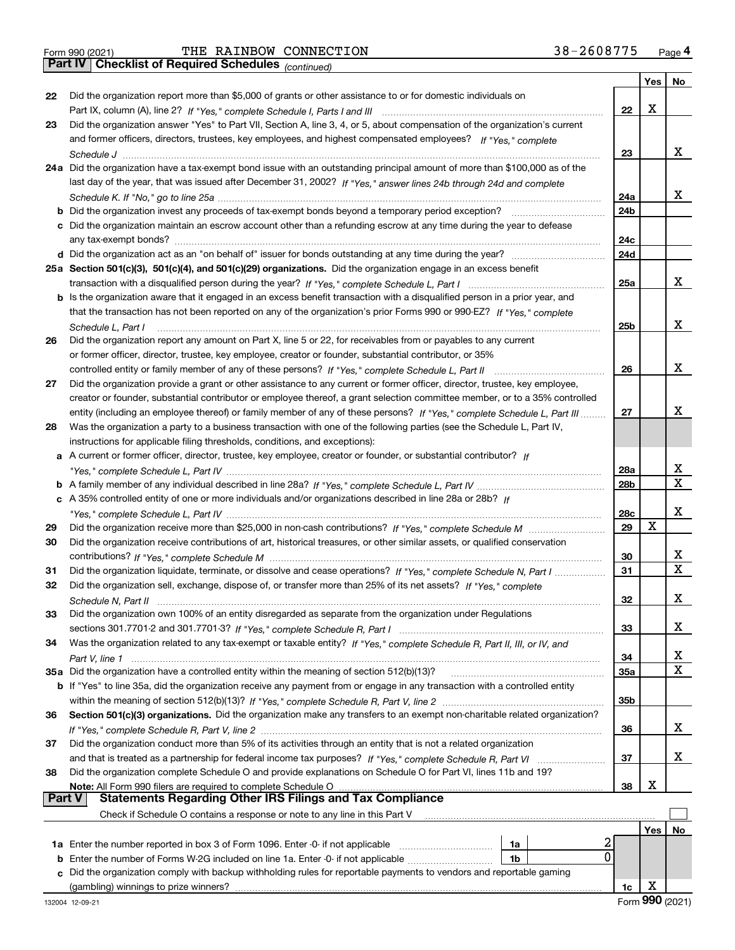*(continued)*

|          |                                                                                                                                    |                 | Yes | No               |
|----------|------------------------------------------------------------------------------------------------------------------------------------|-----------------|-----|------------------|
| 22       | Did the organization report more than \$5,000 of grants or other assistance to or for domestic individuals on                      |                 |     |                  |
|          |                                                                                                                                    | 22              | x   |                  |
| 23       | Did the organization answer "Yes" to Part VII, Section A, line 3, 4, or 5, about compensation of the organization's current        |                 |     |                  |
|          | and former officers, directors, trustees, key employees, and highest compensated employees? If "Yes," complete                     |                 |     |                  |
|          |                                                                                                                                    | 23              |     | х                |
|          | 24a Did the organization have a tax-exempt bond issue with an outstanding principal amount of more than \$100,000 as of the        |                 |     |                  |
|          | last day of the year, that was issued after December 31, 2002? If "Yes," answer lines 24b through 24d and complete                 |                 |     | х                |
|          | b Did the organization invest any proceeds of tax-exempt bonds beyond a temporary period exception?                                | 24a<br>24b      |     |                  |
|          | c Did the organization maintain an escrow account other than a refunding escrow at any time during the year to defease             |                 |     |                  |
|          |                                                                                                                                    | 24c             |     |                  |
|          |                                                                                                                                    | 24d             |     |                  |
|          | 25a Section 501(c)(3), 501(c)(4), and 501(c)(29) organizations. Did the organization engage in an excess benefit                   |                 |     |                  |
|          |                                                                                                                                    | 25a             |     | х                |
|          | b Is the organization aware that it engaged in an excess benefit transaction with a disqualified person in a prior year, and       |                 |     |                  |
|          | that the transaction has not been reported on any of the organization's prior Forms 990 or 990-EZ? If "Yes," complete              |                 |     |                  |
|          | Schedule L. Part I                                                                                                                 | 25 <sub>b</sub> |     | х                |
| 26       | Did the organization report any amount on Part X, line 5 or 22, for receivables from or payables to any current                    |                 |     |                  |
|          | or former officer, director, trustee, key employee, creator or founder, substantial contributor, or 35%                            |                 |     |                  |
|          |                                                                                                                                    | 26              |     | х                |
| 27       | Did the organization provide a grant or other assistance to any current or former officer, director, trustee, key employee,        |                 |     |                  |
|          | creator or founder, substantial contributor or employee thereof, a grant selection committee member, or to a 35% controlled        |                 |     |                  |
|          | entity (including an employee thereof) or family member of any of these persons? If "Yes," complete Schedule L, Part III           | 27              |     | x                |
| 28       | Was the organization a party to a business transaction with one of the following parties (see the Schedule L, Part IV,             |                 |     |                  |
|          | instructions for applicable filing thresholds, conditions, and exceptions):                                                        |                 |     |                  |
|          | a A current or former officer, director, trustee, key employee, creator or founder, or substantial contributor? If                 |                 |     |                  |
|          |                                                                                                                                    | 28a             |     | х<br>$\mathbf x$ |
|          |                                                                                                                                    | 28b             |     |                  |
|          | c A 35% controlled entity of one or more individuals and/or organizations described in line 28a or 28b? If                         |                 |     | х                |
|          |                                                                                                                                    | 28c<br>29       | X   |                  |
| 29<br>30 | Did the organization receive contributions of art, historical treasures, or other similar assets, or qualified conservation        |                 |     |                  |
|          |                                                                                                                                    | 30              |     | х                |
| 31       | Did the organization liquidate, terminate, or dissolve and cease operations? If "Yes," complete Schedule N, Part I                 | 31              |     | $\mathbf X$      |
| 32       | Did the organization sell, exchange, dispose of, or transfer more than 25% of its net assets? If "Yes," complete                   |                 |     |                  |
|          |                                                                                                                                    | 32              |     | х                |
| 33       | Did the organization own 100% of an entity disregarded as separate from the organization under Regulations                         |                 |     |                  |
|          |                                                                                                                                    | 33              |     | х                |
| 34       | Was the organization related to any tax-exempt or taxable entity? If "Yes," complete Schedule R, Part II, III, or IV, and          |                 |     |                  |
|          |                                                                                                                                    | 34              |     | х                |
|          | 35a Did the organization have a controlled entity within the meaning of section 512(b)(13)?                                        | <b>35a</b>      |     | X                |
|          | <b>b</b> If "Yes" to line 35a, did the organization receive any payment from or engage in any transaction with a controlled entity |                 |     |                  |
|          |                                                                                                                                    | 35b             |     |                  |
| 36       | Section 501(c)(3) organizations. Did the organization make any transfers to an exempt non-charitable related organization?         |                 |     |                  |
|          |                                                                                                                                    | 36              |     | x                |
| 37       | Did the organization conduct more than 5% of its activities through an entity that is not a related organization                   |                 |     |                  |
|          | and that is treated as a partnership for federal income tax purposes? If "Yes," complete Schedule R, Part VI                       | 37              |     | x                |
| 38       | Did the organization complete Schedule O and provide explanations on Schedule O for Part VI, lines 11b and 19?                     |                 |     |                  |
| Part V   | Note: All Form 990 filers are required to complete Schedule O<br><b>Statements Regarding Other IRS Filings and Tax Compliance</b>  | 38              | х   |                  |
|          | Check if Schedule O contains a response or note to any line in this Part V                                                         |                 |     |                  |
|          |                                                                                                                                    |                 | Yes | No               |
|          | 1a Enter the number reported in box 3 of Form 1096. Enter -0- if not applicable<br>1a                                              |                 |     |                  |
|          | 0<br><b>b</b> Enter the number of Forms W-2G included on line 1a. Enter -0- if not applicable<br>1b                                |                 |     |                  |
|          | c Did the organization comply with backup withholding rules for reportable payments to vendors and reportable gaming               |                 |     |                  |
|          | (gambling) winnings to prize winners?                                                                                              | 1c              | X   |                  |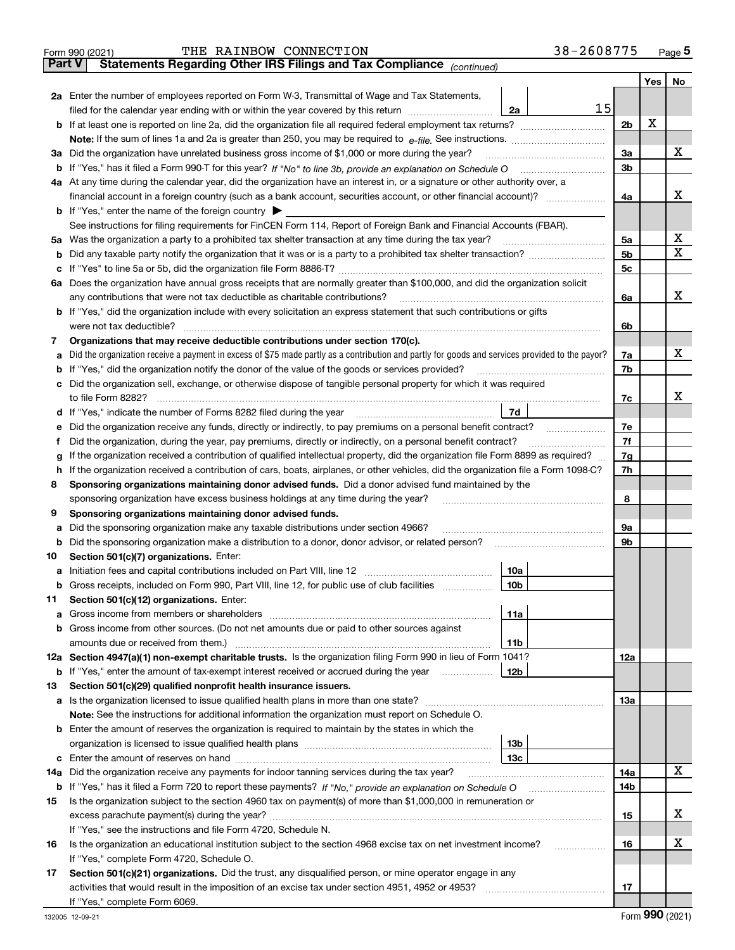| <b>Part V</b><br>Yes   No<br>2a Enter the number of employees reported on Form W-3, Transmittal of Wage and Tax Statements,<br>15<br>filed for the calendar year ending with or within the year covered by this return<br>2a<br>X<br>2 <sub>b</sub><br>Note: If the sum of lines 1a and 2a is greater than 250, you may be required to $e$ -file. See instructions. $\ldots$ $\ldots$ $\ldots$ $\ldots$ $\ldots$ $\ldots$ $\ldots$ $\ldots$ $\ldots$ $\ldots$ $\ldots$ $\ldots$ $\ldots$ $\ldots$ $\ldots$ $\ldots$ $\ldots$ $\ldots$ $\ldots$<br>3a Did the organization have unrelated business gross income of \$1,000 or more during the year?<br>3a<br>3 <sub>b</sub><br>4a At any time during the calendar year, did the organization have an interest in, or a signature or other authority over, a<br>4a<br><b>b</b> If "Yes," enter the name of the foreign country $\triangleright$<br>See instructions for filing requirements for FinCEN Form 114, Report of Foreign Bank and Financial Accounts (FBAR).<br>5a Was the organization a party to a prohibited tax shelter transaction at any time during the tax year?<br>5a<br>5 <sub>b</sub><br>b<br>5c<br>с<br>6a Does the organization have annual gross receipts that are normally greater than \$100,000, and did the organization solicit<br>any contributions that were not tax deductible as charitable contributions?<br>6a<br>b If "Yes," did the organization include with every solicitation an express statement that such contributions or gifts<br>were not tax deductible?<br>6b<br>Organizations that may receive deductible contributions under section 170(c).<br>7<br>Did the organization receive a payment in excess of \$75 made partly as a contribution and partly for goods and services provided to the payor?<br>7a<br>а<br><b>b</b> If "Yes," did the organization notify the donor of the value of the goods or services provided?<br>7b<br>Did the organization sell, exchange, or otherwise dispose of tangible personal property for which it was required<br>с<br>to file Form 8282?<br>7c<br>7d<br>7e<br>Did the organization receive any funds, directly or indirectly, to pay premiums on a personal benefit contract?<br>е<br>7f<br>Did the organization, during the year, pay premiums, directly or indirectly, on a personal benefit contract?<br>Ť.<br>7g<br>If the organization received a contribution of qualified intellectual property, did the organization file Form 8899 as required?<br>g<br>7h<br>If the organization received a contribution of cars, boats, airplanes, or other vehicles, did the organization file a Form 1098-C?<br>h<br>Sponsoring organizations maintaining donor advised funds. Did a donor advised fund maintained by the<br>8<br>8<br>sponsoring organization have excess business holdings at any time during the year?<br>Sponsoring organizations maintaining donor advised funds.<br>9<br>Did the sponsoring organization make any taxable distributions under section 4966?<br>9а<br>а<br>9b<br>b<br>Section 501(c)(7) organizations. Enter:<br>10<br>10a<br><b>b</b> Gross receipts, included on Form 990, Part VIII, line 12, for public use of club facilities <i>manumum</i><br>10b<br>Section 501(c)(12) organizations. Enter:<br>11<br>11a<br>a<br>b Gross income from other sources. (Do not net amounts due or paid to other sources against<br>amounts due or received from them.)<br>11b<br>12a Section 4947(a)(1) non-exempt charitable trusts. Is the organization filing Form 990 in lieu of Form 1041?<br>12a<br><b>b</b> If "Yes," enter the amount of tax-exempt interest received or accrued during the year<br>12b<br>Section 501(c)(29) qualified nonprofit health insurance issuers.<br>13<br>13а<br>Note: See the instructions for additional information the organization must report on Schedule O.<br><b>b</b> Enter the amount of reserves the organization is required to maintain by the states in which the<br>13 <sub>b</sub><br>13с<br>с<br>Did the organization receive any payments for indoor tanning services during the tax year?<br>14a<br>14a<br>14b<br>Is the organization subject to the section 4960 tax on payment(s) of more than \$1,000,000 in remuneration or<br>15<br>15<br>If "Yes," see the instructions and file Form 4720, Schedule N.<br>Is the organization an educational institution subject to the section 4968 excise tax on net investment income?<br>16<br>16<br>.<br>If "Yes," complete Form 4720, Schedule O.<br>Section 501(c)(21) organizations. Did the trust, any disqualified person, or mine operator engage in any<br>17<br>17<br>If "Yes," complete Form 6069. | 38-2608775<br>THE RAINBOW CONNECTION<br>Form 990 (2021)               |  | Page $5$ |
|--------------------------------------------------------------------------------------------------------------------------------------------------------------------------------------------------------------------------------------------------------------------------------------------------------------------------------------------------------------------------------------------------------------------------------------------------------------------------------------------------------------------------------------------------------------------------------------------------------------------------------------------------------------------------------------------------------------------------------------------------------------------------------------------------------------------------------------------------------------------------------------------------------------------------------------------------------------------------------------------------------------------------------------------------------------------------------------------------------------------------------------------------------------------------------------------------------------------------------------------------------------------------------------------------------------------------------------------------------------------------------------------------------------------------------------------------------------------------------------------------------------------------------------------------------------------------------------------------------------------------------------------------------------------------------------------------------------------------------------------------------------------------------------------------------------------------------------------------------------------------------------------------------------------------------------------------------------------------------------------------------------------------------------------------------------------------------------------------------------------------------------------------------------------------------------------------------------------------------------------------------------------------------------------------------------------------------------------------------------------------------------------------------------------------------------------------------------------------------------------------------------------------------------------------------------------------------------------------------------------------------------------------------------------------------------------------------------------------------------------------------------------------------------------------------------------------------------------------------------------------------------------------------------------------------------------------------------------------------------------------------------------------------------------------------------------------------------------------------------------------------------------------------------------------------------------------------------------------------------------------------------------------------------------------------------------------------------------------------------------------------------------------------------------------------------------------------------------------------------------------------------------------------------------------------------------------------------------------------------------------------------------------------------------------------------------------------------------------------------------------------------------------------------------------------------------------------------------------------------------------------------------------------------------------------------------------------------------------------------------------------------------------------------------------------------------------------------------------------------------------------------------------------------------------------------------------------------------------------------------------------------------------------------------------------------------------------------------------------------------------------------------------------------------------------------------------------------------------------------------------------------------------------------------------------------------------------------------------------------------------------------------------------------------------------|-----------------------------------------------------------------------|--|----------|
|                                                                                                                                                                                                                                                                                                                                                                                                                                                                                                                                                                                                                                                                                                                                                                                                                                                                                                                                                                                                                                                                                                                                                                                                                                                                                                                                                                                                                                                                                                                                                                                                                                                                                                                                                                                                                                                                                                                                                                                                                                                                                                                                                                                                                                                                                                                                                                                                                                                                                                                                                                                                                                                                                                                                                                                                                                                                                                                                                                                                                                                                                                                                                                                                                                                                                                                                                                                                                                                                                                                                                                                                                                                                                                                                                                                                                                                                                                                                                                                                                                                                                                                                                                                                                                                                                                                                                                                                                                                                                                                                                                                                                                                                                | Statements Regarding Other IRS Filings and Tax Compliance (continued) |  |          |
|                                                                                                                                                                                                                                                                                                                                                                                                                                                                                                                                                                                                                                                                                                                                                                                                                                                                                                                                                                                                                                                                                                                                                                                                                                                                                                                                                                                                                                                                                                                                                                                                                                                                                                                                                                                                                                                                                                                                                                                                                                                                                                                                                                                                                                                                                                                                                                                                                                                                                                                                                                                                                                                                                                                                                                                                                                                                                                                                                                                                                                                                                                                                                                                                                                                                                                                                                                                                                                                                                                                                                                                                                                                                                                                                                                                                                                                                                                                                                                                                                                                                                                                                                                                                                                                                                                                                                                                                                                                                                                                                                                                                                                                                                |                                                                       |  |          |
|                                                                                                                                                                                                                                                                                                                                                                                                                                                                                                                                                                                                                                                                                                                                                                                                                                                                                                                                                                                                                                                                                                                                                                                                                                                                                                                                                                                                                                                                                                                                                                                                                                                                                                                                                                                                                                                                                                                                                                                                                                                                                                                                                                                                                                                                                                                                                                                                                                                                                                                                                                                                                                                                                                                                                                                                                                                                                                                                                                                                                                                                                                                                                                                                                                                                                                                                                                                                                                                                                                                                                                                                                                                                                                                                                                                                                                                                                                                                                                                                                                                                                                                                                                                                                                                                                                                                                                                                                                                                                                                                                                                                                                                                                |                                                                       |  |          |
|                                                                                                                                                                                                                                                                                                                                                                                                                                                                                                                                                                                                                                                                                                                                                                                                                                                                                                                                                                                                                                                                                                                                                                                                                                                                                                                                                                                                                                                                                                                                                                                                                                                                                                                                                                                                                                                                                                                                                                                                                                                                                                                                                                                                                                                                                                                                                                                                                                                                                                                                                                                                                                                                                                                                                                                                                                                                                                                                                                                                                                                                                                                                                                                                                                                                                                                                                                                                                                                                                                                                                                                                                                                                                                                                                                                                                                                                                                                                                                                                                                                                                                                                                                                                                                                                                                                                                                                                                                                                                                                                                                                                                                                                                |                                                                       |  |          |
|                                                                                                                                                                                                                                                                                                                                                                                                                                                                                                                                                                                                                                                                                                                                                                                                                                                                                                                                                                                                                                                                                                                                                                                                                                                                                                                                                                                                                                                                                                                                                                                                                                                                                                                                                                                                                                                                                                                                                                                                                                                                                                                                                                                                                                                                                                                                                                                                                                                                                                                                                                                                                                                                                                                                                                                                                                                                                                                                                                                                                                                                                                                                                                                                                                                                                                                                                                                                                                                                                                                                                                                                                                                                                                                                                                                                                                                                                                                                                                                                                                                                                                                                                                                                                                                                                                                                                                                                                                                                                                                                                                                                                                                                                |                                                                       |  |          |
|                                                                                                                                                                                                                                                                                                                                                                                                                                                                                                                                                                                                                                                                                                                                                                                                                                                                                                                                                                                                                                                                                                                                                                                                                                                                                                                                                                                                                                                                                                                                                                                                                                                                                                                                                                                                                                                                                                                                                                                                                                                                                                                                                                                                                                                                                                                                                                                                                                                                                                                                                                                                                                                                                                                                                                                                                                                                                                                                                                                                                                                                                                                                                                                                                                                                                                                                                                                                                                                                                                                                                                                                                                                                                                                                                                                                                                                                                                                                                                                                                                                                                                                                                                                                                                                                                                                                                                                                                                                                                                                                                                                                                                                                                |                                                                       |  |          |
|                                                                                                                                                                                                                                                                                                                                                                                                                                                                                                                                                                                                                                                                                                                                                                                                                                                                                                                                                                                                                                                                                                                                                                                                                                                                                                                                                                                                                                                                                                                                                                                                                                                                                                                                                                                                                                                                                                                                                                                                                                                                                                                                                                                                                                                                                                                                                                                                                                                                                                                                                                                                                                                                                                                                                                                                                                                                                                                                                                                                                                                                                                                                                                                                                                                                                                                                                                                                                                                                                                                                                                                                                                                                                                                                                                                                                                                                                                                                                                                                                                                                                                                                                                                                                                                                                                                                                                                                                                                                                                                                                                                                                                                                                |                                                                       |  | x        |
|                                                                                                                                                                                                                                                                                                                                                                                                                                                                                                                                                                                                                                                                                                                                                                                                                                                                                                                                                                                                                                                                                                                                                                                                                                                                                                                                                                                                                                                                                                                                                                                                                                                                                                                                                                                                                                                                                                                                                                                                                                                                                                                                                                                                                                                                                                                                                                                                                                                                                                                                                                                                                                                                                                                                                                                                                                                                                                                                                                                                                                                                                                                                                                                                                                                                                                                                                                                                                                                                                                                                                                                                                                                                                                                                                                                                                                                                                                                                                                                                                                                                                                                                                                                                                                                                                                                                                                                                                                                                                                                                                                                                                                                                                |                                                                       |  |          |
|                                                                                                                                                                                                                                                                                                                                                                                                                                                                                                                                                                                                                                                                                                                                                                                                                                                                                                                                                                                                                                                                                                                                                                                                                                                                                                                                                                                                                                                                                                                                                                                                                                                                                                                                                                                                                                                                                                                                                                                                                                                                                                                                                                                                                                                                                                                                                                                                                                                                                                                                                                                                                                                                                                                                                                                                                                                                                                                                                                                                                                                                                                                                                                                                                                                                                                                                                                                                                                                                                                                                                                                                                                                                                                                                                                                                                                                                                                                                                                                                                                                                                                                                                                                                                                                                                                                                                                                                                                                                                                                                                                                                                                                                                |                                                                       |  |          |
|                                                                                                                                                                                                                                                                                                                                                                                                                                                                                                                                                                                                                                                                                                                                                                                                                                                                                                                                                                                                                                                                                                                                                                                                                                                                                                                                                                                                                                                                                                                                                                                                                                                                                                                                                                                                                                                                                                                                                                                                                                                                                                                                                                                                                                                                                                                                                                                                                                                                                                                                                                                                                                                                                                                                                                                                                                                                                                                                                                                                                                                                                                                                                                                                                                                                                                                                                                                                                                                                                                                                                                                                                                                                                                                                                                                                                                                                                                                                                                                                                                                                                                                                                                                                                                                                                                                                                                                                                                                                                                                                                                                                                                                                                |                                                                       |  | x        |
|                                                                                                                                                                                                                                                                                                                                                                                                                                                                                                                                                                                                                                                                                                                                                                                                                                                                                                                                                                                                                                                                                                                                                                                                                                                                                                                                                                                                                                                                                                                                                                                                                                                                                                                                                                                                                                                                                                                                                                                                                                                                                                                                                                                                                                                                                                                                                                                                                                                                                                                                                                                                                                                                                                                                                                                                                                                                                                                                                                                                                                                                                                                                                                                                                                                                                                                                                                                                                                                                                                                                                                                                                                                                                                                                                                                                                                                                                                                                                                                                                                                                                                                                                                                                                                                                                                                                                                                                                                                                                                                                                                                                                                                                                |                                                                       |  |          |
|                                                                                                                                                                                                                                                                                                                                                                                                                                                                                                                                                                                                                                                                                                                                                                                                                                                                                                                                                                                                                                                                                                                                                                                                                                                                                                                                                                                                                                                                                                                                                                                                                                                                                                                                                                                                                                                                                                                                                                                                                                                                                                                                                                                                                                                                                                                                                                                                                                                                                                                                                                                                                                                                                                                                                                                                                                                                                                                                                                                                                                                                                                                                                                                                                                                                                                                                                                                                                                                                                                                                                                                                                                                                                                                                                                                                                                                                                                                                                                                                                                                                                                                                                                                                                                                                                                                                                                                                                                                                                                                                                                                                                                                                                |                                                                       |  |          |
|                                                                                                                                                                                                                                                                                                                                                                                                                                                                                                                                                                                                                                                                                                                                                                                                                                                                                                                                                                                                                                                                                                                                                                                                                                                                                                                                                                                                                                                                                                                                                                                                                                                                                                                                                                                                                                                                                                                                                                                                                                                                                                                                                                                                                                                                                                                                                                                                                                                                                                                                                                                                                                                                                                                                                                                                                                                                                                                                                                                                                                                                                                                                                                                                                                                                                                                                                                                                                                                                                                                                                                                                                                                                                                                                                                                                                                                                                                                                                                                                                                                                                                                                                                                                                                                                                                                                                                                                                                                                                                                                                                                                                                                                                |                                                                       |  | х        |
|                                                                                                                                                                                                                                                                                                                                                                                                                                                                                                                                                                                                                                                                                                                                                                                                                                                                                                                                                                                                                                                                                                                                                                                                                                                                                                                                                                                                                                                                                                                                                                                                                                                                                                                                                                                                                                                                                                                                                                                                                                                                                                                                                                                                                                                                                                                                                                                                                                                                                                                                                                                                                                                                                                                                                                                                                                                                                                                                                                                                                                                                                                                                                                                                                                                                                                                                                                                                                                                                                                                                                                                                                                                                                                                                                                                                                                                                                                                                                                                                                                                                                                                                                                                                                                                                                                                                                                                                                                                                                                                                                                                                                                                                                |                                                                       |  | x        |
|                                                                                                                                                                                                                                                                                                                                                                                                                                                                                                                                                                                                                                                                                                                                                                                                                                                                                                                                                                                                                                                                                                                                                                                                                                                                                                                                                                                                                                                                                                                                                                                                                                                                                                                                                                                                                                                                                                                                                                                                                                                                                                                                                                                                                                                                                                                                                                                                                                                                                                                                                                                                                                                                                                                                                                                                                                                                                                                                                                                                                                                                                                                                                                                                                                                                                                                                                                                                                                                                                                                                                                                                                                                                                                                                                                                                                                                                                                                                                                                                                                                                                                                                                                                                                                                                                                                                                                                                                                                                                                                                                                                                                                                                                |                                                                       |  |          |
|                                                                                                                                                                                                                                                                                                                                                                                                                                                                                                                                                                                                                                                                                                                                                                                                                                                                                                                                                                                                                                                                                                                                                                                                                                                                                                                                                                                                                                                                                                                                                                                                                                                                                                                                                                                                                                                                                                                                                                                                                                                                                                                                                                                                                                                                                                                                                                                                                                                                                                                                                                                                                                                                                                                                                                                                                                                                                                                                                                                                                                                                                                                                                                                                                                                                                                                                                                                                                                                                                                                                                                                                                                                                                                                                                                                                                                                                                                                                                                                                                                                                                                                                                                                                                                                                                                                                                                                                                                                                                                                                                                                                                                                                                |                                                                       |  |          |
|                                                                                                                                                                                                                                                                                                                                                                                                                                                                                                                                                                                                                                                                                                                                                                                                                                                                                                                                                                                                                                                                                                                                                                                                                                                                                                                                                                                                                                                                                                                                                                                                                                                                                                                                                                                                                                                                                                                                                                                                                                                                                                                                                                                                                                                                                                                                                                                                                                                                                                                                                                                                                                                                                                                                                                                                                                                                                                                                                                                                                                                                                                                                                                                                                                                                                                                                                                                                                                                                                                                                                                                                                                                                                                                                                                                                                                                                                                                                                                                                                                                                                                                                                                                                                                                                                                                                                                                                                                                                                                                                                                                                                                                                                |                                                                       |  | x        |
|                                                                                                                                                                                                                                                                                                                                                                                                                                                                                                                                                                                                                                                                                                                                                                                                                                                                                                                                                                                                                                                                                                                                                                                                                                                                                                                                                                                                                                                                                                                                                                                                                                                                                                                                                                                                                                                                                                                                                                                                                                                                                                                                                                                                                                                                                                                                                                                                                                                                                                                                                                                                                                                                                                                                                                                                                                                                                                                                                                                                                                                                                                                                                                                                                                                                                                                                                                                                                                                                                                                                                                                                                                                                                                                                                                                                                                                                                                                                                                                                                                                                                                                                                                                                                                                                                                                                                                                                                                                                                                                                                                                                                                                                                |                                                                       |  |          |
|                                                                                                                                                                                                                                                                                                                                                                                                                                                                                                                                                                                                                                                                                                                                                                                                                                                                                                                                                                                                                                                                                                                                                                                                                                                                                                                                                                                                                                                                                                                                                                                                                                                                                                                                                                                                                                                                                                                                                                                                                                                                                                                                                                                                                                                                                                                                                                                                                                                                                                                                                                                                                                                                                                                                                                                                                                                                                                                                                                                                                                                                                                                                                                                                                                                                                                                                                                                                                                                                                                                                                                                                                                                                                                                                                                                                                                                                                                                                                                                                                                                                                                                                                                                                                                                                                                                                                                                                                                                                                                                                                                                                                                                                                |                                                                       |  |          |
|                                                                                                                                                                                                                                                                                                                                                                                                                                                                                                                                                                                                                                                                                                                                                                                                                                                                                                                                                                                                                                                                                                                                                                                                                                                                                                                                                                                                                                                                                                                                                                                                                                                                                                                                                                                                                                                                                                                                                                                                                                                                                                                                                                                                                                                                                                                                                                                                                                                                                                                                                                                                                                                                                                                                                                                                                                                                                                                                                                                                                                                                                                                                                                                                                                                                                                                                                                                                                                                                                                                                                                                                                                                                                                                                                                                                                                                                                                                                                                                                                                                                                                                                                                                                                                                                                                                                                                                                                                                                                                                                                                                                                                                                                |                                                                       |  |          |
|                                                                                                                                                                                                                                                                                                                                                                                                                                                                                                                                                                                                                                                                                                                                                                                                                                                                                                                                                                                                                                                                                                                                                                                                                                                                                                                                                                                                                                                                                                                                                                                                                                                                                                                                                                                                                                                                                                                                                                                                                                                                                                                                                                                                                                                                                                                                                                                                                                                                                                                                                                                                                                                                                                                                                                                                                                                                                                                                                                                                                                                                                                                                                                                                                                                                                                                                                                                                                                                                                                                                                                                                                                                                                                                                                                                                                                                                                                                                                                                                                                                                                                                                                                                                                                                                                                                                                                                                                                                                                                                                                                                                                                                                                |                                                                       |  | x        |
|                                                                                                                                                                                                                                                                                                                                                                                                                                                                                                                                                                                                                                                                                                                                                                                                                                                                                                                                                                                                                                                                                                                                                                                                                                                                                                                                                                                                                                                                                                                                                                                                                                                                                                                                                                                                                                                                                                                                                                                                                                                                                                                                                                                                                                                                                                                                                                                                                                                                                                                                                                                                                                                                                                                                                                                                                                                                                                                                                                                                                                                                                                                                                                                                                                                                                                                                                                                                                                                                                                                                                                                                                                                                                                                                                                                                                                                                                                                                                                                                                                                                                                                                                                                                                                                                                                                                                                                                                                                                                                                                                                                                                                                                                |                                                                       |  |          |
|                                                                                                                                                                                                                                                                                                                                                                                                                                                                                                                                                                                                                                                                                                                                                                                                                                                                                                                                                                                                                                                                                                                                                                                                                                                                                                                                                                                                                                                                                                                                                                                                                                                                                                                                                                                                                                                                                                                                                                                                                                                                                                                                                                                                                                                                                                                                                                                                                                                                                                                                                                                                                                                                                                                                                                                                                                                                                                                                                                                                                                                                                                                                                                                                                                                                                                                                                                                                                                                                                                                                                                                                                                                                                                                                                                                                                                                                                                                                                                                                                                                                                                                                                                                                                                                                                                                                                                                                                                                                                                                                                                                                                                                                                |                                                                       |  |          |
|                                                                                                                                                                                                                                                                                                                                                                                                                                                                                                                                                                                                                                                                                                                                                                                                                                                                                                                                                                                                                                                                                                                                                                                                                                                                                                                                                                                                                                                                                                                                                                                                                                                                                                                                                                                                                                                                                                                                                                                                                                                                                                                                                                                                                                                                                                                                                                                                                                                                                                                                                                                                                                                                                                                                                                                                                                                                                                                                                                                                                                                                                                                                                                                                                                                                                                                                                                                                                                                                                                                                                                                                                                                                                                                                                                                                                                                                                                                                                                                                                                                                                                                                                                                                                                                                                                                                                                                                                                                                                                                                                                                                                                                                                |                                                                       |  | x        |
|                                                                                                                                                                                                                                                                                                                                                                                                                                                                                                                                                                                                                                                                                                                                                                                                                                                                                                                                                                                                                                                                                                                                                                                                                                                                                                                                                                                                                                                                                                                                                                                                                                                                                                                                                                                                                                                                                                                                                                                                                                                                                                                                                                                                                                                                                                                                                                                                                                                                                                                                                                                                                                                                                                                                                                                                                                                                                                                                                                                                                                                                                                                                                                                                                                                                                                                                                                                                                                                                                                                                                                                                                                                                                                                                                                                                                                                                                                                                                                                                                                                                                                                                                                                                                                                                                                                                                                                                                                                                                                                                                                                                                                                                                |                                                                       |  |          |
|                                                                                                                                                                                                                                                                                                                                                                                                                                                                                                                                                                                                                                                                                                                                                                                                                                                                                                                                                                                                                                                                                                                                                                                                                                                                                                                                                                                                                                                                                                                                                                                                                                                                                                                                                                                                                                                                                                                                                                                                                                                                                                                                                                                                                                                                                                                                                                                                                                                                                                                                                                                                                                                                                                                                                                                                                                                                                                                                                                                                                                                                                                                                                                                                                                                                                                                                                                                                                                                                                                                                                                                                                                                                                                                                                                                                                                                                                                                                                                                                                                                                                                                                                                                                                                                                                                                                                                                                                                                                                                                                                                                                                                                                                |                                                                       |  |          |
|                                                                                                                                                                                                                                                                                                                                                                                                                                                                                                                                                                                                                                                                                                                                                                                                                                                                                                                                                                                                                                                                                                                                                                                                                                                                                                                                                                                                                                                                                                                                                                                                                                                                                                                                                                                                                                                                                                                                                                                                                                                                                                                                                                                                                                                                                                                                                                                                                                                                                                                                                                                                                                                                                                                                                                                                                                                                                                                                                                                                                                                                                                                                                                                                                                                                                                                                                                                                                                                                                                                                                                                                                                                                                                                                                                                                                                                                                                                                                                                                                                                                                                                                                                                                                                                                                                                                                                                                                                                                                                                                                                                                                                                                                |                                                                       |  |          |
|                                                                                                                                                                                                                                                                                                                                                                                                                                                                                                                                                                                                                                                                                                                                                                                                                                                                                                                                                                                                                                                                                                                                                                                                                                                                                                                                                                                                                                                                                                                                                                                                                                                                                                                                                                                                                                                                                                                                                                                                                                                                                                                                                                                                                                                                                                                                                                                                                                                                                                                                                                                                                                                                                                                                                                                                                                                                                                                                                                                                                                                                                                                                                                                                                                                                                                                                                                                                                                                                                                                                                                                                                                                                                                                                                                                                                                                                                                                                                                                                                                                                                                                                                                                                                                                                                                                                                                                                                                                                                                                                                                                                                                                                                |                                                                       |  |          |
|                                                                                                                                                                                                                                                                                                                                                                                                                                                                                                                                                                                                                                                                                                                                                                                                                                                                                                                                                                                                                                                                                                                                                                                                                                                                                                                                                                                                                                                                                                                                                                                                                                                                                                                                                                                                                                                                                                                                                                                                                                                                                                                                                                                                                                                                                                                                                                                                                                                                                                                                                                                                                                                                                                                                                                                                                                                                                                                                                                                                                                                                                                                                                                                                                                                                                                                                                                                                                                                                                                                                                                                                                                                                                                                                                                                                                                                                                                                                                                                                                                                                                                                                                                                                                                                                                                                                                                                                                                                                                                                                                                                                                                                                                |                                                                       |  |          |
|                                                                                                                                                                                                                                                                                                                                                                                                                                                                                                                                                                                                                                                                                                                                                                                                                                                                                                                                                                                                                                                                                                                                                                                                                                                                                                                                                                                                                                                                                                                                                                                                                                                                                                                                                                                                                                                                                                                                                                                                                                                                                                                                                                                                                                                                                                                                                                                                                                                                                                                                                                                                                                                                                                                                                                                                                                                                                                                                                                                                                                                                                                                                                                                                                                                                                                                                                                                                                                                                                                                                                                                                                                                                                                                                                                                                                                                                                                                                                                                                                                                                                                                                                                                                                                                                                                                                                                                                                                                                                                                                                                                                                                                                                |                                                                       |  |          |
|                                                                                                                                                                                                                                                                                                                                                                                                                                                                                                                                                                                                                                                                                                                                                                                                                                                                                                                                                                                                                                                                                                                                                                                                                                                                                                                                                                                                                                                                                                                                                                                                                                                                                                                                                                                                                                                                                                                                                                                                                                                                                                                                                                                                                                                                                                                                                                                                                                                                                                                                                                                                                                                                                                                                                                                                                                                                                                                                                                                                                                                                                                                                                                                                                                                                                                                                                                                                                                                                                                                                                                                                                                                                                                                                                                                                                                                                                                                                                                                                                                                                                                                                                                                                                                                                                                                                                                                                                                                                                                                                                                                                                                                                                |                                                                       |  |          |
|                                                                                                                                                                                                                                                                                                                                                                                                                                                                                                                                                                                                                                                                                                                                                                                                                                                                                                                                                                                                                                                                                                                                                                                                                                                                                                                                                                                                                                                                                                                                                                                                                                                                                                                                                                                                                                                                                                                                                                                                                                                                                                                                                                                                                                                                                                                                                                                                                                                                                                                                                                                                                                                                                                                                                                                                                                                                                                                                                                                                                                                                                                                                                                                                                                                                                                                                                                                                                                                                                                                                                                                                                                                                                                                                                                                                                                                                                                                                                                                                                                                                                                                                                                                                                                                                                                                                                                                                                                                                                                                                                                                                                                                                                |                                                                       |  |          |
|                                                                                                                                                                                                                                                                                                                                                                                                                                                                                                                                                                                                                                                                                                                                                                                                                                                                                                                                                                                                                                                                                                                                                                                                                                                                                                                                                                                                                                                                                                                                                                                                                                                                                                                                                                                                                                                                                                                                                                                                                                                                                                                                                                                                                                                                                                                                                                                                                                                                                                                                                                                                                                                                                                                                                                                                                                                                                                                                                                                                                                                                                                                                                                                                                                                                                                                                                                                                                                                                                                                                                                                                                                                                                                                                                                                                                                                                                                                                                                                                                                                                                                                                                                                                                                                                                                                                                                                                                                                                                                                                                                                                                                                                                |                                                                       |  |          |
|                                                                                                                                                                                                                                                                                                                                                                                                                                                                                                                                                                                                                                                                                                                                                                                                                                                                                                                                                                                                                                                                                                                                                                                                                                                                                                                                                                                                                                                                                                                                                                                                                                                                                                                                                                                                                                                                                                                                                                                                                                                                                                                                                                                                                                                                                                                                                                                                                                                                                                                                                                                                                                                                                                                                                                                                                                                                                                                                                                                                                                                                                                                                                                                                                                                                                                                                                                                                                                                                                                                                                                                                                                                                                                                                                                                                                                                                                                                                                                                                                                                                                                                                                                                                                                                                                                                                                                                                                                                                                                                                                                                                                                                                                |                                                                       |  |          |
|                                                                                                                                                                                                                                                                                                                                                                                                                                                                                                                                                                                                                                                                                                                                                                                                                                                                                                                                                                                                                                                                                                                                                                                                                                                                                                                                                                                                                                                                                                                                                                                                                                                                                                                                                                                                                                                                                                                                                                                                                                                                                                                                                                                                                                                                                                                                                                                                                                                                                                                                                                                                                                                                                                                                                                                                                                                                                                                                                                                                                                                                                                                                                                                                                                                                                                                                                                                                                                                                                                                                                                                                                                                                                                                                                                                                                                                                                                                                                                                                                                                                                                                                                                                                                                                                                                                                                                                                                                                                                                                                                                                                                                                                                |                                                                       |  |          |
|                                                                                                                                                                                                                                                                                                                                                                                                                                                                                                                                                                                                                                                                                                                                                                                                                                                                                                                                                                                                                                                                                                                                                                                                                                                                                                                                                                                                                                                                                                                                                                                                                                                                                                                                                                                                                                                                                                                                                                                                                                                                                                                                                                                                                                                                                                                                                                                                                                                                                                                                                                                                                                                                                                                                                                                                                                                                                                                                                                                                                                                                                                                                                                                                                                                                                                                                                                                                                                                                                                                                                                                                                                                                                                                                                                                                                                                                                                                                                                                                                                                                                                                                                                                                                                                                                                                                                                                                                                                                                                                                                                                                                                                                                |                                                                       |  |          |
|                                                                                                                                                                                                                                                                                                                                                                                                                                                                                                                                                                                                                                                                                                                                                                                                                                                                                                                                                                                                                                                                                                                                                                                                                                                                                                                                                                                                                                                                                                                                                                                                                                                                                                                                                                                                                                                                                                                                                                                                                                                                                                                                                                                                                                                                                                                                                                                                                                                                                                                                                                                                                                                                                                                                                                                                                                                                                                                                                                                                                                                                                                                                                                                                                                                                                                                                                                                                                                                                                                                                                                                                                                                                                                                                                                                                                                                                                                                                                                                                                                                                                                                                                                                                                                                                                                                                                                                                                                                                                                                                                                                                                                                                                |                                                                       |  |          |
|                                                                                                                                                                                                                                                                                                                                                                                                                                                                                                                                                                                                                                                                                                                                                                                                                                                                                                                                                                                                                                                                                                                                                                                                                                                                                                                                                                                                                                                                                                                                                                                                                                                                                                                                                                                                                                                                                                                                                                                                                                                                                                                                                                                                                                                                                                                                                                                                                                                                                                                                                                                                                                                                                                                                                                                                                                                                                                                                                                                                                                                                                                                                                                                                                                                                                                                                                                                                                                                                                                                                                                                                                                                                                                                                                                                                                                                                                                                                                                                                                                                                                                                                                                                                                                                                                                                                                                                                                                                                                                                                                                                                                                                                                |                                                                       |  |          |
|                                                                                                                                                                                                                                                                                                                                                                                                                                                                                                                                                                                                                                                                                                                                                                                                                                                                                                                                                                                                                                                                                                                                                                                                                                                                                                                                                                                                                                                                                                                                                                                                                                                                                                                                                                                                                                                                                                                                                                                                                                                                                                                                                                                                                                                                                                                                                                                                                                                                                                                                                                                                                                                                                                                                                                                                                                                                                                                                                                                                                                                                                                                                                                                                                                                                                                                                                                                                                                                                                                                                                                                                                                                                                                                                                                                                                                                                                                                                                                                                                                                                                                                                                                                                                                                                                                                                                                                                                                                                                                                                                                                                                                                                                |                                                                       |  |          |
|                                                                                                                                                                                                                                                                                                                                                                                                                                                                                                                                                                                                                                                                                                                                                                                                                                                                                                                                                                                                                                                                                                                                                                                                                                                                                                                                                                                                                                                                                                                                                                                                                                                                                                                                                                                                                                                                                                                                                                                                                                                                                                                                                                                                                                                                                                                                                                                                                                                                                                                                                                                                                                                                                                                                                                                                                                                                                                                                                                                                                                                                                                                                                                                                                                                                                                                                                                                                                                                                                                                                                                                                                                                                                                                                                                                                                                                                                                                                                                                                                                                                                                                                                                                                                                                                                                                                                                                                                                                                                                                                                                                                                                                                                |                                                                       |  |          |
|                                                                                                                                                                                                                                                                                                                                                                                                                                                                                                                                                                                                                                                                                                                                                                                                                                                                                                                                                                                                                                                                                                                                                                                                                                                                                                                                                                                                                                                                                                                                                                                                                                                                                                                                                                                                                                                                                                                                                                                                                                                                                                                                                                                                                                                                                                                                                                                                                                                                                                                                                                                                                                                                                                                                                                                                                                                                                                                                                                                                                                                                                                                                                                                                                                                                                                                                                                                                                                                                                                                                                                                                                                                                                                                                                                                                                                                                                                                                                                                                                                                                                                                                                                                                                                                                                                                                                                                                                                                                                                                                                                                                                                                                                |                                                                       |  |          |
|                                                                                                                                                                                                                                                                                                                                                                                                                                                                                                                                                                                                                                                                                                                                                                                                                                                                                                                                                                                                                                                                                                                                                                                                                                                                                                                                                                                                                                                                                                                                                                                                                                                                                                                                                                                                                                                                                                                                                                                                                                                                                                                                                                                                                                                                                                                                                                                                                                                                                                                                                                                                                                                                                                                                                                                                                                                                                                                                                                                                                                                                                                                                                                                                                                                                                                                                                                                                                                                                                                                                                                                                                                                                                                                                                                                                                                                                                                                                                                                                                                                                                                                                                                                                                                                                                                                                                                                                                                                                                                                                                                                                                                                                                |                                                                       |  |          |
|                                                                                                                                                                                                                                                                                                                                                                                                                                                                                                                                                                                                                                                                                                                                                                                                                                                                                                                                                                                                                                                                                                                                                                                                                                                                                                                                                                                                                                                                                                                                                                                                                                                                                                                                                                                                                                                                                                                                                                                                                                                                                                                                                                                                                                                                                                                                                                                                                                                                                                                                                                                                                                                                                                                                                                                                                                                                                                                                                                                                                                                                                                                                                                                                                                                                                                                                                                                                                                                                                                                                                                                                                                                                                                                                                                                                                                                                                                                                                                                                                                                                                                                                                                                                                                                                                                                                                                                                                                                                                                                                                                                                                                                                                |                                                                       |  |          |
|                                                                                                                                                                                                                                                                                                                                                                                                                                                                                                                                                                                                                                                                                                                                                                                                                                                                                                                                                                                                                                                                                                                                                                                                                                                                                                                                                                                                                                                                                                                                                                                                                                                                                                                                                                                                                                                                                                                                                                                                                                                                                                                                                                                                                                                                                                                                                                                                                                                                                                                                                                                                                                                                                                                                                                                                                                                                                                                                                                                                                                                                                                                                                                                                                                                                                                                                                                                                                                                                                                                                                                                                                                                                                                                                                                                                                                                                                                                                                                                                                                                                                                                                                                                                                                                                                                                                                                                                                                                                                                                                                                                                                                                                                |                                                                       |  |          |
|                                                                                                                                                                                                                                                                                                                                                                                                                                                                                                                                                                                                                                                                                                                                                                                                                                                                                                                                                                                                                                                                                                                                                                                                                                                                                                                                                                                                                                                                                                                                                                                                                                                                                                                                                                                                                                                                                                                                                                                                                                                                                                                                                                                                                                                                                                                                                                                                                                                                                                                                                                                                                                                                                                                                                                                                                                                                                                                                                                                                                                                                                                                                                                                                                                                                                                                                                                                                                                                                                                                                                                                                                                                                                                                                                                                                                                                                                                                                                                                                                                                                                                                                                                                                                                                                                                                                                                                                                                                                                                                                                                                                                                                                                |                                                                       |  |          |
|                                                                                                                                                                                                                                                                                                                                                                                                                                                                                                                                                                                                                                                                                                                                                                                                                                                                                                                                                                                                                                                                                                                                                                                                                                                                                                                                                                                                                                                                                                                                                                                                                                                                                                                                                                                                                                                                                                                                                                                                                                                                                                                                                                                                                                                                                                                                                                                                                                                                                                                                                                                                                                                                                                                                                                                                                                                                                                                                                                                                                                                                                                                                                                                                                                                                                                                                                                                                                                                                                                                                                                                                                                                                                                                                                                                                                                                                                                                                                                                                                                                                                                                                                                                                                                                                                                                                                                                                                                                                                                                                                                                                                                                                                |                                                                       |  |          |
|                                                                                                                                                                                                                                                                                                                                                                                                                                                                                                                                                                                                                                                                                                                                                                                                                                                                                                                                                                                                                                                                                                                                                                                                                                                                                                                                                                                                                                                                                                                                                                                                                                                                                                                                                                                                                                                                                                                                                                                                                                                                                                                                                                                                                                                                                                                                                                                                                                                                                                                                                                                                                                                                                                                                                                                                                                                                                                                                                                                                                                                                                                                                                                                                                                                                                                                                                                                                                                                                                                                                                                                                                                                                                                                                                                                                                                                                                                                                                                                                                                                                                                                                                                                                                                                                                                                                                                                                                                                                                                                                                                                                                                                                                |                                                                       |  |          |
|                                                                                                                                                                                                                                                                                                                                                                                                                                                                                                                                                                                                                                                                                                                                                                                                                                                                                                                                                                                                                                                                                                                                                                                                                                                                                                                                                                                                                                                                                                                                                                                                                                                                                                                                                                                                                                                                                                                                                                                                                                                                                                                                                                                                                                                                                                                                                                                                                                                                                                                                                                                                                                                                                                                                                                                                                                                                                                                                                                                                                                                                                                                                                                                                                                                                                                                                                                                                                                                                                                                                                                                                                                                                                                                                                                                                                                                                                                                                                                                                                                                                                                                                                                                                                                                                                                                                                                                                                                                                                                                                                                                                                                                                                |                                                                       |  |          |
|                                                                                                                                                                                                                                                                                                                                                                                                                                                                                                                                                                                                                                                                                                                                                                                                                                                                                                                                                                                                                                                                                                                                                                                                                                                                                                                                                                                                                                                                                                                                                                                                                                                                                                                                                                                                                                                                                                                                                                                                                                                                                                                                                                                                                                                                                                                                                                                                                                                                                                                                                                                                                                                                                                                                                                                                                                                                                                                                                                                                                                                                                                                                                                                                                                                                                                                                                                                                                                                                                                                                                                                                                                                                                                                                                                                                                                                                                                                                                                                                                                                                                                                                                                                                                                                                                                                                                                                                                                                                                                                                                                                                                                                                                |                                                                       |  | x        |
|                                                                                                                                                                                                                                                                                                                                                                                                                                                                                                                                                                                                                                                                                                                                                                                                                                                                                                                                                                                                                                                                                                                                                                                                                                                                                                                                                                                                                                                                                                                                                                                                                                                                                                                                                                                                                                                                                                                                                                                                                                                                                                                                                                                                                                                                                                                                                                                                                                                                                                                                                                                                                                                                                                                                                                                                                                                                                                                                                                                                                                                                                                                                                                                                                                                                                                                                                                                                                                                                                                                                                                                                                                                                                                                                                                                                                                                                                                                                                                                                                                                                                                                                                                                                                                                                                                                                                                                                                                                                                                                                                                                                                                                                                |                                                                       |  |          |
|                                                                                                                                                                                                                                                                                                                                                                                                                                                                                                                                                                                                                                                                                                                                                                                                                                                                                                                                                                                                                                                                                                                                                                                                                                                                                                                                                                                                                                                                                                                                                                                                                                                                                                                                                                                                                                                                                                                                                                                                                                                                                                                                                                                                                                                                                                                                                                                                                                                                                                                                                                                                                                                                                                                                                                                                                                                                                                                                                                                                                                                                                                                                                                                                                                                                                                                                                                                                                                                                                                                                                                                                                                                                                                                                                                                                                                                                                                                                                                                                                                                                                                                                                                                                                                                                                                                                                                                                                                                                                                                                                                                                                                                                                |                                                                       |  |          |
|                                                                                                                                                                                                                                                                                                                                                                                                                                                                                                                                                                                                                                                                                                                                                                                                                                                                                                                                                                                                                                                                                                                                                                                                                                                                                                                                                                                                                                                                                                                                                                                                                                                                                                                                                                                                                                                                                                                                                                                                                                                                                                                                                                                                                                                                                                                                                                                                                                                                                                                                                                                                                                                                                                                                                                                                                                                                                                                                                                                                                                                                                                                                                                                                                                                                                                                                                                                                                                                                                                                                                                                                                                                                                                                                                                                                                                                                                                                                                                                                                                                                                                                                                                                                                                                                                                                                                                                                                                                                                                                                                                                                                                                                                |                                                                       |  | х        |
|                                                                                                                                                                                                                                                                                                                                                                                                                                                                                                                                                                                                                                                                                                                                                                                                                                                                                                                                                                                                                                                                                                                                                                                                                                                                                                                                                                                                                                                                                                                                                                                                                                                                                                                                                                                                                                                                                                                                                                                                                                                                                                                                                                                                                                                                                                                                                                                                                                                                                                                                                                                                                                                                                                                                                                                                                                                                                                                                                                                                                                                                                                                                                                                                                                                                                                                                                                                                                                                                                                                                                                                                                                                                                                                                                                                                                                                                                                                                                                                                                                                                                                                                                                                                                                                                                                                                                                                                                                                                                                                                                                                                                                                                                |                                                                       |  |          |
|                                                                                                                                                                                                                                                                                                                                                                                                                                                                                                                                                                                                                                                                                                                                                                                                                                                                                                                                                                                                                                                                                                                                                                                                                                                                                                                                                                                                                                                                                                                                                                                                                                                                                                                                                                                                                                                                                                                                                                                                                                                                                                                                                                                                                                                                                                                                                                                                                                                                                                                                                                                                                                                                                                                                                                                                                                                                                                                                                                                                                                                                                                                                                                                                                                                                                                                                                                                                                                                                                                                                                                                                                                                                                                                                                                                                                                                                                                                                                                                                                                                                                                                                                                                                                                                                                                                                                                                                                                                                                                                                                                                                                                                                                |                                                                       |  | х        |
|                                                                                                                                                                                                                                                                                                                                                                                                                                                                                                                                                                                                                                                                                                                                                                                                                                                                                                                                                                                                                                                                                                                                                                                                                                                                                                                                                                                                                                                                                                                                                                                                                                                                                                                                                                                                                                                                                                                                                                                                                                                                                                                                                                                                                                                                                                                                                                                                                                                                                                                                                                                                                                                                                                                                                                                                                                                                                                                                                                                                                                                                                                                                                                                                                                                                                                                                                                                                                                                                                                                                                                                                                                                                                                                                                                                                                                                                                                                                                                                                                                                                                                                                                                                                                                                                                                                                                                                                                                                                                                                                                                                                                                                                                |                                                                       |  |          |
|                                                                                                                                                                                                                                                                                                                                                                                                                                                                                                                                                                                                                                                                                                                                                                                                                                                                                                                                                                                                                                                                                                                                                                                                                                                                                                                                                                                                                                                                                                                                                                                                                                                                                                                                                                                                                                                                                                                                                                                                                                                                                                                                                                                                                                                                                                                                                                                                                                                                                                                                                                                                                                                                                                                                                                                                                                                                                                                                                                                                                                                                                                                                                                                                                                                                                                                                                                                                                                                                                                                                                                                                                                                                                                                                                                                                                                                                                                                                                                                                                                                                                                                                                                                                                                                                                                                                                                                                                                                                                                                                                                                                                                                                                |                                                                       |  |          |
|                                                                                                                                                                                                                                                                                                                                                                                                                                                                                                                                                                                                                                                                                                                                                                                                                                                                                                                                                                                                                                                                                                                                                                                                                                                                                                                                                                                                                                                                                                                                                                                                                                                                                                                                                                                                                                                                                                                                                                                                                                                                                                                                                                                                                                                                                                                                                                                                                                                                                                                                                                                                                                                                                                                                                                                                                                                                                                                                                                                                                                                                                                                                                                                                                                                                                                                                                                                                                                                                                                                                                                                                                                                                                                                                                                                                                                                                                                                                                                                                                                                                                                                                                                                                                                                                                                                                                                                                                                                                                                                                                                                                                                                                                |                                                                       |  |          |
|                                                                                                                                                                                                                                                                                                                                                                                                                                                                                                                                                                                                                                                                                                                                                                                                                                                                                                                                                                                                                                                                                                                                                                                                                                                                                                                                                                                                                                                                                                                                                                                                                                                                                                                                                                                                                                                                                                                                                                                                                                                                                                                                                                                                                                                                                                                                                                                                                                                                                                                                                                                                                                                                                                                                                                                                                                                                                                                                                                                                                                                                                                                                                                                                                                                                                                                                                                                                                                                                                                                                                                                                                                                                                                                                                                                                                                                                                                                                                                                                                                                                                                                                                                                                                                                                                                                                                                                                                                                                                                                                                                                                                                                                                |                                                                       |  |          |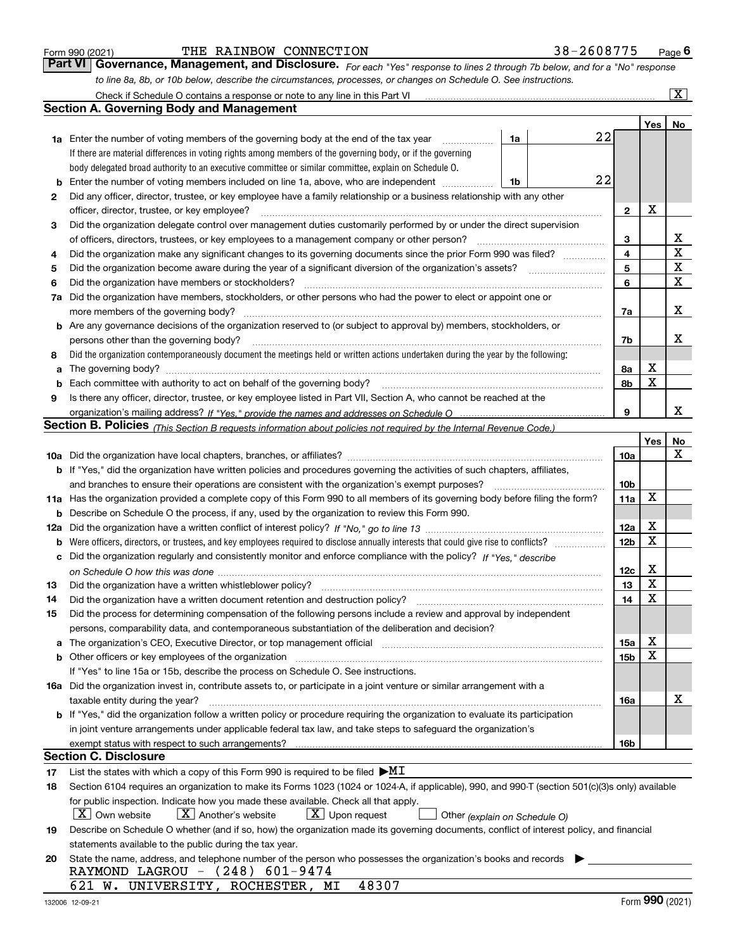|  | Form 990 (2021) |
|--|-----------------|
|  |                 |

| Form 990 (2021) | THE RAINBOW CONNECTION |  | 38-2608775                                                                                                                   | $P_{\text{aqe}}$ 6 |
|-----------------|------------------------|--|------------------------------------------------------------------------------------------------------------------------------|--------------------|
|                 |                        |  | Part VI Governance, Management, and Disclosure. For each "Yes" response to lines 2 through 7b below, and for a "No" response |                    |
|                 |                        |  | to line 8a, 8b, or 10b below, describe the circumstances, processes, or changes on Schedule O. See instructions.             |                    |

|    | Check if Schedule O contains a response or note to any line in this Part VI                                                                                                                                                    |                 |                  | $\overline{\textbf{X}}$ |
|----|--------------------------------------------------------------------------------------------------------------------------------------------------------------------------------------------------------------------------------|-----------------|------------------|-------------------------|
|    | Section A. Governing Body and Management                                                                                                                                                                                       |                 |                  |                         |
|    |                                                                                                                                                                                                                                |                 | Yes              | No                      |
|    | 22<br>1a<br><b>1a</b> Enter the number of voting members of the governing body at the end of the tax year<br>.                                                                                                                 |                 |                  |                         |
|    | If there are material differences in voting rights among members of the governing body, or if the governing                                                                                                                    |                 |                  |                         |
|    | body delegated broad authority to an executive committee or similar committee, explain on Schedule O.                                                                                                                          |                 |                  |                         |
| b  | 22<br>Enter the number of voting members included on line 1a, above, who are independent<br>1b                                                                                                                                 |                 |                  |                         |
| 2  | Did any officer, director, trustee, or key employee have a family relationship or a business relationship with any other                                                                                                       |                 |                  |                         |
|    | officer, director, trustee, or key employee?                                                                                                                                                                                   | $\mathbf{2}$    | X                |                         |
| 3  | Did the organization delegate control over management duties customarily performed by or under the direct supervision                                                                                                          |                 |                  |                         |
|    | of officers, directors, trustees, or key employees to a management company or other person?                                                                                                                                    | 3               |                  | х                       |
| 4  | Did the organization make any significant changes to its governing documents since the prior Form 990 was filed?                                                                                                               | 4               |                  | $\mathbf X$             |
| 5  | Did the organization become aware during the year of a significant diversion of the organization's assets?                                                                                                                     | 5               |                  | $\mathbf x$             |
| 6  | Did the organization have members or stockholders?                                                                                                                                                                             | 6               |                  | $\mathbf X$             |
| 7a | Did the organization have members, stockholders, or other persons who had the power to elect or appoint one or                                                                                                                 |                 |                  |                         |
|    | more members of the governing body?                                                                                                                                                                                            | 7a              |                  | х                       |
|    | <b>b</b> Are any governance decisions of the organization reserved to (or subject to approval by) members, stockholders, or                                                                                                    |                 |                  |                         |
|    | persons other than the governing body?                                                                                                                                                                                         | 7b              |                  | х                       |
| 8  | Did the organization contemporaneously document the meetings held or written actions undertaken during the year by the following:                                                                                              |                 |                  |                         |
| a  | The governing body?                                                                                                                                                                                                            | 8а              | Χ                |                         |
| b  | Each committee with authority to act on behalf of the governing body?                                                                                                                                                          | 8b              | X                |                         |
| 9  | Is there any officer, director, trustee, or key employee listed in Part VII, Section A, who cannot be reached at the                                                                                                           |                 |                  |                         |
|    |                                                                                                                                                                                                                                | 9               |                  | х                       |
|    | Section B. Policies <sub>(This Section B requests information about policies not required by the Internal Revenue Code.)</sub>                                                                                                 |                 |                  |                         |
|    |                                                                                                                                                                                                                                |                 | Yes <sub>1</sub> | No                      |
|    |                                                                                                                                                                                                                                | 10a             |                  | x                       |
|    | <b>b</b> If "Yes," did the organization have written policies and procedures governing the activities of such chapters, affiliates,                                                                                            |                 |                  |                         |
|    | and branches to ensure their operations are consistent with the organization's exempt purposes?                                                                                                                                | 10 <sub>b</sub> |                  |                         |
|    | 11a Has the organization provided a complete copy of this Form 990 to all members of its governing body before filing the form?                                                                                                | 11a             | х                |                         |
|    | <b>b</b> Describe on Schedule O the process, if any, used by the organization to review this Form 990.                                                                                                                         |                 |                  |                         |
|    |                                                                                                                                                                                                                                | 12a             | х                |                         |
|    |                                                                                                                                                                                                                                | 12 <sub>b</sub> | X                |                         |
|    | c Did the organization regularly and consistently monitor and enforce compliance with the policy? If "Yes," describe                                                                                                           |                 |                  |                         |
|    |                                                                                                                                                                                                                                | 12c             | х                |                         |
| 13 | Did the organization have a written whistleblower policy?                                                                                                                                                                      | 13              | X                |                         |
| 14 | Did the organization have a written document retention and destruction policy?                                                                                                                                                 | 14              | X                |                         |
| 15 | Did the process for determining compensation of the following persons include a review and approval by independent                                                                                                             |                 |                  |                         |
|    | persons, comparability data, and contemporaneous substantiation of the deliberation and decision?                                                                                                                              |                 |                  |                         |
|    | a The organization's CEO, Executive Director, or top management official manufactured content content of the organization's CEO, Executive Director, or top management official manufactured content of the state of the state | 15a             | х                |                         |
|    | b Other officers or key employees of the organization manufactured content to the organization manufactured content of the organization manufactured content of the organization manufactured content of the organization manu | 15b             | X                |                         |
|    | If "Yes" to line 15a or 15b, describe the process on Schedule O. See instructions.                                                                                                                                             |                 |                  |                         |
|    | 16a Did the organization invest in, contribute assets to, or participate in a joint venture or similar arrangement with a                                                                                                      |                 |                  |                         |
|    | taxable entity during the year?                                                                                                                                                                                                | 16a             |                  | х                       |
|    | b If "Yes," did the organization follow a written policy or procedure requiring the organization to evaluate its participation                                                                                                 |                 |                  |                         |
|    | in joint venture arrangements under applicable federal tax law, and take steps to safeguard the organization's                                                                                                                 |                 |                  |                         |
|    |                                                                                                                                                                                                                                | 16b             |                  |                         |
|    | Section C. Disclosure                                                                                                                                                                                                          |                 |                  |                         |
| 17 | List the states with which a copy of this Form 990 is required to be filed $\blacktriangleright$ MI                                                                                                                            |                 |                  |                         |
| 18 | Section 6104 requires an organization to make its Forms 1023 (1024 or 1024-A, if applicable), 990, and 990-T (section 501(c)(3)s only) available                                                                               |                 |                  |                         |
|    | for public inspection. Indicate how you made these available. Check all that apply.                                                                                                                                            |                 |                  |                         |
|    | X   Own website<br>$X$ Another's website<br>$ \mathbf{X} $ Upon request<br>Other (explain on Schedule O)                                                                                                                       |                 |                  |                         |
| 19 | Describe on Schedule O whether (and if so, how) the organization made its governing documents, conflict of interest policy, and financial                                                                                      |                 |                  |                         |
|    | statements available to the public during the tax year.                                                                                                                                                                        |                 |                  |                         |
| 20 | State the name, address, and telephone number of the person who possesses the organization's books and records                                                                                                                 |                 |                  |                         |
|    | RAYMOND LAGROU - (248) 601-9474                                                                                                                                                                                                |                 |                  |                         |
|    | 48307<br>621 W. UNIVERSITY, ROCHESTER, MI                                                                                                                                                                                      |                 |                  |                         |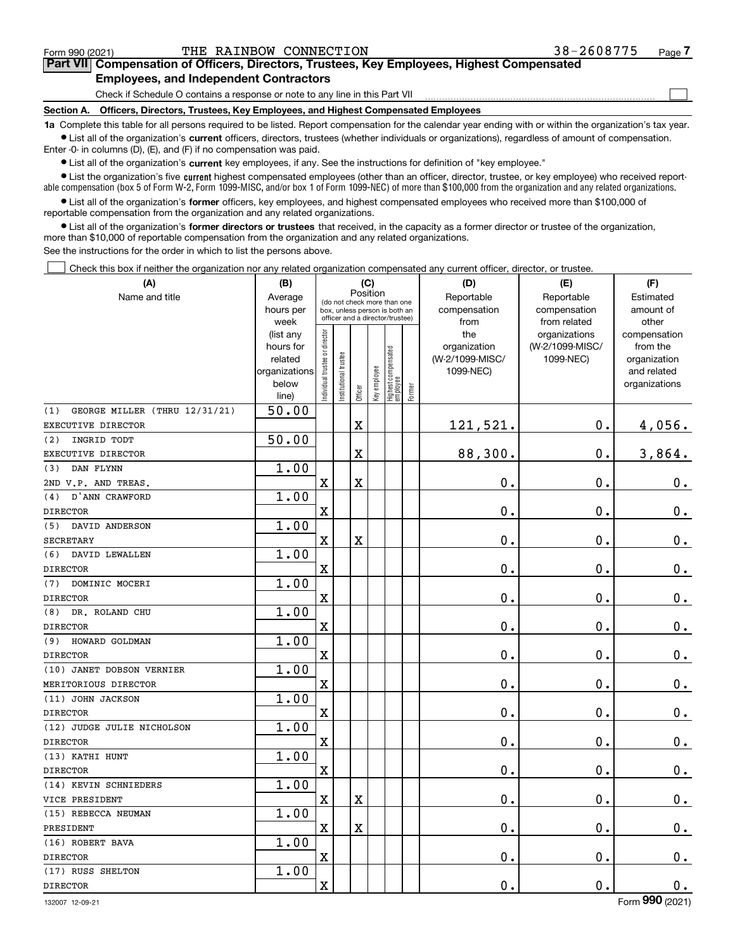$\mathcal{L}^{\text{max}}$ 

| Form 990 (2021) |                                               | THE RAINBOW CONNECTION | 38-2608775                                                                                 | Page <i>I</i> |
|-----------------|-----------------------------------------------|------------------------|--------------------------------------------------------------------------------------------|---------------|
|                 |                                               |                        | Part VII Compensation of Officers, Directors, Trustees, Key Employees, Highest Compensated |               |
|                 | <b>Employees, and Independent Contractors</b> |                        |                                                                                            |               |

Check if Schedule O contains a response or note to any line in this Part VII

**Section A. Officers, Directors, Trustees, Key Employees, and Highest Compensated Employees**

**1a**  Complete this table for all persons required to be listed. Report compensation for the calendar year ending with or within the organization's tax year. **•** List all of the organization's current officers, directors, trustees (whether individuals or organizations), regardless of amount of compensation.

Enter -0- in columns (D), (E), and (F) if no compensation was paid.

 $\bullet$  List all of the organization's  $\sf current$  key employees, if any. See the instructions for definition of "key employee."

**•** List the organization's five current highest compensated employees (other than an officer, director, trustee, or key employee) who received reportable compensation (box 5 of Form W-2, Form 1099-MISC, and/or box 1 of Form 1099-NEC) of more than \$100,000 from the organization and any related organizations.

**•** List all of the organization's former officers, key employees, and highest compensated employees who received more than \$100,000 of reportable compensation from the organization and any related organizations.

**former directors or trustees**  ¥ List all of the organization's that received, in the capacity as a former director or trustee of the organization, more than \$10,000 of reportable compensation from the organization and any related organizations.

See the instructions for the order in which to list the persons above.

Check this box if neither the organization nor any related organization compensated any current officer, director, or trustee.  $\mathcal{L}^{\text{max}}$ 

| (A)                                  | (B)                  |                               |                                                              | (C)                     |              |                                   |        | (D)                        | (E)                        | (F)                    |
|--------------------------------------|----------------------|-------------------------------|--------------------------------------------------------------|-------------------------|--------------|-----------------------------------|--------|----------------------------|----------------------------|------------------------|
| Name and title                       | Average<br>hours per |                               | (do not check more than one<br>box, unless person is both an | Position                |              |                                   |        | Reportable<br>compensation | Reportable<br>compensation | Estimated<br>amount of |
|                                      | week                 |                               | officer and a director/trustee)                              |                         |              |                                   |        | from                       | from related               | other                  |
|                                      | (list any            |                               |                                                              |                         |              |                                   |        | the                        | organizations              | compensation           |
|                                      | hours for            |                               |                                                              |                         |              |                                   |        | organization               | (W-2/1099-MISC/            | from the               |
|                                      | related              |                               |                                                              |                         |              |                                   |        | (W-2/1099-MISC/            | 1099-NEC)                  | organization           |
|                                      | organizations        |                               |                                                              |                         |              |                                   |        | 1099-NEC)                  |                            | and related            |
|                                      | below<br>line)       | ndividual trustee or director | nstitutional trustee                                         | Officer                 | Key employee | Highest compensated<br>  employee | Former |                            |                            | organizations          |
| GEORGE MILLER (THRU 12/31/21)<br>(1) | 50.00                |                               |                                                              |                         |              |                                   |        |                            |                            |                        |
| EXECUTIVE DIRECTOR                   |                      |                               |                                                              | $\overline{\textbf{X}}$ |              |                                   |        | 121,521.                   | 0.                         | 4,056.                 |
| INGRID TODT<br>(2)                   | 50.00                |                               |                                                              |                         |              |                                   |        |                            |                            |                        |
| EXECUTIVE DIRECTOR                   |                      |                               |                                                              | X                       |              |                                   |        | 88,300.                    | 0.                         | 3,864.                 |
| DAN FLYNN<br>(3)                     | 1.00                 |                               |                                                              |                         |              |                                   |        |                            |                            |                        |
| 2ND V.P. AND TREAS.                  |                      | $\mathbf x$                   |                                                              | $\overline{\textbf{X}}$ |              |                                   |        | 0.                         | $\mathbf 0$ .              | $0_{.}$                |
| D'ANN CRAWFORD<br>(4)                | 1.00                 |                               |                                                              |                         |              |                                   |        |                            |                            |                        |
| <b>DIRECTOR</b>                      |                      | $\mathbf x$                   |                                                              |                         |              |                                   |        | 0.                         | 0.                         | $0_{.}$                |
| (5)<br>DAVID ANDERSON                | 1.00                 |                               |                                                              |                         |              |                                   |        |                            |                            |                        |
| <b>SECRETARY</b>                     |                      | $\mathbf X$                   |                                                              | X                       |              |                                   |        | 0.                         | 0.                         | $0_{.}$                |
| (6)<br>DAVID LEWALLEN                | 1.00                 |                               |                                                              |                         |              |                                   |        |                            |                            |                        |
| <b>DIRECTOR</b>                      |                      | $\overline{\text{X}}$         |                                                              |                         |              |                                   |        | 0.                         | 0.                         | $0_{.}$                |
| DOMINIC MOCERI<br>(7)                | 1.00                 |                               |                                                              |                         |              |                                   |        |                            |                            |                        |
| <b>DIRECTOR</b>                      |                      | $\mathbf x$                   |                                                              |                         |              |                                   |        | 0.                         | 0.                         | $0_{.}$                |
| (8)<br>DR. ROLAND CHU                | 1.00                 |                               |                                                              |                         |              |                                   |        |                            |                            |                        |
| <b>DIRECTOR</b>                      |                      | $\overline{\textbf{X}}$       |                                                              |                         |              |                                   |        | 0.                         | $\mathbf 0$ .              | $\mathbf 0$ .          |
| (9)<br>HOWARD GOLDMAN                | 1.00                 |                               |                                                              |                         |              |                                   |        |                            |                            |                        |
| <b>DIRECTOR</b>                      |                      | $\rm X$                       |                                                              |                         |              |                                   |        | 0.                         | $\mathbf 0$ .              | $\mathbf 0$ .          |
| (10) JANET DOBSON VERNIER            | 1.00                 |                               |                                                              |                         |              |                                   |        |                            |                            |                        |
| MERITORIOUS DIRECTOR                 |                      | $\overline{\textbf{X}}$       |                                                              |                         |              |                                   |        | 0.                         | $\mathbf 0$ .              | $0_{.}$                |
| (11) JOHN JACKSON                    | 1.00                 |                               |                                                              |                         |              |                                   |        |                            |                            |                        |
| <b>DIRECTOR</b>                      |                      | $\mathbf X$                   |                                                              |                         |              |                                   |        | 0.                         | $\mathbf 0$ .              | $0_{.}$                |
| (12) JUDGE JULIE NICHOLSON           | 1.00                 |                               |                                                              |                         |              |                                   |        |                            |                            |                        |
| <b>DIRECTOR</b>                      |                      | $\mathbf x$                   |                                                              |                         |              |                                   |        | 0.                         | $\mathbf 0$ .              | $\mathbf 0$ .          |
| (13) KATHI HUNT                      | 1.00                 |                               |                                                              |                         |              |                                   |        |                            |                            |                        |
| <b>DIRECTOR</b>                      |                      | $\mathbf x$                   |                                                              |                         |              |                                   |        | $0$ .                      | $\mathbf 0$ .              | $0_{.}$                |
| (14) KEVIN SCHNIEDERS                | 1.00                 |                               |                                                              |                         |              |                                   |        |                            |                            |                        |
| VICE PRESIDENT                       |                      | X                             |                                                              | X                       |              |                                   |        | 0.                         | 0.                         | $0_{.}$                |
| (15) REBECCA NEUMAN                  | 1.00                 |                               |                                                              |                         |              |                                   |        |                            |                            |                        |
| PRESIDENT                            |                      | $\mathbf X$                   |                                                              | $\overline{\textbf{X}}$ |              |                                   |        | 0.                         | 0.                         | $0_{.}$                |
| (16) ROBERT BAVA                     | 1.00                 |                               |                                                              |                         |              |                                   |        |                            |                            |                        |
| <b>DIRECTOR</b>                      |                      | X                             |                                                              |                         |              |                                   |        | 0.                         | 0.                         | $\mathbf 0$ .          |
| (17) RUSS SHELTON                    | 1.00                 |                               |                                                              |                         |              |                                   |        |                            |                            |                        |
| <b>DIRECTOR</b>                      |                      | $\rm X$                       |                                                              |                         |              |                                   |        | 0.                         | 0.                         | $\mathbf 0$ .          |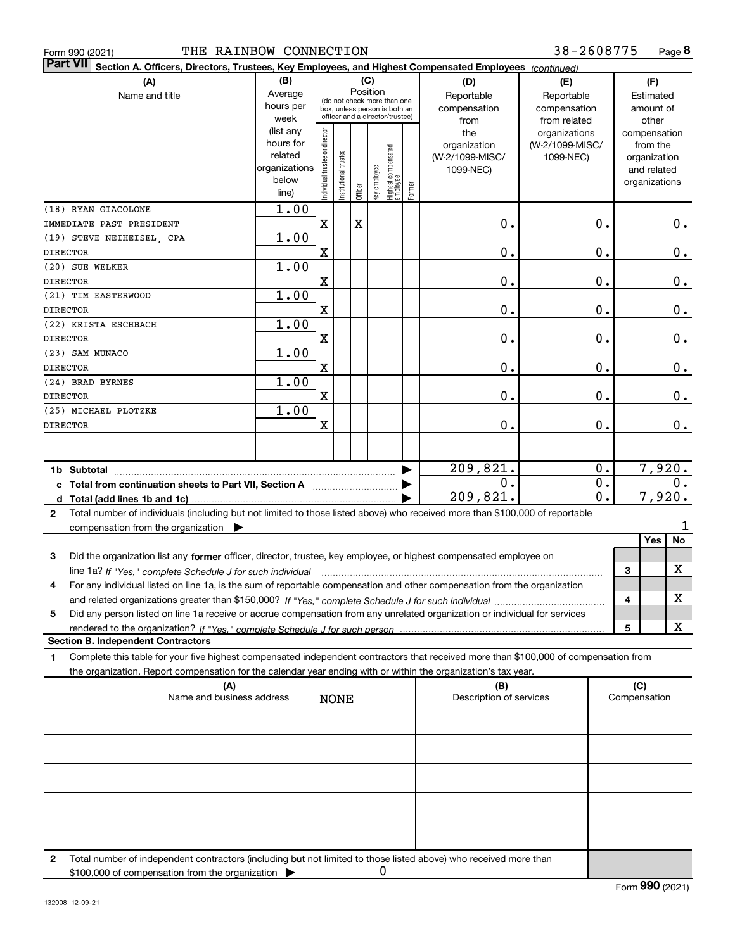| THE RAINBOW CONNECTION<br>Form 990 (2021)                                                                                                       |                        |                                |                       |          |     |                                                 |        |                         | 38-2608775      |                  |              |               | Page 8 |
|-------------------------------------------------------------------------------------------------------------------------------------------------|------------------------|--------------------------------|-----------------------|----------|-----|-------------------------------------------------|--------|-------------------------|-----------------|------------------|--------------|---------------|--------|
| <b>Part VII</b><br>Section A. Officers, Directors, Trustees, Key Employees, and Highest Compensated Employees (continued)                       |                        |                                |                       |          |     |                                                 |        |                         |                 |                  |              |               |        |
| (A)                                                                                                                                             | (B)                    |                                |                       |          | (C) |                                                 |        | (D)                     | (E)             |                  |              | (F)           |        |
| Name and title                                                                                                                                  | Average                |                                |                       | Position |     | (do not check more than one                     |        | Reportable              | Reportable      |                  |              | Estimated     |        |
|                                                                                                                                                 | hours per              |                                |                       |          |     | box, unless person is both an                   |        | compensation            | compensation    |                  |              | amount of     |        |
|                                                                                                                                                 | week                   |                                |                       |          |     | officer and a director/trustee)                 |        | from                    | from related    |                  |              | other         |        |
|                                                                                                                                                 | (list any              |                                |                       |          |     |                                                 |        | the                     | organizations   |                  |              | compensation  |        |
|                                                                                                                                                 | hours for              |                                |                       |          |     |                                                 |        | organization            | (W-2/1099-MISC/ |                  |              | from the      |        |
|                                                                                                                                                 | related                |                                |                       |          |     |                                                 |        | (W-2/1099-MISC/         | 1099-NEC)       |                  |              | organization  |        |
|                                                                                                                                                 | organizations<br>below |                                |                       |          |     |                                                 |        | 1099-NEC)               |                 |                  |              | and related   |        |
|                                                                                                                                                 | line)                  | Individual trustee or director | Institutional trustee | Officer  |     | key employee<br>Highest compensated<br>employee | Former |                         |                 |                  |              | organizations |        |
|                                                                                                                                                 | 1.00                   |                                |                       |          |     |                                                 |        |                         |                 |                  |              |               |        |
| (18) RYAN GIACOLONE<br>IMMEDIATE PAST PRESIDENT                                                                                                 |                        | X                              |                       | X        |     |                                                 |        | Ο.                      |                 | Ο.               |              |               |        |
| (19) STEVE NEIHEISEL, CPA                                                                                                                       | 1.00                   |                                |                       |          |     |                                                 |        |                         |                 |                  |              |               | 0.     |
| <b>DIRECTOR</b>                                                                                                                                 |                        | X                              |                       |          |     |                                                 |        | Ο.                      |                 | Ο.               |              |               |        |
| (20) SUE WELKER                                                                                                                                 | 1.00                   |                                |                       |          |     |                                                 |        |                         |                 |                  |              |               | $0$ .  |
| <b>DIRECTOR</b>                                                                                                                                 |                        | X                              |                       |          |     |                                                 |        | Ο.                      |                 | Ο.               |              |               | $0$ .  |
| (21) TIM EASTERWOOD                                                                                                                             | 1.00                   |                                |                       |          |     |                                                 |        |                         |                 |                  |              |               |        |
| <b>DIRECTOR</b>                                                                                                                                 |                        | X                              |                       |          |     |                                                 |        | Ο.                      |                 | Ο.               |              |               | $0$ .  |
| (22) KRISTA ESCHBACH                                                                                                                            | 1.00                   |                                |                       |          |     |                                                 |        |                         |                 |                  |              |               |        |
| <b>DIRECTOR</b>                                                                                                                                 |                        | X                              |                       |          |     |                                                 |        | Ο.                      |                 | Ο.               |              |               |        |
| (23) SAM MUNACO                                                                                                                                 | 1.00                   |                                |                       |          |     |                                                 |        |                         |                 |                  |              |               | $0$ .  |
| <b>DIRECTOR</b>                                                                                                                                 |                        | X                              |                       |          |     |                                                 |        | Ο.                      |                 | Ο.               |              |               | $0$ .  |
| (24) BRAD BYRNES                                                                                                                                | 1.00                   |                                |                       |          |     |                                                 |        |                         |                 |                  |              |               |        |
| <b>DIRECTOR</b>                                                                                                                                 |                        | X                              |                       |          |     |                                                 |        | Ο.                      |                 | Ο.               |              |               | $0$ .  |
| (25) MICHAEL PLOTZKE                                                                                                                            | 1.00                   |                                |                       |          |     |                                                 |        |                         |                 |                  |              |               |        |
| <b>DIRECTOR</b>                                                                                                                                 |                        | X                              |                       |          |     |                                                 |        | 0.                      |                 | Ο.               |              |               | $0$ .  |
|                                                                                                                                                 |                        |                                |                       |          |     |                                                 |        |                         |                 |                  |              |               |        |
|                                                                                                                                                 |                        |                                |                       |          |     |                                                 |        |                         |                 |                  |              |               |        |
|                                                                                                                                                 |                        |                                |                       |          |     |                                                 |        | 209,821.                |                 | 0.               |              | 7,920.        |        |
| c Total from continuation sheets to Part VII, Section A                                                                                         |                        |                                |                       |          |     |                                                 |        | 0.                      |                 | $\overline{0}$ . |              |               | 0.     |
|                                                                                                                                                 |                        |                                |                       |          |     |                                                 |        | 209,821.                |                 | 0.               |              | 7,920.        |        |
| Total number of individuals (including but not limited to those listed above) who received more than \$100,000 of reportable<br>$\mathbf{2}$    |                        |                                |                       |          |     |                                                 |        |                         |                 |                  |              |               |        |
| compensation from the organization $\blacktriangleright$                                                                                        |                        |                                |                       |          |     |                                                 |        |                         |                 |                  |              |               | 1      |
|                                                                                                                                                 |                        |                                |                       |          |     |                                                 |        |                         |                 |                  |              | Yes           | No     |
| 3<br>Did the organization list any former officer, director, trustee, key employee, or highest compensated employee on                          |                        |                                |                       |          |     |                                                 |        |                         |                 |                  |              |               |        |
| line 1a? If "Yes," complete Schedule J for such individual manufactured contained and the 1a? If "Yes," complete Schedule J for such individual |                        |                                |                       |          |     |                                                 |        |                         |                 |                  | З            |               | x      |
| For any individual listed on line 1a, is the sum of reportable compensation and other compensation from the organization                        |                        |                                |                       |          |     |                                                 |        |                         |                 |                  |              |               |        |
|                                                                                                                                                 |                        |                                |                       |          |     |                                                 |        |                         |                 |                  | 4            |               | x      |
| Did any person listed on line 1a receive or accrue compensation from any unrelated organization or individual for services<br>5                 |                        |                                |                       |          |     |                                                 |        |                         |                 |                  |              |               |        |
|                                                                                                                                                 |                        |                                |                       |          |     |                                                 |        |                         |                 |                  | 5            |               | х      |
| <b>Section B. Independent Contractors</b>                                                                                                       |                        |                                |                       |          |     |                                                 |        |                         |                 |                  |              |               |        |
| Complete this table for your five highest compensated independent contractors that received more than \$100,000 of compensation from<br>1.      |                        |                                |                       |          |     |                                                 |        |                         |                 |                  |              |               |        |
| the organization. Report compensation for the calendar year ending with or within the organization's tax year.                                  |                        |                                |                       |          |     |                                                 |        |                         |                 |                  |              |               |        |
| (A)                                                                                                                                             |                        |                                |                       |          |     |                                                 |        | (B)                     |                 |                  | (C)          |               |        |
| Name and business address                                                                                                                       |                        |                                | <b>NONE</b>           |          |     |                                                 |        | Description of services |                 |                  | Compensation |               |        |
|                                                                                                                                                 |                        |                                |                       |          |     |                                                 |        |                         |                 |                  |              |               |        |
|                                                                                                                                                 |                        |                                |                       |          |     |                                                 |        |                         |                 |                  |              |               |        |
|                                                                                                                                                 |                        |                                |                       |          |     |                                                 |        |                         |                 |                  |              |               |        |
|                                                                                                                                                 |                        |                                |                       |          |     |                                                 |        |                         |                 |                  |              |               |        |
|                                                                                                                                                 |                        |                                |                       |          |     |                                                 |        |                         |                 |                  |              |               |        |
|                                                                                                                                                 |                        |                                |                       |          |     |                                                 |        |                         |                 |                  |              |               |        |
|                                                                                                                                                 |                        |                                |                       |          |     |                                                 |        |                         |                 |                  |              |               |        |
|                                                                                                                                                 |                        |                                |                       |          |     |                                                 |        |                         |                 |                  |              |               |        |

**2** Total number of independent contractors (including but not limited to those listed above) who received more than \$100,000 of compensation from the organization 0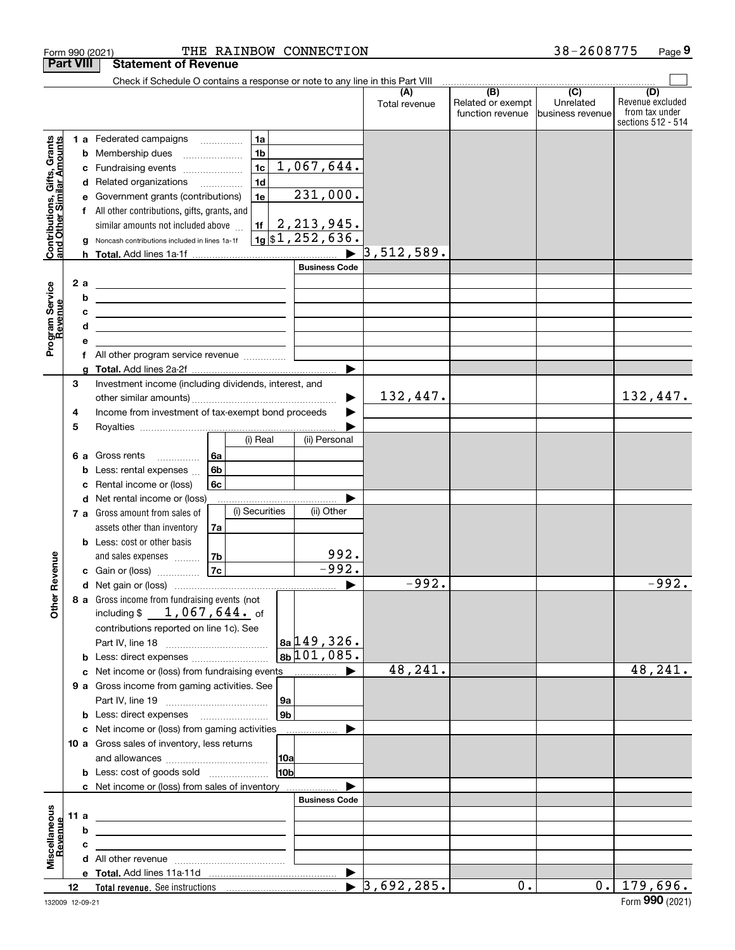|                                                           |                                                         |                                                       | Form 990 (2021)                                                                           |          |                |                 | THE RAINBOW CONNECTION                           |                                  |                                              | 38-2608775                                                 | Page 9                                                          |
|-----------------------------------------------------------|---------------------------------------------------------|-------------------------------------------------------|-------------------------------------------------------------------------------------------|----------|----------------|-----------------|--------------------------------------------------|----------------------------------|----------------------------------------------|------------------------------------------------------------|-----------------------------------------------------------------|
|                                                           | <b>Part VIII</b>                                        |                                                       | <b>Statement of Revenue</b>                                                               |          |                |                 |                                                  |                                  |                                              |                                                            |                                                                 |
|                                                           |                                                         |                                                       | Check if Schedule O contains a response or note to any line in this Part VIII             |          |                |                 |                                                  |                                  |                                              |                                                            |                                                                 |
|                                                           |                                                         |                                                       |                                                                                           |          |                |                 |                                                  | (A)<br>Total revenue             | (B)<br>Related or exempt<br>function revenue | $\overline{(\mathbf{C})}$<br>Unrelated<br>business revenue | (D)<br>Revenue excluded<br>from tax under<br>sections 512 - 514 |
|                                                           |                                                         |                                                       | 1 a Federated campaigns                                                                   |          | 1a             |                 |                                                  |                                  |                                              |                                                            |                                                                 |
| Contributions, Gifts, Grants<br>and Other Similar Amounts |                                                         |                                                       | <b>b</b> Membership dues                                                                  |          | 1 <sub>b</sub> |                 |                                                  |                                  |                                              |                                                            |                                                                 |
|                                                           |                                                         |                                                       | c Fundraising events <i>manually</i>                                                      |          | 1c             |                 | 1,067,644.                                       |                                  |                                              |                                                            |                                                                 |
|                                                           |                                                         |                                                       | d Related organizations                                                                   |          | 1 <sub>d</sub> |                 |                                                  |                                  |                                              |                                                            |                                                                 |
|                                                           |                                                         |                                                       | e Government grants (contributions)                                                       |          | 1e             |                 | 231,000.                                         |                                  |                                              |                                                            |                                                                 |
|                                                           |                                                         |                                                       | f All other contributions, gifts, grants, and                                             |          |                |                 |                                                  |                                  |                                              |                                                            |                                                                 |
|                                                           |                                                         |                                                       | similar amounts not included above                                                        |          | 1f             |                 | <u>2,213,945.</u>                                |                                  |                                              |                                                            |                                                                 |
|                                                           |                                                         |                                                       | g Noncash contributions included in lines 1a-1f                                           |          |                |                 | $\frac{1}{9}$ \\$1,252,636.                      |                                  |                                              |                                                            |                                                                 |
|                                                           |                                                         |                                                       |                                                                                           |          |                |                 |                                                  | $\triangleright$ 3,512,589.      |                                              |                                                            |                                                                 |
|                                                           |                                                         |                                                       |                                                                                           |          |                |                 | <b>Business Code</b>                             |                                  |                                              |                                                            |                                                                 |
|                                                           |                                                         | 2a                                                    | <u> 1989 - Johann Stein, mars an deus Amerikaansk kommunister (</u>                       |          |                |                 |                                                  |                                  |                                              |                                                            |                                                                 |
|                                                           |                                                         | b                                                     | <u> 1989 - Johann John Stone, markin fizikar (</u>                                        |          |                |                 |                                                  |                                  |                                              |                                                            |                                                                 |
|                                                           |                                                         | c                                                     | <u> 1989 - Johann Stein, mars an deutscher Stein († 1989)</u>                             |          |                |                 |                                                  |                                  |                                              |                                                            |                                                                 |
| Program Service<br>Revenue                                |                                                         | d                                                     | the control of the control of the control of the control of the control of the control of |          |                |                 |                                                  |                                  |                                              |                                                            |                                                                 |
|                                                           |                                                         |                                                       | All other program service revenue                                                         |          |                |                 |                                                  |                                  |                                              |                                                            |                                                                 |
|                                                           |                                                         |                                                       |                                                                                           |          |                |                 |                                                  |                                  |                                              |                                                            |                                                                 |
|                                                           | 3                                                       |                                                       |                                                                                           |          |                |                 |                                                  |                                  |                                              |                                                            |                                                                 |
|                                                           |                                                         | Investment income (including dividends, interest, and |                                                                                           |          |                |                 | ▶                                                | 132,447.                         |                                              |                                                            | 132,447.                                                        |
|                                                           | Income from investment of tax-exempt bond proceeds<br>4 |                                                       |                                                                                           |          |                |                 |                                                  |                                  |                                              |                                                            |                                                                 |
|                                                           | 5                                                       |                                                       |                                                                                           |          |                |                 |                                                  |                                  |                                              |                                                            |                                                                 |
|                                                           |                                                         |                                                       |                                                                                           |          | (i) Real       |                 | (ii) Personal                                    |                                  |                                              |                                                            |                                                                 |
|                                                           |                                                         |                                                       | 6 a Gross rents                                                                           | 6a       |                |                 |                                                  |                                  |                                              |                                                            |                                                                 |
|                                                           |                                                         |                                                       | <b>b</b> Less: rental expenses $\ldots$                                                   | 6b       |                |                 |                                                  |                                  |                                              |                                                            |                                                                 |
|                                                           |                                                         | с                                                     | Rental income or (loss)                                                                   | 6c       |                |                 |                                                  |                                  |                                              |                                                            |                                                                 |
|                                                           |                                                         |                                                       | d Net rental income or (loss)                                                             |          |                |                 |                                                  |                                  |                                              |                                                            |                                                                 |
|                                                           |                                                         |                                                       | <b>7 a</b> Gross amount from sales of                                                     |          | (i) Securities |                 | (ii) Other                                       |                                  |                                              |                                                            |                                                                 |
|                                                           |                                                         |                                                       | assets other than inventory                                                               | 7a       |                |                 |                                                  |                                  |                                              |                                                            |                                                                 |
|                                                           |                                                         |                                                       | <b>b</b> Less: cost or other basis                                                        |          |                |                 | 992.                                             |                                  |                                              |                                                            |                                                                 |
| venue                                                     |                                                         |                                                       | and sales expenses<br><b>c</b> Gain or (loss) $\ldots$                                    | 7b<br>7c |                |                 | $-992.$                                          |                                  |                                              |                                                            |                                                                 |
|                                                           |                                                         |                                                       |                                                                                           |          |                |                 |                                                  | $-992.$                          |                                              |                                                            | $-992.$                                                         |
| Other R                                                   |                                                         |                                                       | 8 a Gross income from fundraising events (not                                             |          |                |                 |                                                  |                                  |                                              |                                                            |                                                                 |
|                                                           |                                                         |                                                       | including $$1,067,644.$ of                                                                |          |                |                 |                                                  |                                  |                                              |                                                            |                                                                 |
|                                                           |                                                         |                                                       | contributions reported on line 1c). See                                                   |          |                |                 |                                                  |                                  |                                              |                                                            |                                                                 |
|                                                           |                                                         |                                                       |                                                                                           |          |                |                 | $ a_{\mathsf{a}} 149$ , 326 $\boldsymbol{\cdot}$ |                                  |                                              |                                                            |                                                                 |
|                                                           |                                                         |                                                       | <b>b</b> Less: direct expenses <i></i>                                                    |          |                |                 | 8b 101,085.                                      |                                  |                                              |                                                            |                                                                 |
|                                                           |                                                         |                                                       | c Net income or (loss) from fundraising events __                                         |          |                |                 | ▶                                                | 48,241.                          |                                              |                                                            | 48,241.                                                         |
|                                                           |                                                         |                                                       | 9 a Gross income from gaming activities. See                                              |          |                |                 |                                                  |                                  |                                              |                                                            |                                                                 |
|                                                           |                                                         |                                                       |                                                                                           |          |                | 9a              |                                                  |                                  |                                              |                                                            |                                                                 |
|                                                           |                                                         |                                                       |                                                                                           |          |                | 9 <sub>b</sub>  |                                                  |                                  |                                              |                                                            |                                                                 |
|                                                           |                                                         |                                                       | c Net income or (loss) from gaming activities                                             |          |                |                 | ▶                                                |                                  |                                              |                                                            |                                                                 |
|                                                           |                                                         |                                                       | 10 a Gross sales of inventory, less returns                                               |          |                | 10a             |                                                  |                                  |                                              |                                                            |                                                                 |
|                                                           |                                                         |                                                       |                                                                                           |          |                | 10 <sub>b</sub> |                                                  |                                  |                                              |                                                            |                                                                 |
|                                                           |                                                         |                                                       | <b>c</b> Net income or (loss) from sales of inventory                                     |          |                |                 |                                                  |                                  |                                              |                                                            |                                                                 |
|                                                           |                                                         |                                                       |                                                                                           |          |                |                 | <b>Business Code</b>                             |                                  |                                              |                                                            |                                                                 |
|                                                           | 11 a                                                    |                                                       |                                                                                           |          |                |                 |                                                  |                                  |                                              |                                                            |                                                                 |
|                                                           |                                                         | b                                                     |                                                                                           |          |                |                 |                                                  |                                  |                                              |                                                            |                                                                 |
| Miscellaneous<br>Revenue                                  |                                                         | c                                                     |                                                                                           |          |                |                 |                                                  |                                  |                                              |                                                            |                                                                 |
|                                                           |                                                         |                                                       |                                                                                           |          |                |                 |                                                  |                                  |                                              |                                                            |                                                                 |
|                                                           |                                                         |                                                       |                                                                                           |          |                |                 | ▶                                                |                                  |                                              |                                                            |                                                                 |
|                                                           | 12                                                      |                                                       |                                                                                           |          |                |                 |                                                  | $\blacktriangleright$ 3,692,285. | $0$ .                                        |                                                            | 0.179,696.                                                      |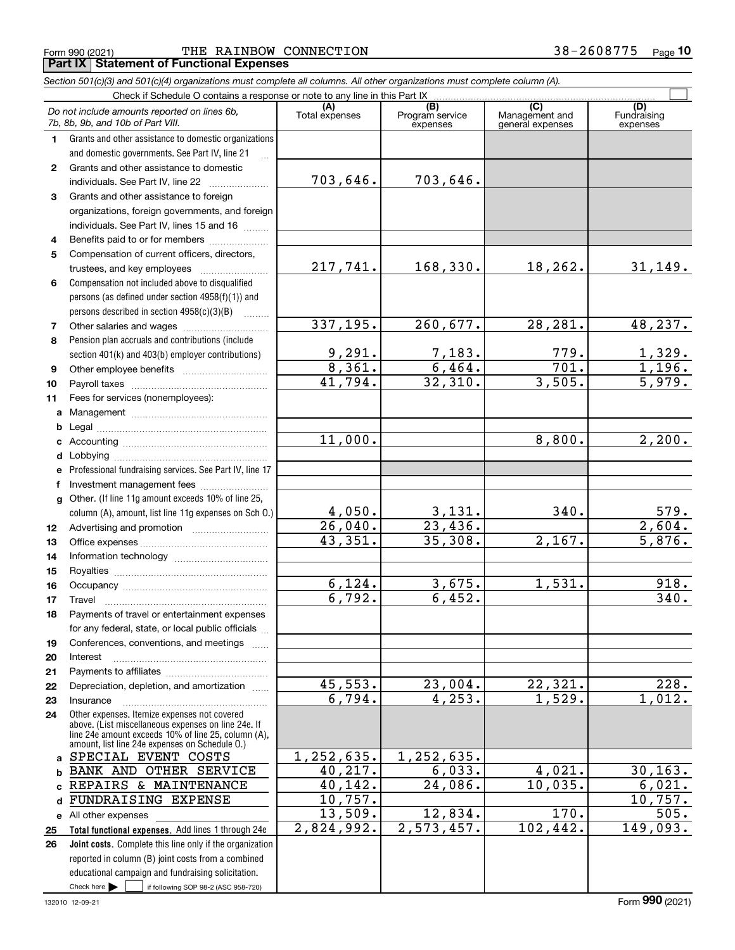Form 990 (2021) Page THE RAINBOW CONNECTION 38-2608775**Part IX Statement of Functional Expenses**

|              | Section 501(c)(3) and 501(c)(4) organizations must complete all columns. All other organizations must complete column (A).                                                                                   |                          |                                    |                                           |                                |
|--------------|--------------------------------------------------------------------------------------------------------------------------------------------------------------------------------------------------------------|--------------------------|------------------------------------|-------------------------------------------|--------------------------------|
|              | Check if Schedule O contains a response or note to any line in this Part IX.                                                                                                                                 |                          |                                    |                                           |                                |
|              | Do not include amounts reported on lines 6b,<br>7b, 8b, 9b, and 10b of Part VIII.                                                                                                                            | (A)<br>Total expenses    | (B)<br>Program service<br>expenses | (C)<br>Management and<br>general expenses | (D)<br>Fundraising<br>expenses |
| 1.           | Grants and other assistance to domestic organizations                                                                                                                                                        |                          |                                    |                                           |                                |
|              | and domestic governments. See Part IV, line 21                                                                                                                                                               |                          |                                    |                                           |                                |
| $\mathbf{2}$ | Grants and other assistance to domestic                                                                                                                                                                      |                          |                                    |                                           |                                |
|              | individuals. See Part IV, line 22                                                                                                                                                                            | 703,646.                 | 703,646.                           |                                           |                                |
| 3            | Grants and other assistance to foreign                                                                                                                                                                       |                          |                                    |                                           |                                |
|              | organizations, foreign governments, and foreign                                                                                                                                                              |                          |                                    |                                           |                                |
|              | individuals. See Part IV, lines 15 and 16                                                                                                                                                                    |                          |                                    |                                           |                                |
| 4            | Benefits paid to or for members                                                                                                                                                                              |                          |                                    |                                           |                                |
| 5            | Compensation of current officers, directors,                                                                                                                                                                 |                          |                                    |                                           |                                |
|              |                                                                                                                                                                                                              | 217,741.                 | 168,330.                           | 18,262.                                   | 31,149.                        |
| 6            | Compensation not included above to disqualified                                                                                                                                                              |                          |                                    |                                           |                                |
|              | persons (as defined under section 4958(f)(1)) and                                                                                                                                                            |                          |                                    |                                           |                                |
|              | persons described in section $4958(c)(3)(B)$<br>.                                                                                                                                                            |                          |                                    |                                           |                                |
| 7            |                                                                                                                                                                                                              | 337, 195.                | 260,677.                           | 28,281.                                   | 48, 237.                       |
| 8            | Pension plan accruals and contributions (include                                                                                                                                                             |                          |                                    |                                           |                                |
|              | section 401(k) and 403(b) employer contributions)                                                                                                                                                            | $\frac{9,291.}{8,361.}$  | $\frac{7,183.}{6,464.}$            | 779.                                      | <u>1,329.</u><br>1,196.        |
| 9            |                                                                                                                                                                                                              |                          |                                    | 701.                                      |                                |
| 10           |                                                                                                                                                                                                              | 41,794.                  | 32,310.                            | 3,505.                                    | 5,979.                         |
| 11           | Fees for services (nonemployees):                                                                                                                                                                            |                          |                                    |                                           |                                |
| a            |                                                                                                                                                                                                              |                          |                                    |                                           |                                |
| b            |                                                                                                                                                                                                              |                          |                                    |                                           |                                |
| c            |                                                                                                                                                                                                              | 11,000.                  |                                    | 8,800.                                    | 2,200.                         |
| d            |                                                                                                                                                                                                              |                          |                                    |                                           |                                |
| е            | Professional fundraising services. See Part IV, line 17                                                                                                                                                      |                          |                                    |                                           |                                |
| f            | Investment management fees                                                                                                                                                                                   |                          |                                    |                                           |                                |
| g            | Other. (If line 11g amount exceeds 10% of line 25,                                                                                                                                                           |                          |                                    |                                           |                                |
|              | column (A), amount, list line 11g expenses on Sch O.)                                                                                                                                                        | $\frac{4,050}{26,040}$ . | $\frac{3,131}{23,436}$ .           | 340.                                      | $\frac{579}{2,604}$            |
| 12           |                                                                                                                                                                                                              |                          |                                    |                                           |                                |
| 13           |                                                                                                                                                                                                              | 43,351.                  | 35,308.                            | 2,167.                                    | $\overline{5,876}$ .           |
| 14           |                                                                                                                                                                                                              |                          |                                    |                                           |                                |
| 15           |                                                                                                                                                                                                              |                          |                                    |                                           |                                |
| 16           |                                                                                                                                                                                                              | 6,124.                   | 3,675.                             | 1,531.                                    | 918.                           |
| 17           |                                                                                                                                                                                                              | 6,792.                   | 6,452.                             |                                           | 340.                           |
| 18           | Payments of travel or entertainment expenses                                                                                                                                                                 |                          |                                    |                                           |                                |
|              | for any federal, state, or local public officials                                                                                                                                                            |                          |                                    |                                           |                                |
| 19           | Conferences, conventions, and meetings                                                                                                                                                                       |                          |                                    |                                           |                                |
| 20           | Interest                                                                                                                                                                                                     |                          |                                    |                                           |                                |
| 21           |                                                                                                                                                                                                              |                          |                                    |                                           |                                |
| 22           | Depreciation, depletion, and amortization                                                                                                                                                                    | 45,553.                  | 23,004.                            | 22,321.                                   | 228.                           |
| 23           | Insurance                                                                                                                                                                                                    | 6,794.                   | 4,253.                             | 1,529.                                    | 1,012.                         |
| 24           | Other expenses. Itemize expenses not covered<br>above. (List miscellaneous expenses on line 24e. If<br>line 24e amount exceeds 10% of line 25, column (A).<br>amount, list line 24e expenses on Schedule 0.) |                          |                                    |                                           |                                |
| a            | SPECIAL EVENT COSTS                                                                                                                                                                                          | 1, 252, 635.             | 1,252,635.                         |                                           |                                |
| b            | BANK AND OTHER SERVICE                                                                                                                                                                                       | 40, 217.                 | 6,033.                             | 4,021.                                    | 30, 163.                       |
|              | REPAIRS & MAINTENANCE                                                                                                                                                                                        | 40,142.                  | 24,086.                            | 10,035.                                   | 6,021.                         |
| d            | FUNDRAISING EXPENSE                                                                                                                                                                                          | 10,757.                  |                                    |                                           | 10,757.                        |
|              | e All other expenses                                                                                                                                                                                         | 13,509.                  | 12,834.                            | 170.                                      | 505.                           |
| 25           | Total functional expenses. Add lines 1 through 24e                                                                                                                                                           | 2,824,992.               | 2,573,457.                         | 102,442.                                  | 149,093.                       |
| 26           | Joint costs. Complete this line only if the organization                                                                                                                                                     |                          |                                    |                                           |                                |
|              | reported in column (B) joint costs from a combined                                                                                                                                                           |                          |                                    |                                           |                                |
|              | educational campaign and fundraising solicitation.                                                                                                                                                           |                          |                                    |                                           |                                |
|              | Check here $\blacktriangleright$<br>if following SOP 98-2 (ASC 958-720)                                                                                                                                      |                          |                                    |                                           |                                |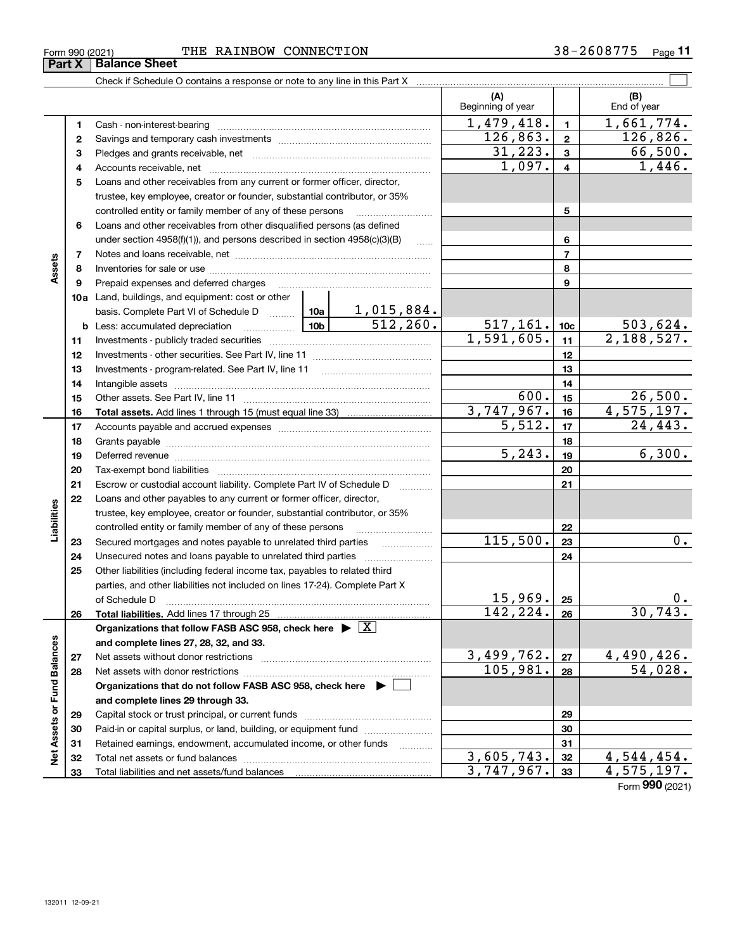| $\,$ - 260877 - ب $\,$<br>38–<br>CONNECTION<br>RAINBOW<br>THE<br>Form 990 (2021) | Page |
|----------------------------------------------------------------------------------|------|
|----------------------------------------------------------------------------------|------|

|                             |    | Check if Schedule O contains a response or note to any line in this Part X [11] manument contains the contains or note to any line in this Part X [11] manument contains the contains of the contains of the contains of the c |                          |                          |                         |                      |
|-----------------------------|----|--------------------------------------------------------------------------------------------------------------------------------------------------------------------------------------------------------------------------------|--------------------------|--------------------------|-------------------------|----------------------|
|                             |    |                                                                                                                                                                                                                                |                          | (A)<br>Beginning of year |                         | (B)<br>End of year   |
|                             | 1  | Cash - non-interest-bearing                                                                                                                                                                                                    |                          | 1,479,418.               | $\mathbf{1}$            | 1,661,774.           |
|                             | 2  |                                                                                                                                                                                                                                |                          | 126,863.                 | $\overline{2}$          | 126,826.             |
|                             | з  |                                                                                                                                                                                                                                |                          | 31,223.                  | $\overline{\mathbf{3}}$ | 66,500.              |
|                             | 4  |                                                                                                                                                                                                                                |                          | 1,097.                   | $\overline{\mathbf{4}}$ | $\overline{1,446}$ . |
|                             | 5  | Loans and other receivables from any current or former officer, director,                                                                                                                                                      |                          |                          |                         |                      |
|                             |    | trustee, key employee, creator or founder, substantial contributor, or 35%                                                                                                                                                     |                          |                          |                         |                      |
|                             |    | controlled entity or family member of any of these persons                                                                                                                                                                     |                          |                          | 5                       |                      |
|                             | 6  | Loans and other receivables from other disqualified persons (as defined                                                                                                                                                        |                          |                          |                         |                      |
|                             |    | under section $4958(f)(1)$ , and persons described in section $4958(c)(3)(B)$                                                                                                                                                  |                          | 6                        |                         |                      |
|                             | 7  |                                                                                                                                                                                                                                | <b>Secure</b>            |                          | $\overline{7}$          |                      |
| Assets                      | 8  |                                                                                                                                                                                                                                |                          |                          | 8                       |                      |
|                             | 9  | Prepaid expenses and deferred charges                                                                                                                                                                                          |                          |                          | 9                       |                      |
|                             |    | <b>10a</b> Land, buildings, and equipment: cost or other                                                                                                                                                                       |                          |                          |                         |                      |
|                             |    | basis. Complete Part VI of Schedule D    10a   1, 015, 884.                                                                                                                                                                    |                          |                          |                         |                      |
|                             |    | <u>  10b</u><br><b>b</b> Less: accumulated depreciation                                                                                                                                                                        | 512, 260.                | 517, 161.                | 10 <sub>c</sub>         | 503,624.             |
|                             | 11 | Investments - publicly traded securities                                                                                                                                                                                       |                          | 1,591,605.               | 11                      | 2,188,527.           |
|                             | 12 |                                                                                                                                                                                                                                |                          | 12                       |                         |                      |
|                             | 13 |                                                                                                                                                                                                                                |                          | 13                       |                         |                      |
|                             | 14 | Intangible assets with an annumerous contracts are all the contracts and an analysis of the contracts and the                                                                                                                  |                          | 14                       |                         |                      |
|                             | 15 |                                                                                                                                                                                                                                |                          | 600.                     | 15                      | 26,500.              |
|                             | 16 |                                                                                                                                                                                                                                |                          | 3,747,967.               | 16                      | 4,575,197.           |
|                             | 17 |                                                                                                                                                                                                                                |                          | 5,512.                   | 17                      | 24, 443.             |
|                             | 18 |                                                                                                                                                                                                                                |                          | 18                       |                         |                      |
|                             | 19 | Deferred revenue material contracts and a contract of the contract of the contract of the contract of the contract of the contract of the contract of the contract of the contract of the contract of the contract of the cont |                          | $\overline{5,243}$ .     | 19                      | 6,300.               |
|                             | 20 | Tax-exempt bond liabilities                                                                                                                                                                                                    |                          |                          | 20                      |                      |
|                             | 21 | Escrow or custodial account liability. Complete Part IV of Schedule D                                                                                                                                                          |                          |                          | 21                      |                      |
|                             | 22 | Loans and other payables to any current or former officer, director,                                                                                                                                                           |                          |                          |                         |                      |
| Liabilities                 |    | trustee, key employee, creator or founder, substantial contributor, or 35%                                                                                                                                                     |                          |                          |                         |                      |
|                             |    | controlled entity or family member of any of these persons                                                                                                                                                                     |                          |                          | 22                      |                      |
|                             | 23 | Secured mortgages and notes payable to unrelated third parties                                                                                                                                                                 |                          | 115,500.                 | 23                      | 0.                   |
|                             | 24 | Unsecured notes and loans payable to unrelated third parties                                                                                                                                                                   | $\overline{\phantom{a}}$ |                          | 24                      |                      |
|                             | 25 | Other liabilities (including federal income tax, payables to related third                                                                                                                                                     |                          |                          |                         |                      |
|                             |    | parties, and other liabilities not included on lines 17-24). Complete Part X                                                                                                                                                   |                          |                          |                         |                      |
|                             |    | of Schedule D                                                                                                                                                                                                                  |                          | 15,969.                  | 25                      | 0.                   |
|                             | 26 | Total liabilities. Add lines 17 through 25                                                                                                                                                                                     |                          | 142, 224.                | 26                      | 30, 743.             |
|                             |    | Organizations that follow FASB ASC 958, check here $\blacktriangleright \boxed{X}$                                                                                                                                             |                          |                          |                         |                      |
|                             |    | and complete lines 27, 28, 32, and 33.                                                                                                                                                                                         |                          |                          |                         |                      |
|                             | 27 | Net assets without donor restrictions                                                                                                                                                                                          |                          | 3,499,762.               | 27                      | 4,490,426.           |
|                             | 28 | Net assets with donor restrictions                                                                                                                                                                                             |                          | 105,981.                 | 28                      | 54,028.              |
| Net Assets or Fund Balances |    | Organizations that do not follow FASB ASC 958, check here $\blacktriangleright$                                                                                                                                                |                          |                          |                         |                      |
|                             |    | and complete lines 29 through 33.                                                                                                                                                                                              |                          |                          |                         |                      |
|                             | 29 | Capital stock or trust principal, or current funds                                                                                                                                                                             |                          |                          | 29                      |                      |
|                             | 30 | Paid-in or capital surplus, or land, building, or equipment fund                                                                                                                                                               |                          |                          | 30                      |                      |
|                             | 31 | Retained earnings, endowment, accumulated income, or other funds                                                                                                                                                               |                          |                          | 31                      |                      |
|                             | 32 |                                                                                                                                                                                                                                |                          | 3,605,743.               | 32                      | 4,544,454.           |
|                             | 33 |                                                                                                                                                                                                                                |                          | 3,747,967.               | 33                      | 4, 575, 197.         |
|                             |    |                                                                                                                                                                                                                                |                          |                          |                         |                      |

Form (2021) **990**

 $\overline{\phantom{0}}$ 

 $\overline{\phantom{0}}$ 

**Part X Balance Sheet**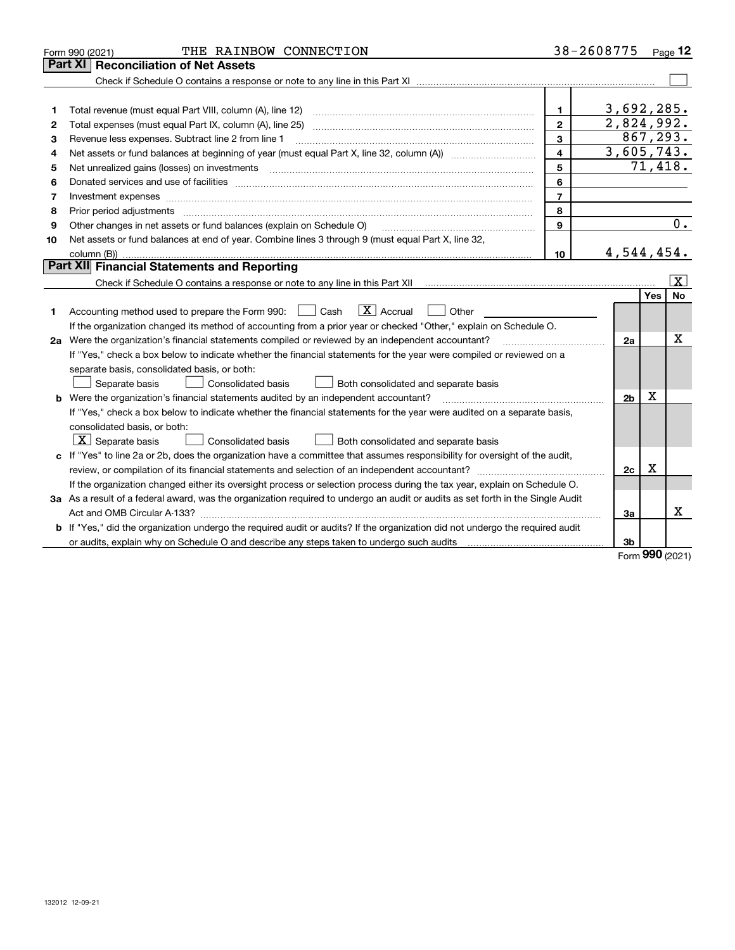|    | THE RAINBOW CONNECTION<br>Form 990 (2021)                                                                                            |                         | 38-2608775     |            | Page 12                 |
|----|--------------------------------------------------------------------------------------------------------------------------------------|-------------------------|----------------|------------|-------------------------|
|    | Part XI<br><b>Reconciliation of Net Assets</b>                                                                                       |                         |                |            |                         |
|    |                                                                                                                                      |                         |                |            |                         |
|    |                                                                                                                                      |                         |                |            |                         |
| 1  |                                                                                                                                      | $\mathbf{1}$            | 3,692,285.     |            |                         |
| 2  |                                                                                                                                      | $\mathbf{2}$            | 2,824,992.     |            |                         |
| 3  | Revenue less expenses. Subtract line 2 from line 1                                                                                   | 3                       | 867, 293.      |            |                         |
| 4  |                                                                                                                                      | $\overline{\mathbf{4}}$ | 3,605,743.     |            |                         |
| 5  |                                                                                                                                      | 5                       |                |            | 71,418.                 |
| 6  |                                                                                                                                      | 6                       |                |            |                         |
| 7  | Investment expenses www.communication.com/www.communication.com/www.communication.com/www.communication.com                          | $\overline{7}$          |                |            |                         |
| 8  | Prior period adjustments                                                                                                             | 8                       |                |            |                         |
| 9  | Other changes in net assets or fund balances (explain on Schedule O)                                                                 | 9                       |                |            | 0.                      |
| 10 | Net assets or fund balances at end of year. Combine lines 3 through 9 (must equal Part X, line 32,                                   |                         |                |            |                         |
|    |                                                                                                                                      | 10                      | 4,544,454.     |            |                         |
|    | Part XII Financial Statements and Reporting                                                                                          |                         |                |            |                         |
|    |                                                                                                                                      |                         |                |            | $\overline{\mathbf{X}}$ |
|    |                                                                                                                                      |                         |                | <b>Yes</b> | <b>No</b>               |
| 1  | $\boxed{\mathbf{X}}$ Accrual<br>Accounting method used to prepare the Form 990: <u>[</u> Cash<br>Other                               |                         |                |            |                         |
|    | If the organization changed its method of accounting from a prior year or checked "Other," explain on Schedule O.                    |                         |                |            |                         |
|    | 2a Were the organization's financial statements compiled or reviewed by an independent accountant?                                   |                         | 2a             |            | х                       |
|    | If "Yes," check a box below to indicate whether the financial statements for the year were compiled or reviewed on a                 |                         |                |            |                         |
|    | separate basis, consolidated basis, or both:                                                                                         |                         |                |            |                         |
|    | Separate basis<br>Consolidated basis<br>Both consolidated and separate basis                                                         |                         |                |            |                         |
|    | <b>b</b> Were the organization's financial statements audited by an independent accountant?                                          |                         | 2 <sub>b</sub> | х          |                         |
|    | If "Yes," check a box below to indicate whether the financial statements for the year were audited on a separate basis,              |                         |                |            |                         |
|    | consolidated basis, or both:                                                                                                         |                         |                |            |                         |
|    | $ \mathbf{X} $ Separate basis<br>Consolidated basis<br>Both consolidated and separate basis                                          |                         |                |            |                         |
|    | c If "Yes" to line 2a or 2b, does the organization have a committee that assumes responsibility for oversight of the audit,          |                         |                |            |                         |
|    |                                                                                                                                      |                         | 2c             | х          |                         |
|    | If the organization changed either its oversight process or selection process during the tax year, explain on Schedule O.            |                         |                |            |                         |
|    | 3a As a result of a federal award, was the organization required to undergo an audit or audits as set forth in the Single Audit      |                         |                |            |                         |
|    |                                                                                                                                      |                         | За             |            | x                       |
|    | <b>b</b> If "Yes," did the organization undergo the required audit or audits? If the organization did not undergo the required audit |                         |                |            |                         |
|    |                                                                                                                                      |                         | 3 <sub>b</sub> |            |                         |

Form (2021) **990**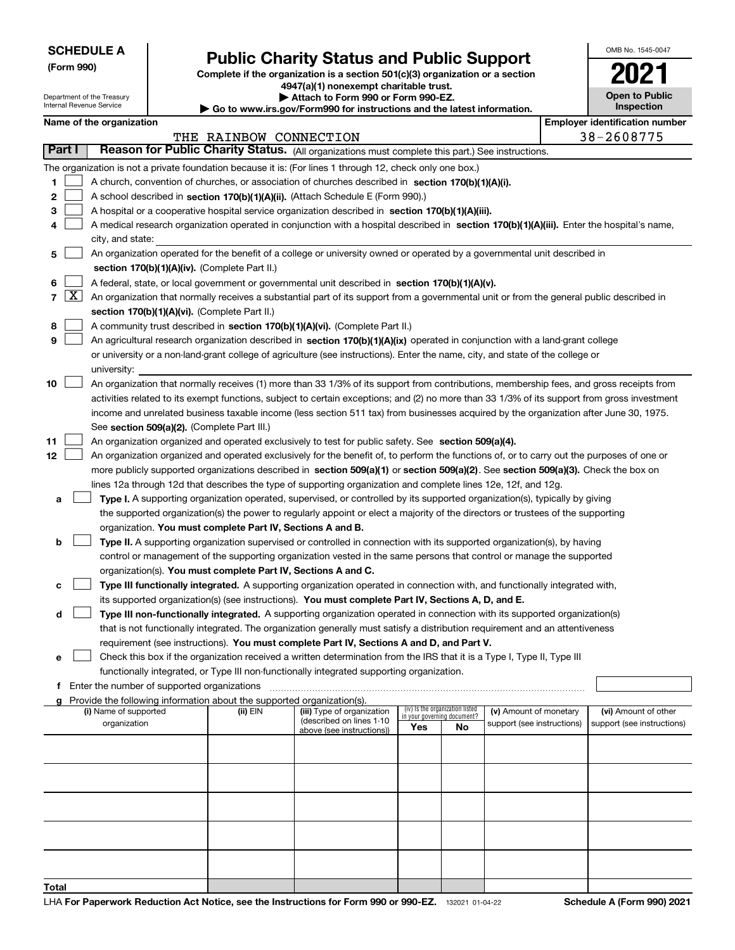Department of the Treasury Internal Revenue Service

**(Form 990)**

**Total**

# **Public Charity Status and Public Support**

**Complete if the organization is a section 501(c)(3) organization or a section**

**4947(a)(1) nonexempt charitable trust. | Attach to Form 990 or Form 990-EZ.** 

**| Go to www.irs.gov/Form990 for instructions and the latest information.**

| OMB No 1545-0047                    |
|-------------------------------------|
| 02                                  |
| <b>Open to Public</b><br>Inspection |

|        |       | Name of the organization                                                                                                                                                              |                        |                                                       |                             |                                 |                            |  | <b>Employer identification number</b> |  |  |
|--------|-------|---------------------------------------------------------------------------------------------------------------------------------------------------------------------------------------|------------------------|-------------------------------------------------------|-----------------------------|---------------------------------|----------------------------|--|---------------------------------------|--|--|
| Part I |       |                                                                                                                                                                                       | THE RAINBOW CONNECTION |                                                       |                             |                                 |                            |  | 38-2608775                            |  |  |
|        |       | Reason for Public Charity Status. (All organizations must complete this part.) See instructions.                                                                                      |                        |                                                       |                             |                                 |                            |  |                                       |  |  |
|        |       | The organization is not a private foundation because it is: (For lines 1 through 12, check only one box.)                                                                             |                        |                                                       |                             |                                 |                            |  |                                       |  |  |
| 1      |       | A church, convention of churches, or association of churches described in section 170(b)(1)(A)(i).                                                                                    |                        |                                                       |                             |                                 |                            |  |                                       |  |  |
| 2      |       | A school described in section 170(b)(1)(A)(ii). (Attach Schedule E (Form 990).)                                                                                                       |                        |                                                       |                             |                                 |                            |  |                                       |  |  |
| 3      |       | A hospital or a cooperative hospital service organization described in section 170(b)(1)(A)(iii).                                                                                     |                        |                                                       |                             |                                 |                            |  |                                       |  |  |
| 4      |       | A medical research organization operated in conjunction with a hospital described in section 170(b)(1)(A)(iii). Enter the hospital's name,                                            |                        |                                                       |                             |                                 |                            |  |                                       |  |  |
|        |       | city, and state:                                                                                                                                                                      |                        |                                                       |                             |                                 |                            |  |                                       |  |  |
| 5      |       | An organization operated for the benefit of a college or university owned or operated by a governmental unit described in                                                             |                        |                                                       |                             |                                 |                            |  |                                       |  |  |
|        |       | section 170(b)(1)(A)(iv). (Complete Part II.)                                                                                                                                         |                        |                                                       |                             |                                 |                            |  |                                       |  |  |
| 6      |       | A federal, state, or local government or governmental unit described in section 170(b)(1)(A)(v).                                                                                      |                        |                                                       |                             |                                 |                            |  |                                       |  |  |
|        | 7   X | An organization that normally receives a substantial part of its support from a governmental unit or from the general public described in                                             |                        |                                                       |                             |                                 |                            |  |                                       |  |  |
|        |       | section 170(b)(1)(A)(vi). (Complete Part II.)                                                                                                                                         |                        |                                                       |                             |                                 |                            |  |                                       |  |  |
| 8      |       | A community trust described in section 170(b)(1)(A)(vi). (Complete Part II.)                                                                                                          |                        |                                                       |                             |                                 |                            |  |                                       |  |  |
| 9      |       | An agricultural research organization described in section 170(b)(1)(A)(ix) operated in conjunction with a land-grant college                                                         |                        |                                                       |                             |                                 |                            |  |                                       |  |  |
|        |       | or university or a non-land-grant college of agriculture (see instructions). Enter the name, city, and state of the college or                                                        |                        |                                                       |                             |                                 |                            |  |                                       |  |  |
|        |       | university:                                                                                                                                                                           |                        |                                                       |                             |                                 |                            |  |                                       |  |  |
| 10     |       | An organization that normally receives (1) more than 33 1/3% of its support from contributions, membership fees, and gross receipts from                                              |                        |                                                       |                             |                                 |                            |  |                                       |  |  |
|        |       | activities related to its exempt functions, subject to certain exceptions; and (2) no more than 33 1/3% of its support from gross investment                                          |                        |                                                       |                             |                                 |                            |  |                                       |  |  |
|        |       | income and unrelated business taxable income (less section 511 tax) from businesses acquired by the organization after June 30, 1975.                                                 |                        |                                                       |                             |                                 |                            |  |                                       |  |  |
|        |       | See section 509(a)(2). (Complete Part III.)                                                                                                                                           |                        |                                                       |                             |                                 |                            |  |                                       |  |  |
| 11     |       | An organization organized and operated exclusively to test for public safety. See section 509(a)(4).                                                                                  |                        |                                                       |                             |                                 |                            |  |                                       |  |  |
| 12     |       | An organization organized and operated exclusively for the benefit of, to perform the functions of, or to carry out the purposes of one or                                            |                        |                                                       |                             |                                 |                            |  |                                       |  |  |
|        |       | more publicly supported organizations described in section 509(a)(1) or section 509(a)(2). See section 509(a)(3). Check the box on                                                    |                        |                                                       |                             |                                 |                            |  |                                       |  |  |
|        |       | lines 12a through 12d that describes the type of supporting organization and complete lines 12e, 12f, and 12g.                                                                        |                        |                                                       |                             |                                 |                            |  |                                       |  |  |
| а      |       | Type I. A supporting organization operated, supervised, or controlled by its supported organization(s), typically by giving                                                           |                        |                                                       |                             |                                 |                            |  |                                       |  |  |
|        |       | the supported organization(s) the power to regularly appoint or elect a majority of the directors or trustees of the supporting                                                       |                        |                                                       |                             |                                 |                            |  |                                       |  |  |
| b      |       | organization. You must complete Part IV, Sections A and B.<br>Type II. A supporting organization supervised or controlled in connection with its supported organization(s), by having |                        |                                                       |                             |                                 |                            |  |                                       |  |  |
|        |       | control or management of the supporting organization vested in the same persons that control or manage the supported                                                                  |                        |                                                       |                             |                                 |                            |  |                                       |  |  |
|        |       | organization(s). You must complete Part IV, Sections A and C.                                                                                                                         |                        |                                                       |                             |                                 |                            |  |                                       |  |  |
|        |       | Type III functionally integrated. A supporting organization operated in connection with, and functionally integrated with,                                                            |                        |                                                       |                             |                                 |                            |  |                                       |  |  |
| с      |       | its supported organization(s) (see instructions). You must complete Part IV, Sections A, D, and E.                                                                                    |                        |                                                       |                             |                                 |                            |  |                                       |  |  |
| d      |       | Type III non-functionally integrated. A supporting organization operated in connection with its supported organization(s)                                                             |                        |                                                       |                             |                                 |                            |  |                                       |  |  |
|        |       | that is not functionally integrated. The organization generally must satisfy a distribution requirement and an attentiveness                                                          |                        |                                                       |                             |                                 |                            |  |                                       |  |  |
|        |       | requirement (see instructions). You must complete Part IV, Sections A and D, and Part V.                                                                                              |                        |                                                       |                             |                                 |                            |  |                                       |  |  |
| е      |       | Check this box if the organization received a written determination from the IRS that it is a Type I, Type II, Type III                                                               |                        |                                                       |                             |                                 |                            |  |                                       |  |  |
|        |       | functionally integrated, or Type III non-functionally integrated supporting organization.                                                                                             |                        |                                                       |                             |                                 |                            |  |                                       |  |  |
| f      |       | Enter the number of supported organizations                                                                                                                                           |                        |                                                       |                             |                                 |                            |  |                                       |  |  |
|        |       | Provide the following information about the supported organization(s).                                                                                                                |                        |                                                       |                             |                                 |                            |  |                                       |  |  |
|        |       | (i) Name of supported                                                                                                                                                                 | (ii) EIN               | (iii) Type of organization                            | in your governing document? | (iv) Is the organization listed | (v) Amount of monetary     |  | (vi) Amount of other                  |  |  |
|        |       | organization                                                                                                                                                                          |                        | (described on lines 1-10<br>above (see instructions)) | Yes                         | No                              | support (see instructions) |  | support (see instructions)            |  |  |
|        |       |                                                                                                                                                                                       |                        |                                                       |                             |                                 |                            |  |                                       |  |  |
|        |       |                                                                                                                                                                                       |                        |                                                       |                             |                                 |                            |  |                                       |  |  |
|        |       |                                                                                                                                                                                       |                        |                                                       |                             |                                 |                            |  |                                       |  |  |
|        |       |                                                                                                                                                                                       |                        |                                                       |                             |                                 |                            |  |                                       |  |  |
|        |       |                                                                                                                                                                                       |                        |                                                       |                             |                                 |                            |  |                                       |  |  |
|        |       |                                                                                                                                                                                       |                        |                                                       |                             |                                 |                            |  |                                       |  |  |
|        |       |                                                                                                                                                                                       |                        |                                                       |                             |                                 |                            |  |                                       |  |  |
|        |       |                                                                                                                                                                                       |                        |                                                       |                             |                                 |                            |  |                                       |  |  |
|        |       |                                                                                                                                                                                       |                        |                                                       |                             |                                 |                            |  |                                       |  |  |
|        |       |                                                                                                                                                                                       |                        |                                                       |                             |                                 |                            |  |                                       |  |  |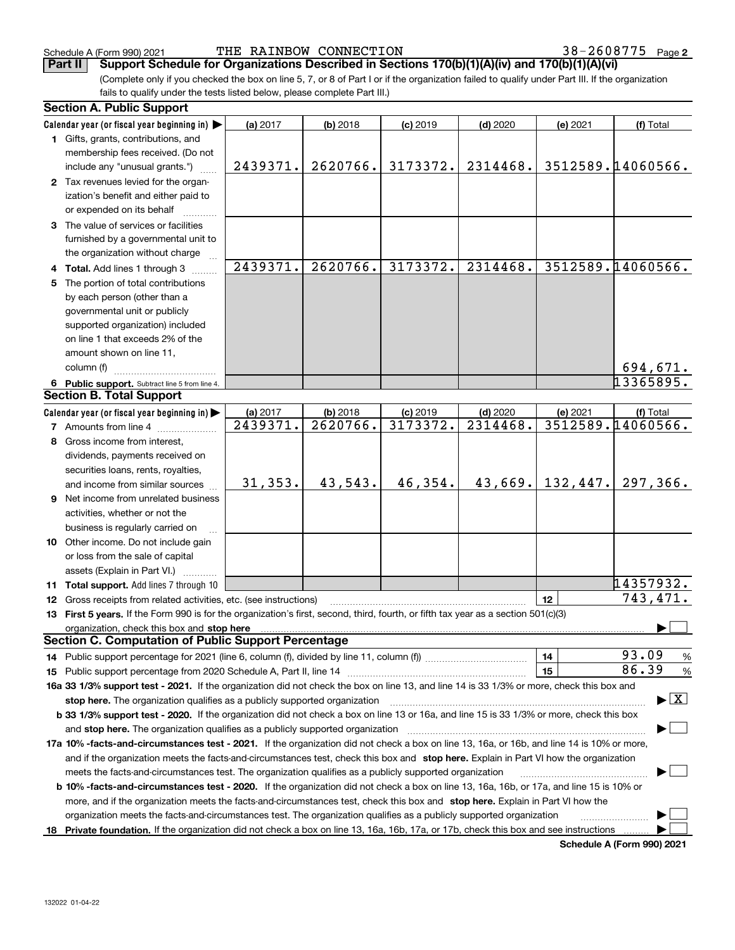(Complete only if you checked the box on line 5, 7, or 8 of Part I or if the organization failed to qualify under Part III. If the organization fails to qualify under the tests listed below, please complete Part III.) **Part II Support Schedule for Organizations Described in Sections 170(b)(1)(A)(iv) and 170(b)(1)(A)(vi)**

|    | <b>Section A. Public Support</b>                                                                                                                                                                                                                                                             |          |            |            |                        |          |                                          |
|----|----------------------------------------------------------------------------------------------------------------------------------------------------------------------------------------------------------------------------------------------------------------------------------------------|----------|------------|------------|------------------------|----------|------------------------------------------|
|    | Calendar year (or fiscal year beginning in)                                                                                                                                                                                                                                                  | (a) 2017 | $(b)$ 2018 | $(c)$ 2019 | $(d)$ 2020             | (e) 2021 | (f) Total                                |
|    | 1 Gifts, grants, contributions, and                                                                                                                                                                                                                                                          |          |            |            |                        |          |                                          |
|    | membership fees received. (Do not                                                                                                                                                                                                                                                            |          |            |            |                        |          |                                          |
|    | include any "unusual grants.")                                                                                                                                                                                                                                                               | 2439371. | 2620766.   | 3173372.   | 2314468.               |          | 3512589.14060566.                        |
|    | 2 Tax revenues levied for the organ-                                                                                                                                                                                                                                                         |          |            |            |                        |          |                                          |
|    | ization's benefit and either paid to                                                                                                                                                                                                                                                         |          |            |            |                        |          |                                          |
|    | or expended on its behalf                                                                                                                                                                                                                                                                    |          |            |            |                        |          |                                          |
|    | 3 The value of services or facilities                                                                                                                                                                                                                                                        |          |            |            |                        |          |                                          |
|    | furnished by a governmental unit to                                                                                                                                                                                                                                                          |          |            |            |                        |          |                                          |
|    | the organization without charge                                                                                                                                                                                                                                                              |          |            |            |                        |          |                                          |
|    | 4 Total. Add lines 1 through 3                                                                                                                                                                                                                                                               | 2439371. | 2620766.   | 3173372.   | $\overline{2314468}$ . |          | 3512589.14060566.                        |
| 5. | The portion of total contributions                                                                                                                                                                                                                                                           |          |            |            |                        |          |                                          |
|    | by each person (other than a                                                                                                                                                                                                                                                                 |          |            |            |                        |          |                                          |
|    | governmental unit or publicly                                                                                                                                                                                                                                                                |          |            |            |                        |          |                                          |
|    | supported organization) included                                                                                                                                                                                                                                                             |          |            |            |                        |          |                                          |
|    |                                                                                                                                                                                                                                                                                              |          |            |            |                        |          |                                          |
|    | on line 1 that exceeds 2% of the                                                                                                                                                                                                                                                             |          |            |            |                        |          |                                          |
|    | amount shown on line 11,                                                                                                                                                                                                                                                                     |          |            |            |                        |          |                                          |
|    | column (f)                                                                                                                                                                                                                                                                                   |          |            |            |                        |          | 694,671.                                 |
|    | 6 Public support. Subtract line 5 from line 4.                                                                                                                                                                                                                                               |          |            |            |                        |          | 13365895.                                |
|    | <b>Section B. Total Support</b>                                                                                                                                                                                                                                                              |          |            |            |                        |          |                                          |
|    | Calendar year (or fiscal year beginning in)                                                                                                                                                                                                                                                  | (a) 2017 | $(b)$ 2018 | $(c)$ 2019 | $(d)$ 2020             | (e) 2021 | (f) Total                                |
|    | <b>7</b> Amounts from line 4                                                                                                                                                                                                                                                                 | 2439371. | 2620766.   | 3173372.   | 2314468.               |          | 3512589.14060566.                        |
|    | 8 Gross income from interest,                                                                                                                                                                                                                                                                |          |            |            |                        |          |                                          |
|    | dividends, payments received on                                                                                                                                                                                                                                                              |          |            |            |                        |          |                                          |
|    | securities loans, rents, royalties,                                                                                                                                                                                                                                                          |          |            |            |                        |          |                                          |
|    | and income from similar sources                                                                                                                                                                                                                                                              | 31, 353. | 43,543.    | 46,354.    | 43,669.                | 132,447. | 297,366.                                 |
|    | 9 Net income from unrelated business                                                                                                                                                                                                                                                         |          |            |            |                        |          |                                          |
|    | activities, whether or not the                                                                                                                                                                                                                                                               |          |            |            |                        |          |                                          |
|    | business is regularly carried on                                                                                                                                                                                                                                                             |          |            |            |                        |          |                                          |
|    | 10 Other income. Do not include gain                                                                                                                                                                                                                                                         |          |            |            |                        |          |                                          |
|    | or loss from the sale of capital                                                                                                                                                                                                                                                             |          |            |            |                        |          |                                          |
|    |                                                                                                                                                                                                                                                                                              |          |            |            |                        |          |                                          |
|    | assets (Explain in Part VI.)                                                                                                                                                                                                                                                                 |          |            |            |                        |          | 14357932.                                |
|    | 11 Total support. Add lines 7 through 10                                                                                                                                                                                                                                                     |          |            |            |                        |          | 743,471.                                 |
|    | 12 Gross receipts from related activities, etc. (see instructions)                                                                                                                                                                                                                           |          |            |            |                        | 12       |                                          |
|    | 13 First 5 years. If the Form 990 is for the organization's first, second, third, fourth, or fifth tax year as a section 501(c)(3)                                                                                                                                                           |          |            |            |                        |          |                                          |
|    | organization, check this box and stop here manufactured and according to the state of the state of the state of the state of the state of the state of the state of the state of the state of the state of the state of the st<br><b>Section C. Computation of Public Support Percentage</b> |          |            |            |                        |          |                                          |
|    |                                                                                                                                                                                                                                                                                              |          |            |            |                        |          | 93.09                                    |
|    |                                                                                                                                                                                                                                                                                              |          |            |            |                        | 14       | %<br>86.39                               |
|    |                                                                                                                                                                                                                                                                                              |          |            |            |                        | 15       | $\%$                                     |
|    | 16a 33 1/3% support test - 2021. If the organization did not check the box on line 13, and line 14 is 33 1/3% or more, check this box and                                                                                                                                                    |          |            |            |                        |          |                                          |
|    | stop here. The organization qualifies as a publicly supported organization                                                                                                                                                                                                                   |          |            |            |                        |          | $\blacktriangleright$ $\boxed{\text{X}}$ |
|    | b 33 1/3% support test - 2020. If the organization did not check a box on line 13 or 16a, and line 15 is 33 1/3% or more, check this box                                                                                                                                                     |          |            |            |                        |          |                                          |
|    | and stop here. The organization qualifies as a publicly supported organization                                                                                                                                                                                                               |          |            |            |                        |          |                                          |
|    | 17a 10% -facts-and-circumstances test - 2021. If the organization did not check a box on line 13, 16a, or 16b, and line 14 is 10% or more,                                                                                                                                                   |          |            |            |                        |          |                                          |
|    | and if the organization meets the facts-and-circumstances test, check this box and stop here. Explain in Part VI how the organization                                                                                                                                                        |          |            |            |                        |          |                                          |
|    | meets the facts-and-circumstances test. The organization qualifies as a publicly supported organization                                                                                                                                                                                      |          |            |            |                        |          |                                          |
|    | <b>b 10% -facts-and-circumstances test - 2020.</b> If the organization did not check a box on line 13, 16a, 16b, or 17a, and line 15 is 10% or                                                                                                                                               |          |            |            |                        |          |                                          |
|    | more, and if the organization meets the facts-and-circumstances test, check this box and stop here. Explain in Part VI how the                                                                                                                                                               |          |            |            |                        |          |                                          |
|    | organization meets the facts-and-circumstances test. The organization qualifies as a publicly supported organization                                                                                                                                                                         |          |            |            |                        |          |                                          |
|    | 18 Private foundation. If the organization did not check a box on line 13, 16a, 16b, 17a, or 17b, check this box and see instructions                                                                                                                                                        |          |            |            |                        |          |                                          |
|    |                                                                                                                                                                                                                                                                                              |          |            |            |                        |          |                                          |

**Schedule A (Form 990) 2021**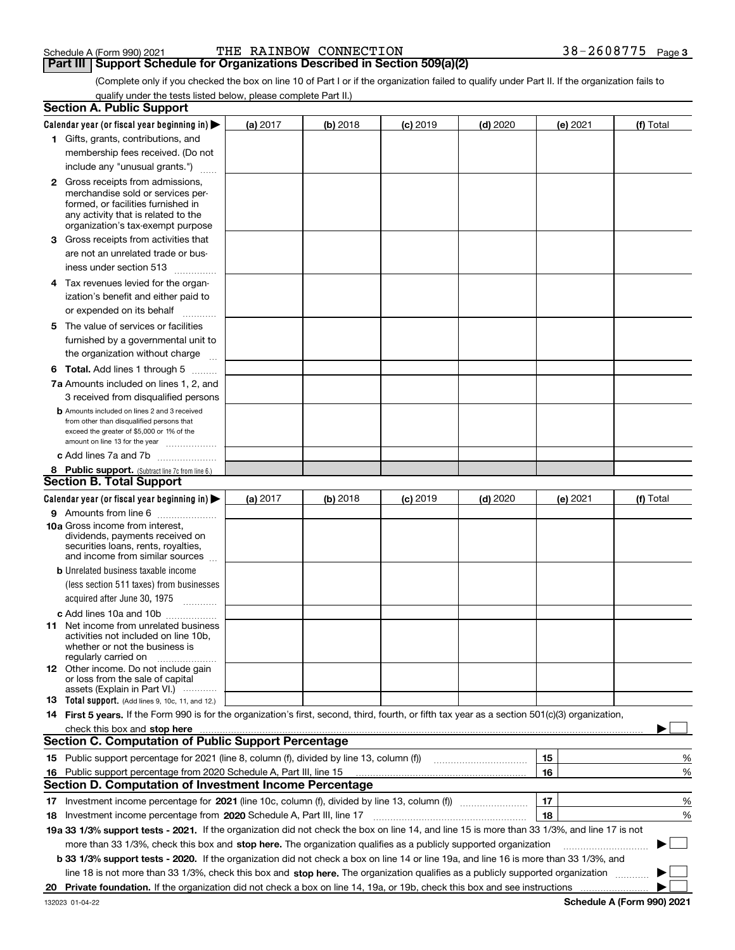**Part III Support Schedule for Organizations Described in Section 509(a)(2)** 

(Complete only if you checked the box on line 10 of Part I or if the organization failed to qualify under Part II. If the organization fails to qualify under the tests listed below, please complete Part II.)

|     | <b>Section A. Public Support</b>                                                                                                                                                                                               |            |          |            |            |          |          |             |   |
|-----|--------------------------------------------------------------------------------------------------------------------------------------------------------------------------------------------------------------------------------|------------|----------|------------|------------|----------|----------|-------------|---|
|     | Calendar year (or fiscal year beginning in) $\blacktriangleright$                                                                                                                                                              | (a) 2017   | (b) 2018 | $(c)$ 2019 | $(d)$ 2020 | (e) 2021 |          | (f) Total   |   |
|     | 1 Gifts, grants, contributions, and                                                                                                                                                                                            |            |          |            |            |          |          |             |   |
|     | membership fees received. (Do not                                                                                                                                                                                              |            |          |            |            |          |          |             |   |
|     | include any "unusual grants.")                                                                                                                                                                                                 |            |          |            |            |          |          |             |   |
|     | <b>2</b> Gross receipts from admissions,                                                                                                                                                                                       |            |          |            |            |          |          |             |   |
|     | merchandise sold or services per-                                                                                                                                                                                              |            |          |            |            |          |          |             |   |
|     | formed, or facilities furnished in                                                                                                                                                                                             |            |          |            |            |          |          |             |   |
|     | any activity that is related to the<br>organization's tax-exempt purpose                                                                                                                                                       |            |          |            |            |          |          |             |   |
|     | 3 Gross receipts from activities that                                                                                                                                                                                          |            |          |            |            |          |          |             |   |
|     | are not an unrelated trade or bus-                                                                                                                                                                                             |            |          |            |            |          |          |             |   |
|     | iness under section 513                                                                                                                                                                                                        |            |          |            |            |          |          |             |   |
|     |                                                                                                                                                                                                                                |            |          |            |            |          |          |             |   |
|     | 4 Tax revenues levied for the organ-                                                                                                                                                                                           |            |          |            |            |          |          |             |   |
|     | ization's benefit and either paid to                                                                                                                                                                                           |            |          |            |            |          |          |             |   |
|     | or expended on its behalf<br>.                                                                                                                                                                                                 |            |          |            |            |          |          |             |   |
|     | 5 The value of services or facilities                                                                                                                                                                                          |            |          |            |            |          |          |             |   |
|     | furnished by a governmental unit to                                                                                                                                                                                            |            |          |            |            |          |          |             |   |
|     | the organization without charge                                                                                                                                                                                                |            |          |            |            |          |          |             |   |
|     | <b>6 Total.</b> Add lines 1 through 5                                                                                                                                                                                          |            |          |            |            |          |          |             |   |
|     | 7a Amounts included on lines 1, 2, and                                                                                                                                                                                         |            |          |            |            |          |          |             |   |
|     | 3 received from disqualified persons                                                                                                                                                                                           |            |          |            |            |          |          |             |   |
|     | <b>b</b> Amounts included on lines 2 and 3 received                                                                                                                                                                            |            |          |            |            |          |          |             |   |
|     | from other than disqualified persons that<br>exceed the greater of \$5,000 or 1% of the                                                                                                                                        |            |          |            |            |          |          |             |   |
|     | amount on line 13 for the year                                                                                                                                                                                                 |            |          |            |            |          |          |             |   |
|     | c Add lines 7a and 7b                                                                                                                                                                                                          |            |          |            |            |          |          |             |   |
|     | 8 Public support. (Subtract line 7c from line 6.)                                                                                                                                                                              |            |          |            |            |          |          |             |   |
|     | <b>Section B. Total Support</b>                                                                                                                                                                                                |            |          |            |            |          |          |             |   |
|     | Calendar year (or fiscal year beginning in) $\blacktriangleright$                                                                                                                                                              | (a) $2017$ | (b) 2018 | $(c)$ 2019 | $(d)$ 2020 |          | (e) 2021 | (f) Total   |   |
|     | 9 Amounts from line 6                                                                                                                                                                                                          |            |          |            |            |          |          |             |   |
|     | <b>10a</b> Gross income from interest,                                                                                                                                                                                         |            |          |            |            |          |          |             |   |
|     | dividends, payments received on                                                                                                                                                                                                |            |          |            |            |          |          |             |   |
|     | securities loans, rents, royalties,<br>and income from similar sources                                                                                                                                                         |            |          |            |            |          |          |             |   |
|     | <b>b</b> Unrelated business taxable income                                                                                                                                                                                     |            |          |            |            |          |          |             |   |
|     | (less section 511 taxes) from businesses                                                                                                                                                                                       |            |          |            |            |          |          |             |   |
|     | acquired after June 30, 1975                                                                                                                                                                                                   |            |          |            |            |          |          |             |   |
|     |                                                                                                                                                                                                                                |            |          |            |            |          |          |             |   |
|     | c Add lines 10a and 10b                                                                                                                                                                                                        |            |          |            |            |          |          |             |   |
|     | 11 Net income from unrelated business<br>activities not included on line 10b,                                                                                                                                                  |            |          |            |            |          |          |             |   |
|     | whether or not the business is                                                                                                                                                                                                 |            |          |            |            |          |          |             |   |
|     | regularly carried on                                                                                                                                                                                                           |            |          |            |            |          |          |             |   |
|     | <b>12</b> Other income. Do not include gain<br>or loss from the sale of capital                                                                                                                                                |            |          |            |            |          |          |             |   |
|     | assets (Explain in Part VI.)                                                                                                                                                                                                   |            |          |            |            |          |          |             |   |
|     | 13 Total support. (Add lines 9, 10c, 11, and 12.)                                                                                                                                                                              |            |          |            |            |          |          |             |   |
|     | 14 First 5 years. If the Form 990 is for the organization's first, second, third, fourth, or fifth tax year as a section 501(c)(3) organization,                                                                               |            |          |            |            |          |          |             |   |
|     | check this box and stop here manufactured and content to be a state of the state of the state of the state of the state of the state of the state of the state of the state of the state of the state of the state of the stat |            |          |            |            |          |          |             |   |
|     | <b>Section C. Computation of Public Support Percentage</b>                                                                                                                                                                     |            |          |            |            |          |          |             |   |
|     |                                                                                                                                                                                                                                |            |          |            |            | 15       |          |             | % |
| 16. | Public support percentage from 2020 Schedule A, Part III, line 15                                                                                                                                                              |            |          |            |            | 16       |          |             | % |
|     | <b>Section D. Computation of Investment Income Percentage</b>                                                                                                                                                                  |            |          |            |            |          |          |             |   |
|     | 17 Investment income percentage for 2021 (line 10c, column (f), divided by line 13, column (f))                                                                                                                                |            |          |            |            | 17       |          |             | % |
|     | 18 Investment income percentage from 2020 Schedule A, Part III, line 17                                                                                                                                                        |            |          |            |            | 18       |          |             | % |
|     | 19a 33 1/3% support tests - 2021. If the organization did not check the box on line 14, and line 15 is more than 33 1/3%, and line 17 is not                                                                                   |            |          |            |            |          |          |             |   |
|     | more than 33 1/3%, check this box and stop here. The organization qualifies as a publicly supported organization                                                                                                               |            |          |            |            |          |          | $\sim$<br>▶ |   |
|     | b 33 1/3% support tests - 2020. If the organization did not check a box on line 14 or line 19a, and line 16 is more than 33 1/3%, and                                                                                          |            |          |            |            |          |          |             |   |
|     | line 18 is not more than 33 1/3%, check this box and stop here. The organization qualifies as a publicly supported organization                                                                                                |            |          |            |            |          |          |             |   |
| 20  | Private foundation. If the organization did not check a box on line 14, 19a, or 19b, check this box and see instructions                                                                                                       |            |          |            |            |          |          |             |   |
|     |                                                                                                                                                                                                                                |            |          |            |            |          |          |             |   |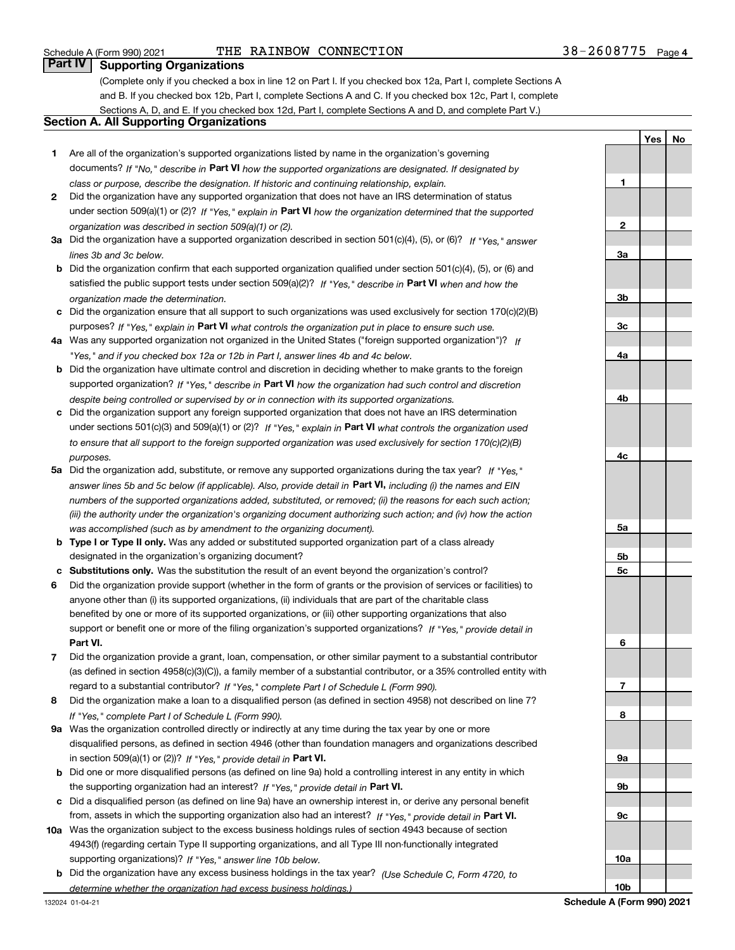**YesNo**

# **Part IV Supporting Organizations**

(Complete only if you checked a box in line 12 on Part I. If you checked box 12a, Part I, complete Sections A and B. If you checked box 12b, Part I, complete Sections A and C. If you checked box 12c, Part I, complete Sections A, D, and E. If you checked box 12d, Part I, complete Sections A and D, and complete Part V.)

# **Section A. All Supporting Organizations**

- **1** Are all of the organization's supported organizations listed by name in the organization's governing documents? If "No," describe in **Part VI** how the supported organizations are designated. If designated by *class or purpose, describe the designation. If historic and continuing relationship, explain.*
- **2** Did the organization have any supported organization that does not have an IRS determination of status under section 509(a)(1) or (2)? If "Yes," explain in Part VI how the organization determined that the supported *organization was described in section 509(a)(1) or (2).*
- **3a** Did the organization have a supported organization described in section 501(c)(4), (5), or (6)? If "Yes," answer *lines 3b and 3c below.*
- **b** Did the organization confirm that each supported organization qualified under section 501(c)(4), (5), or (6) and satisfied the public support tests under section 509(a)(2)? If "Yes," describe in **Part VI** when and how the *organization made the determination.*
- **c**Did the organization ensure that all support to such organizations was used exclusively for section 170(c)(2)(B) purposes? If "Yes," explain in **Part VI** what controls the organization put in place to ensure such use.
- **4a***If* Was any supported organization not organized in the United States ("foreign supported organization")? *"Yes," and if you checked box 12a or 12b in Part I, answer lines 4b and 4c below.*
- **b** Did the organization have ultimate control and discretion in deciding whether to make grants to the foreign supported organization? If "Yes," describe in **Part VI** how the organization had such control and discretion *despite being controlled or supervised by or in connection with its supported organizations.*
- **c** Did the organization support any foreign supported organization that does not have an IRS determination under sections 501(c)(3) and 509(a)(1) or (2)? If "Yes," explain in **Part VI** what controls the organization used *to ensure that all support to the foreign supported organization was used exclusively for section 170(c)(2)(B) purposes.*
- **5a***If "Yes,"* Did the organization add, substitute, or remove any supported organizations during the tax year? answer lines 5b and 5c below (if applicable). Also, provide detail in **Part VI,** including (i) the names and EIN *numbers of the supported organizations added, substituted, or removed; (ii) the reasons for each such action; (iii) the authority under the organization's organizing document authorizing such action; and (iv) how the action was accomplished (such as by amendment to the organizing document).*
- **b** Type I or Type II only. Was any added or substituted supported organization part of a class already designated in the organization's organizing document?
- **cSubstitutions only.**  Was the substitution the result of an event beyond the organization's control?
- **6** Did the organization provide support (whether in the form of grants or the provision of services or facilities) to **Part VI.** *If "Yes," provide detail in* support or benefit one or more of the filing organization's supported organizations? anyone other than (i) its supported organizations, (ii) individuals that are part of the charitable class benefited by one or more of its supported organizations, or (iii) other supporting organizations that also
- **7**Did the organization provide a grant, loan, compensation, or other similar payment to a substantial contributor *If "Yes," complete Part I of Schedule L (Form 990).* regard to a substantial contributor? (as defined in section 4958(c)(3)(C)), a family member of a substantial contributor, or a 35% controlled entity with
- **8** Did the organization make a loan to a disqualified person (as defined in section 4958) not described on line 7? *If "Yes," complete Part I of Schedule L (Form 990).*
- **9a** Was the organization controlled directly or indirectly at any time during the tax year by one or more in section 509(a)(1) or (2))? If "Yes," *provide detail in* <code>Part VI.</code> disqualified persons, as defined in section 4946 (other than foundation managers and organizations described
- **b** Did one or more disqualified persons (as defined on line 9a) hold a controlling interest in any entity in which the supporting organization had an interest? If "Yes," provide detail in P**art VI**.
- **c**Did a disqualified person (as defined on line 9a) have an ownership interest in, or derive any personal benefit from, assets in which the supporting organization also had an interest? If "Yes," provide detail in P**art VI.**
- **10a** Was the organization subject to the excess business holdings rules of section 4943 because of section supporting organizations)? If "Yes," answer line 10b below. 4943(f) (regarding certain Type II supporting organizations, and all Type III non-functionally integrated
- **b** Did the organization have any excess business holdings in the tax year? (Use Schedule C, Form 4720, to *determine whether the organization had excess business holdings.)*

**123a3b3c4a4b4c5a5b5c6789a 9b9c10a**

**10b**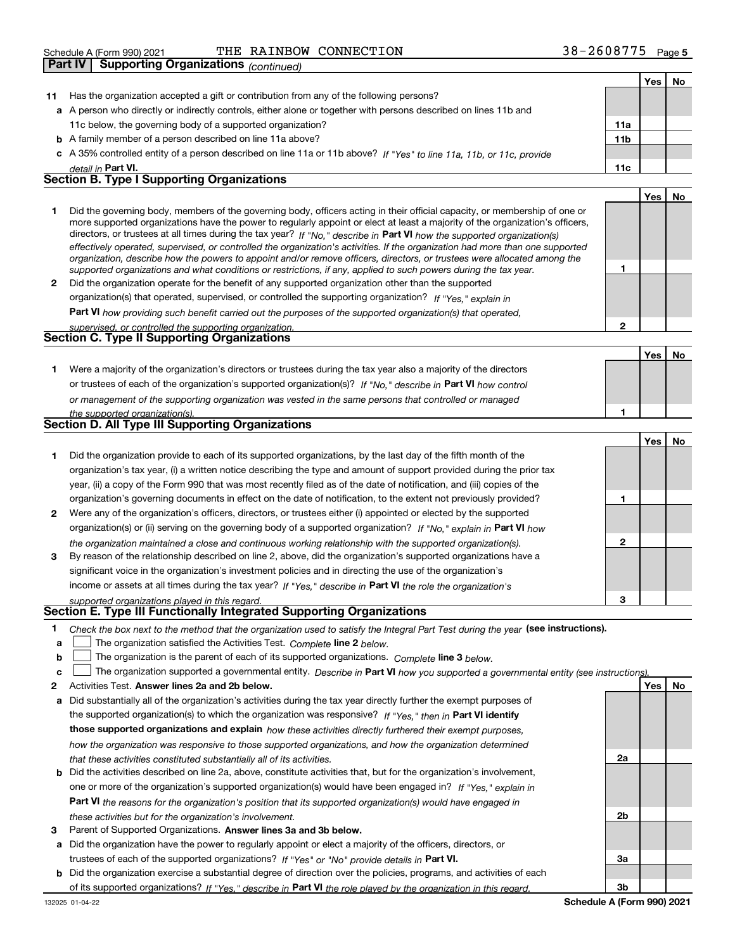|    | Supporting Organizations (continued)<br>Part IV                                                                                                                                                                                                                                                                                                                                                                                                                                                                                                                                                                                                      |                 |            |           |
|----|------------------------------------------------------------------------------------------------------------------------------------------------------------------------------------------------------------------------------------------------------------------------------------------------------------------------------------------------------------------------------------------------------------------------------------------------------------------------------------------------------------------------------------------------------------------------------------------------------------------------------------------------------|-----------------|------------|-----------|
|    |                                                                                                                                                                                                                                                                                                                                                                                                                                                                                                                                                                                                                                                      |                 | Yes        | No        |
| 11 | Has the organization accepted a gift or contribution from any of the following persons?                                                                                                                                                                                                                                                                                                                                                                                                                                                                                                                                                              |                 |            |           |
|    | a A person who directly or indirectly controls, either alone or together with persons described on lines 11b and                                                                                                                                                                                                                                                                                                                                                                                                                                                                                                                                     |                 |            |           |
|    | 11c below, the governing body of a supported organization?                                                                                                                                                                                                                                                                                                                                                                                                                                                                                                                                                                                           | 11a             |            |           |
|    | <b>b</b> A family member of a person described on line 11a above?                                                                                                                                                                                                                                                                                                                                                                                                                                                                                                                                                                                    | 11 <sub>b</sub> |            |           |
|    | c A 35% controlled entity of a person described on line 11a or 11b above? If "Yes" to line 11a, 11b, or 11c, provide                                                                                                                                                                                                                                                                                                                                                                                                                                                                                                                                 |                 |            |           |
|    | detail in Part VI.                                                                                                                                                                                                                                                                                                                                                                                                                                                                                                                                                                                                                                   | 11c             |            |           |
|    | <b>Section B. Type I Supporting Organizations</b>                                                                                                                                                                                                                                                                                                                                                                                                                                                                                                                                                                                                    |                 |            |           |
|    |                                                                                                                                                                                                                                                                                                                                                                                                                                                                                                                                                                                                                                                      |                 | <b>Yes</b> | <b>No</b> |
|    | Did the governing body, members of the governing body, officers acting in their official capacity, or membership of one or<br>more supported organizations have the power to regularly appoint or elect at least a majority of the organization's officers,<br>directors, or trustees at all times during the tax year? If "No." describe in Part VI how the supported organization(s)<br>effectively operated, supervised, or controlled the organization's activities. If the organization had more than one supported<br>organization, describe how the powers to appoint and/or remove officers, directors, or trustees were allocated among the |                 |            |           |
|    | supported organizations and what conditions or restrictions, if any, applied to such powers during the tax year.                                                                                                                                                                                                                                                                                                                                                                                                                                                                                                                                     | 1               |            |           |
| 2  | Did the organization operate for the benefit of any supported organization other than the supported                                                                                                                                                                                                                                                                                                                                                                                                                                                                                                                                                  |                 |            |           |
|    | organization(s) that operated, supervised, or controlled the supporting organization? If "Yes," explain in                                                                                                                                                                                                                                                                                                                                                                                                                                                                                                                                           |                 |            |           |
|    | <b>Part VI</b> how providing such benefit carried out the purposes of the supported organization(s) that operated,                                                                                                                                                                                                                                                                                                                                                                                                                                                                                                                                   |                 |            |           |
|    | supervised, or controlled the supporting organization.                                                                                                                                                                                                                                                                                                                                                                                                                                                                                                                                                                                               | $\mathbf{2}$    |            |           |
|    | <b>Section C. Type II Supporting Organizations</b>                                                                                                                                                                                                                                                                                                                                                                                                                                                                                                                                                                                                   |                 |            |           |
|    |                                                                                                                                                                                                                                                                                                                                                                                                                                                                                                                                                                                                                                                      |                 | Yes        | <b>No</b> |
| 1  | Were a majority of the organization's directors or trustees during the tax year also a majority of the directors                                                                                                                                                                                                                                                                                                                                                                                                                                                                                                                                     |                 |            |           |
|    | or trustees of each of the organization's supported organization(s)? If "No," describe in Part VI how control                                                                                                                                                                                                                                                                                                                                                                                                                                                                                                                                        |                 |            |           |
|    | or management of the supporting organization was vested in the same persons that controlled or managed                                                                                                                                                                                                                                                                                                                                                                                                                                                                                                                                               |                 |            |           |
|    | the supported organization(s).                                                                                                                                                                                                                                                                                                                                                                                                                                                                                                                                                                                                                       | 1               |            |           |
|    | <b>Section D. All Type III Supporting Organizations</b>                                                                                                                                                                                                                                                                                                                                                                                                                                                                                                                                                                                              |                 |            |           |
|    |                                                                                                                                                                                                                                                                                                                                                                                                                                                                                                                                                                                                                                                      |                 | <b>Yes</b> | <b>No</b> |
| 1  | Did the organization provide to each of its supported organizations, by the last day of the fifth month of the                                                                                                                                                                                                                                                                                                                                                                                                                                                                                                                                       |                 |            |           |
|    | organization's tax year, (i) a written notice describing the type and amount of support provided during the prior tax                                                                                                                                                                                                                                                                                                                                                                                                                                                                                                                                |                 |            |           |
|    | year, (ii) a copy of the Form 990 that was most recently filed as of the date of notification, and (iii) copies of the                                                                                                                                                                                                                                                                                                                                                                                                                                                                                                                               |                 |            |           |
|    | organization's governing documents in effect on the date of notification, to the extent not previously provided?                                                                                                                                                                                                                                                                                                                                                                                                                                                                                                                                     | 1               |            |           |

- **2** Were any of the organization's officers, directors, or trustees either (i) appointed or elected by the supported organization(s) or (ii) serving on the governing body of a supported organization? If "No," explain in **Part VI** how *the organization maintained a close and continuous working relationship with the supported organization(s).*
- **3**income or assets at all times during the tax year? If "Yes," describe in **Part VI** the role the organization's By reason of the relationship described on line 2, above, did the organization's supported organizations have a significant voice in the organization's investment policies and in directing the use of the organization's

#### *supported organizations played in this regard.* **Section E. Type III Functionally Integrated Supporting Organizations**

- 
- **1**Check the box next to the method that the organization used to satisfy the Integral Part Test during the year (see instructions).
- **alinupy** The organization satisfied the Activities Test. Complete line 2 below.
- **b**The organization is the parent of each of its supported organizations. *Complete* line 3 *below.*  $\mathcal{L}^{\text{max}}$
- **c**The organization supported a governmental entity. *Describe in* Part **VI** *how you supported a governmental entity (see instruction<u>s).</u>*  $\mathcal{L}^{\text{max}}$
- **2Answer lines 2a and 2b below. Yes No** Activities Test.
- **a** Did substantially all of the organization's activities during the tax year directly further the exempt purposes of the supported organization(s) to which the organization was responsive? If "Yes," then in **Part VI identify those supported organizations and explain**  *how these activities directly furthered their exempt purposes, how the organization was responsive to those supported organizations, and how the organization determined that these activities constituted substantially all of its activities.*
- **b** Did the activities described on line 2a, above, constitute activities that, but for the organization's involvement, **Part VI**  *the reasons for the organization's position that its supported organization(s) would have engaged in* one or more of the organization's supported organization(s) would have been engaged in? If "Yes," e*xplain in these activities but for the organization's involvement.*
- **3** Parent of Supported Organizations. Answer lines 3a and 3b below.
- **a** Did the organization have the power to regularly appoint or elect a majority of the officers, directors, or trustees of each of the supported organizations? If "Yes" or "No" provide details in **Part VI.**
- **b** Did the organization exercise a substantial degree of direction over the policies, programs, and activities of each of its supported organizations? If "Yes," describe in Part VI the role played by the organization in this regard.

**2a 2b3a3b**

**2**

**3**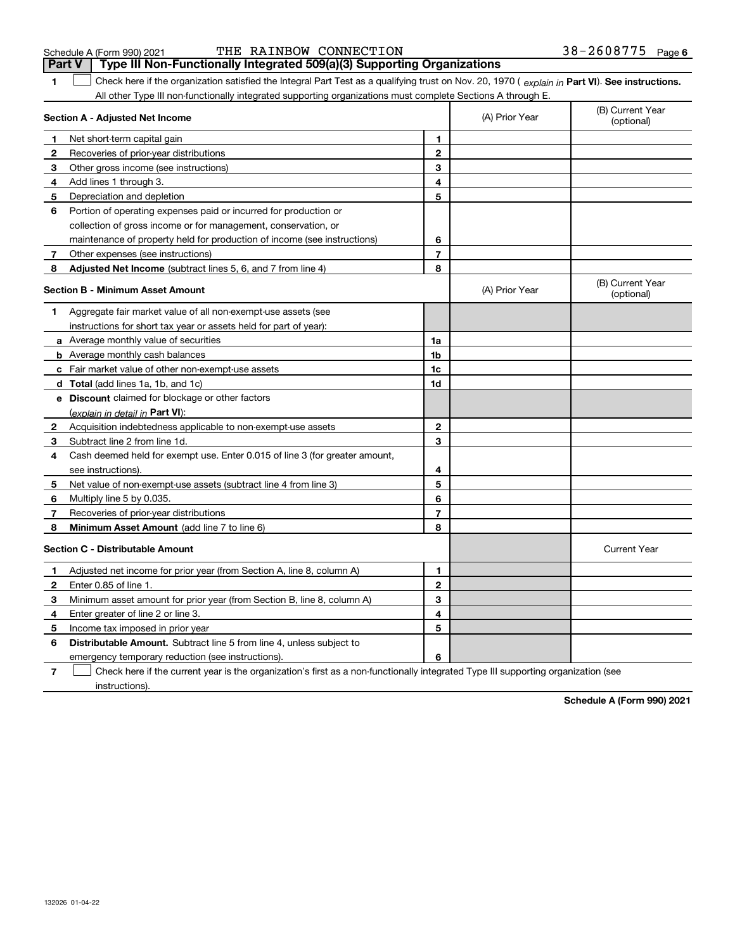|               | THE RAINBOW CONNECTION<br>Schedule A (Form 990) 2021                                                                                                                                                                      |                |                | 38-2608775 Page                |
|---------------|---------------------------------------------------------------------------------------------------------------------------------------------------------------------------------------------------------------------------|----------------|----------------|--------------------------------|
| <b>Part V</b> | Type III Non-Functionally Integrated 509(a)(3) Supporting Organizations<br>Check here if the organization satisfied the Integral Part Test as a qualifying trust on Nov. 20, 1970 (explain in Part VI). See instructions. |                |                |                                |
|               | All other Type III non-functionally integrated supporting organizations must complete Sections A through E.                                                                                                               |                |                |                                |
|               | Section A - Adjusted Net Income                                                                                                                                                                                           |                | (A) Prior Year | (B) Current Year<br>(optional) |
|               | Net short-term capital gain                                                                                                                                                                                               | 1              |                |                                |
| $\mathbf{2}$  | Recoveries of prior-year distributions                                                                                                                                                                                    | 2              |                |                                |
| 3             | Other gross income (see instructions)                                                                                                                                                                                     | 3              |                |                                |
| 4             | Add lines 1 through 3.                                                                                                                                                                                                    | 4              |                |                                |
| 5             | Depreciation and depletion                                                                                                                                                                                                | 5              |                |                                |
| 6             | Portion of operating expenses paid or incurred for production or                                                                                                                                                          |                |                |                                |
|               | collection of gross income or for management, conservation, or                                                                                                                                                            |                |                |                                |
|               | maintenance of property held for production of income (see instructions)                                                                                                                                                  | 6              |                |                                |
| 7             | Other expenses (see instructions)                                                                                                                                                                                         | $\overline{7}$ |                |                                |
| 8             | Adjusted Net Income (subtract lines 5, 6, and 7 from line 4)                                                                                                                                                              | 8              |                |                                |
|               | <b>Section B - Minimum Asset Amount</b>                                                                                                                                                                                   |                | (A) Prior Year | (B) Current Year<br>(optional) |
|               | Aggregate fair market value of all non-exempt-use assets (see                                                                                                                                                             |                |                |                                |
|               | instructions for short tax year or assets held for part of year):                                                                                                                                                         |                |                |                                |
|               | a Average monthly value of securities                                                                                                                                                                                     | 1a             |                |                                |
|               | <b>b</b> Average monthly cash balances                                                                                                                                                                                    | 1b             |                |                                |

|   | Fair market value of other non-exempt-use assets                            | 1c |                     |
|---|-----------------------------------------------------------------------------|----|---------------------|
|   | d Total (add lines 1a, 1b, and 1c)                                          | 1d |                     |
| е | <b>Discount</b> claimed for blockage or other factors                       |    |                     |
|   | (explain in detail in Part VI):                                             |    |                     |
|   | Acquisition indebtedness applicable to non-exempt-use assets                | 2  |                     |
| 3 | Subtract line 2 from line 1d.                                               | з  |                     |
| 4 | Cash deemed held for exempt use. Enter 0.015 of line 3 (for greater amount, |    |                     |
|   | see instructions).                                                          | 4  |                     |
| 5 | Net value of non-exempt-use assets (subtract line 4 from line 3)            | 5  |                     |
| 6 | Multiply line 5 by 0.035.                                                   | 6  |                     |
|   | Recoveries of prior-year distributions                                      | 7  |                     |
|   |                                                                             |    |                     |
| 8 | Minimum Asset Amount (add line 7 to line 6)                                 | 8  |                     |
|   | <b>Section C - Distributable Amount</b>                                     |    | <b>Current Year</b> |
|   | Adjusted net income for prior year (from Section A, line 8, column A)       | 1  |                     |
|   | Enter 0.85 of line 1.                                                       | 2  |                     |
| з | Minimum asset amount for prior year (from Section B, line 8, column A)      | 3  |                     |
|   | Enter greater of line 2 or line 3.                                          | 4  |                     |
| 5 | Income tax imposed in prior year                                            | 5  |                     |
| 6 | <b>Distributable Amount.</b> Subtract line 5 from line 4, unless subject to |    |                     |
|   | emergency temporary reduction (see instructions).                           | 6  |                     |

instructions).

**Schedule A (Form 990) 2021**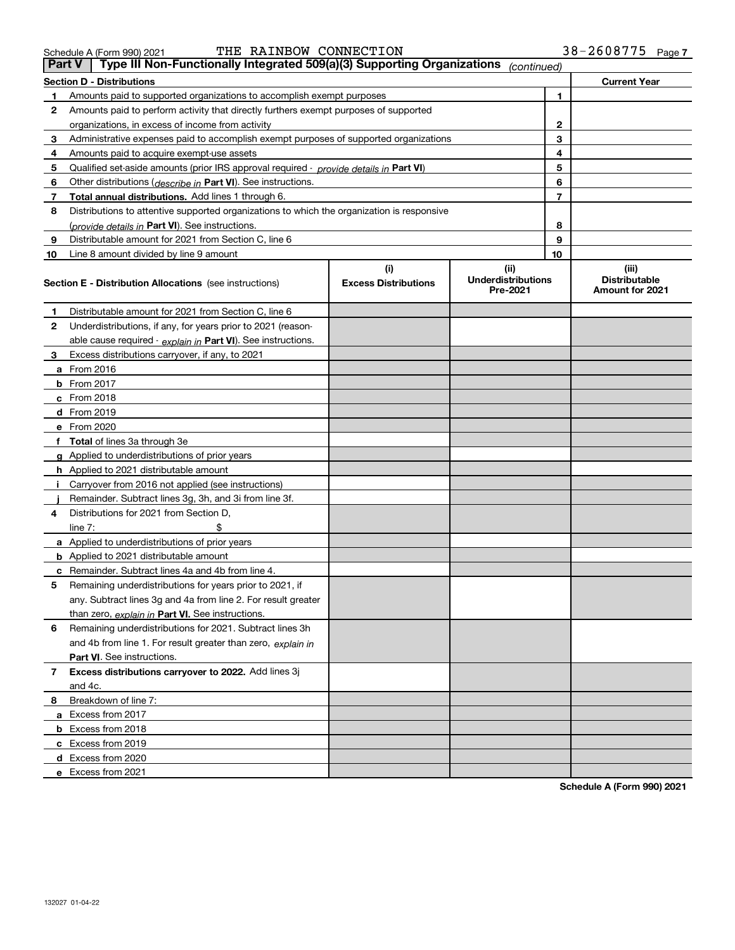**8**Breakdown of line 7:

and 4c.

**a** Excess from 2017 **b** Excess from 2018 **c** Excess from 2019 **d** Excess from 2020 **e** Excess from 2021

**Part VI** . See instructions.

**6** Remaining underdistributions for 2021. Subtract lines 3h

and 4b from line 1. For result greater than zero, *explain in* 

**7 Excess distributions carryover to 2022.**  Add lines 3j

|              | THE RAINBOW CONNECTION<br>Schedule A (Form 990) 2021                                                                      |                                    |                                               |                | 38-2608775<br>Page                                      |
|--------------|---------------------------------------------------------------------------------------------------------------------------|------------------------------------|-----------------------------------------------|----------------|---------------------------------------------------------|
|              | Type III Non-Functionally Integrated 509(a)(3) Supporting Organizations<br><b>Part V</b>                                  |                                    | (continued)                                   |                |                                                         |
|              | <b>Section D - Distributions</b>                                                                                          |                                    |                                               |                | <b>Current Year</b>                                     |
| 1            | Amounts paid to supported organizations to accomplish exempt purposes                                                     |                                    |                                               | 1              |                                                         |
| 2            | Amounts paid to perform activity that directly furthers exempt purposes of supported                                      |                                    |                                               |                |                                                         |
|              | organizations, in excess of income from activity                                                                          |                                    |                                               | 2              |                                                         |
| 3            | Administrative expenses paid to accomplish exempt purposes of supported organizations                                     |                                    |                                               | 3              |                                                         |
| 4            | Amounts paid to acquire exempt-use assets                                                                                 |                                    |                                               | 4              |                                                         |
| 5            | Qualified set-aside amounts (prior IRS approval required - provide details in Part VI)                                    |                                    |                                               | 5              |                                                         |
| 6            | Other distributions ( <i>describe in</i> Part VI). See instructions.                                                      |                                    |                                               | 6              |                                                         |
| 7            | <b>Total annual distributions.</b> Add lines 1 through 6.                                                                 |                                    |                                               | $\overline{7}$ |                                                         |
| 8            | Distributions to attentive supported organizations to which the organization is responsive                                |                                    |                                               |                |                                                         |
|              | (provide details in Part VI). See instructions.                                                                           |                                    |                                               | 8              |                                                         |
| 9            | Distributable amount for 2021 from Section C, line 6                                                                      |                                    |                                               | 9              |                                                         |
| 10           | Line 8 amount divided by line 9 amount<br><b>Section E - Distribution Allocations</b> (see instructions)                  | (i)<br><b>Excess Distributions</b> | (ii)<br><b>Underdistributions</b><br>Pre-2021 | 10             | (iii)<br><b>Distributable</b><br><b>Amount for 2021</b> |
|              |                                                                                                                           |                                    |                                               |                |                                                         |
| 1            | Distributable amount for 2021 from Section C, line 6                                                                      |                                    |                                               |                |                                                         |
| $\mathbf{2}$ | Underdistributions, if any, for years prior to 2021 (reason-                                                              |                                    |                                               |                |                                                         |
|              | able cause required - explain in Part VI). See instructions.                                                              |                                    |                                               |                |                                                         |
| 3            | Excess distributions carryover, if any, to 2021                                                                           |                                    |                                               |                |                                                         |
|              | a From 2016                                                                                                               |                                    |                                               |                |                                                         |
|              | <b>b</b> From 2017                                                                                                        |                                    |                                               |                |                                                         |
|              | c From 2018                                                                                                               |                                    |                                               |                |                                                         |
|              | d From 2019                                                                                                               |                                    |                                               |                |                                                         |
|              | e From 2020                                                                                                               |                                    |                                               |                |                                                         |
|              | f Total of lines 3a through 3e                                                                                            |                                    |                                               |                |                                                         |
|              | g Applied to underdistributions of prior years                                                                            |                                    |                                               |                |                                                         |
|              | h Applied to 2021 distributable amount                                                                                    |                                    |                                               |                |                                                         |
|              | i Carryover from 2016 not applied (see instructions)                                                                      |                                    |                                               |                |                                                         |
|              | Remainder. Subtract lines 3g, 3h, and 3i from line 3f.                                                                    |                                    |                                               |                |                                                         |
| 4            | Distributions for 2021 from Section D.                                                                                    |                                    |                                               |                |                                                         |
|              | line $7:$<br>\$                                                                                                           |                                    |                                               |                |                                                         |
|              | a Applied to underdistributions of prior years                                                                            |                                    |                                               |                |                                                         |
|              | <b>b</b> Applied to 2021 distributable amount                                                                             |                                    |                                               |                |                                                         |
|              | c Remainder. Subtract lines 4a and 4b from line 4.                                                                        |                                    |                                               |                |                                                         |
| 5            | Remaining underdistributions for years prior to 2021, if<br>any. Subtract lines 3g and 4a from line 2. For result greater |                                    |                                               |                |                                                         |
|              | than zero, explain in Part VI. See instructions.                                                                          |                                    |                                               |                |                                                         |
|              |                                                                                                                           |                                    |                                               |                |                                                         |

**7**

**Schedule A (Form 990) 2021**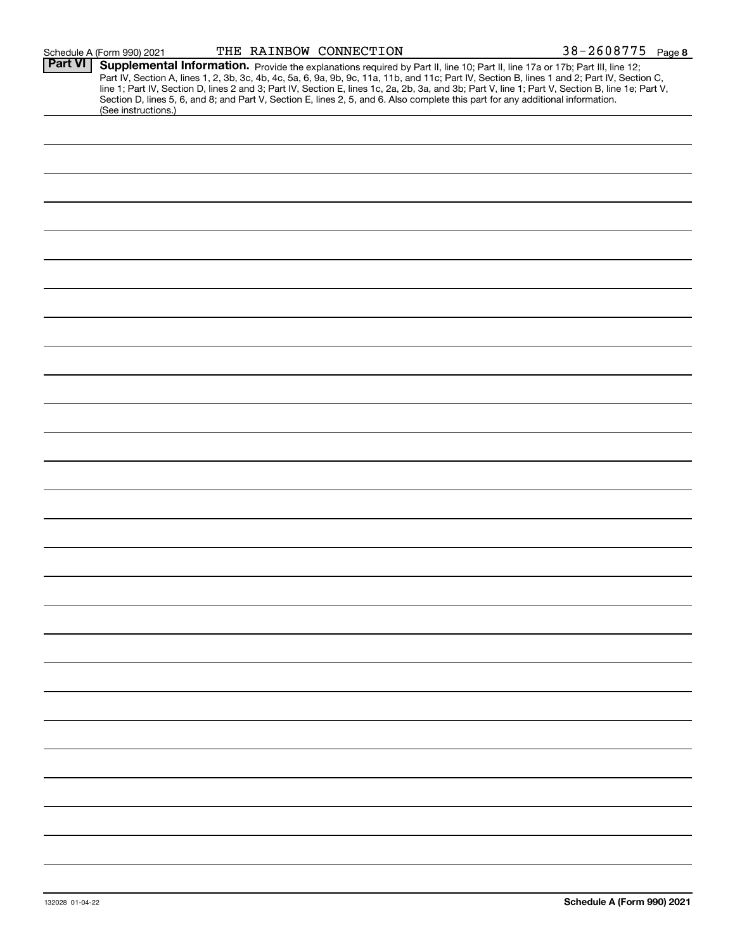| Schedule A (Form 990) 2021 |  |
|----------------------------|--|
|                            |  |

| Part VI | Supplemental Information. Provide the explanations required by Part II, line 10; Part II, line 17a or 17b; Part III, line 12;                    |
|---------|--------------------------------------------------------------------------------------------------------------------------------------------------|
|         | Part IV, Section A, lines 1, 2, 3b, 3c, 4b, 4c, 5a, 6, 9a, 9b, 9c, 11a, 11b, and 11c; Part IV, Section B, lines 1 and 2; Part IV, Section C,     |
|         | line 1; Part IV, Section D, lines 2 and 3; Part IV, Section E, lines 1c, 2a, 2b, 3a, and 3b; Part V, line 1; Part V, Section B, line 1e; Part V, |
|         | Section D, lines 5, 6, and 8; and Part V, Section E, lines 2, 5, and 6. Also complete this part for any additional information.                  |
|         | (See instructions.)                                                                                                                              |
|         |                                                                                                                                                  |
|         |                                                                                                                                                  |
|         |                                                                                                                                                  |
|         |                                                                                                                                                  |
|         |                                                                                                                                                  |
|         |                                                                                                                                                  |
|         |                                                                                                                                                  |
|         |                                                                                                                                                  |
|         |                                                                                                                                                  |
|         |                                                                                                                                                  |
|         |                                                                                                                                                  |
|         |                                                                                                                                                  |
|         |                                                                                                                                                  |
|         |                                                                                                                                                  |
|         |                                                                                                                                                  |
|         |                                                                                                                                                  |
|         |                                                                                                                                                  |
|         |                                                                                                                                                  |
|         |                                                                                                                                                  |
|         |                                                                                                                                                  |
|         |                                                                                                                                                  |
|         |                                                                                                                                                  |
|         |                                                                                                                                                  |
|         |                                                                                                                                                  |
|         |                                                                                                                                                  |
|         |                                                                                                                                                  |
|         |                                                                                                                                                  |
|         |                                                                                                                                                  |
|         |                                                                                                                                                  |
|         |                                                                                                                                                  |
|         |                                                                                                                                                  |
|         |                                                                                                                                                  |
|         |                                                                                                                                                  |
|         |                                                                                                                                                  |
|         |                                                                                                                                                  |
|         |                                                                                                                                                  |
|         |                                                                                                                                                  |
|         |                                                                                                                                                  |
|         |                                                                                                                                                  |
|         |                                                                                                                                                  |
|         |                                                                                                                                                  |
|         |                                                                                                                                                  |
|         |                                                                                                                                                  |
|         |                                                                                                                                                  |
|         |                                                                                                                                                  |
|         |                                                                                                                                                  |
|         |                                                                                                                                                  |
|         |                                                                                                                                                  |
|         |                                                                                                                                                  |
|         |                                                                                                                                                  |
|         |                                                                                                                                                  |
|         |                                                                                                                                                  |
|         |                                                                                                                                                  |
|         |                                                                                                                                                  |
|         |                                                                                                                                                  |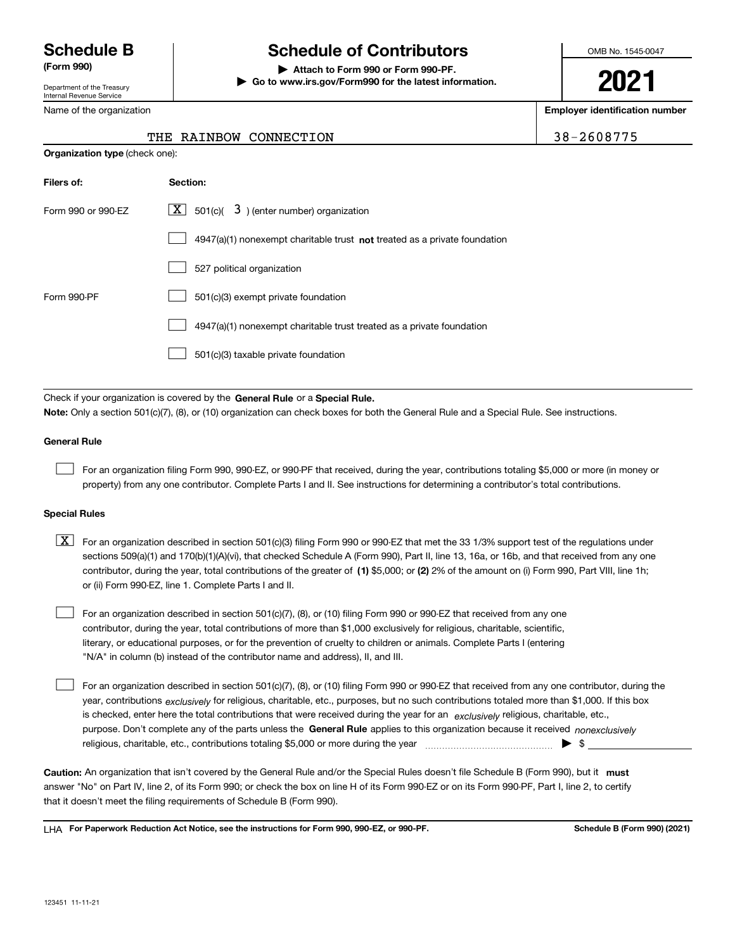Department of the Treasury Internal Revenue Service

Name of the organization

# **Schedule B Schedule of Contributors**

**(Form 990) | Attach to Form 990 or Form 990-PF. | Go to www.irs.gov/Form990 for the latest information.** OMB No. 1545-0047

**2021**

**Employer identification number**

THE RAINBOW CONNECTION 38-2608775

| <b>Organization type (check one):</b> |                                                                                    |  |  |  |
|---------------------------------------|------------------------------------------------------------------------------------|--|--|--|
| Filers of:                            | Section:                                                                           |  |  |  |
| Form 990 or 990-EZ                    | $\lfloor \mathbf{X} \rfloor$ 501(c)( 3) (enter number) organization                |  |  |  |
|                                       | $4947(a)(1)$ nonexempt charitable trust <b>not</b> treated as a private foundation |  |  |  |
|                                       | 527 political organization                                                         |  |  |  |
| Form 990-PF                           | 501(c)(3) exempt private foundation                                                |  |  |  |
|                                       | 4947(a)(1) nonexempt charitable trust treated as a private foundation              |  |  |  |
|                                       | 501(c)(3) taxable private foundation                                               |  |  |  |
|                                       |                                                                                    |  |  |  |

Check if your organization is covered by the **General Rule** or a **Special Rule. Note:**  Only a section 501(c)(7), (8), or (10) organization can check boxes for both the General Rule and a Special Rule. See instructions.

### **General Rule**

 $\mathcal{L}^{\text{max}}$ 

For an organization filing Form 990, 990-EZ, or 990-PF that received, during the year, contributions totaling \$5,000 or more (in money or property) from any one contributor. Complete Parts I and II. See instructions for determining a contributor's total contributions.

### **Special Rules**

contributor, during the year, total contributions of the greater of (1**)** \$5,000; or (2) 2% of the amount on (i) Form 990, Part VIII, line 1h;  $\boxed{\textbf{X}}$  For an organization described in section 501(c)(3) filing Form 990 or 990-EZ that met the 33 1/3% support test of the regulations under sections 509(a)(1) and 170(b)(1)(A)(vi), that checked Schedule A (Form 990), Part II, line 13, 16a, or 16b, and that received from any one or (ii) Form 990-EZ, line 1. Complete Parts I and II.

For an organization described in section 501(c)(7), (8), or (10) filing Form 990 or 990-EZ that received from any one contributor, during the year, total contributions of more than \$1,000 exclusively for religious, charitable, scientific, literary, or educational purposes, or for the prevention of cruelty to children or animals. Complete Parts I (entering "N/A" in column (b) instead of the contributor name and address), II, and III.  $\mathcal{L}^{\text{max}}$ 

purpose. Don't complete any of the parts unless the **General Rule** applies to this organization because it received *nonexclusively* year, contributions <sub>exclusively</sub> for religious, charitable, etc., purposes, but no such contributions totaled more than \$1,000. If this box is checked, enter here the total contributions that were received during the year for an  $\;$ exclusively religious, charitable, etc., For an organization described in section 501(c)(7), (8), or (10) filing Form 990 or 990-EZ that received from any one contributor, during the religious, charitable, etc., contributions totaling \$5,000 or more during the year  $\Box$ — $\Box$   $\Box$  $\mathcal{L}^{\text{max}}$ 

Caution: An organization that isn't covered by the General Rule and/or the Special Rules doesn't file Schedule B (Form 990), but it **must** answer "No" on Part IV, line 2, of its Form 990; or check the box on line H of its Form 990-EZ or on its Form 990-PF, Part I, line 2, to certify that it doesn't meet the filing requirements of Schedule B (Form 990).

LHA For Paperwork Reduction Act Notice, see the instructions for Form 990, 990-EZ, or 990-PF. **In the act and Schedule B** (Form 990) (2021)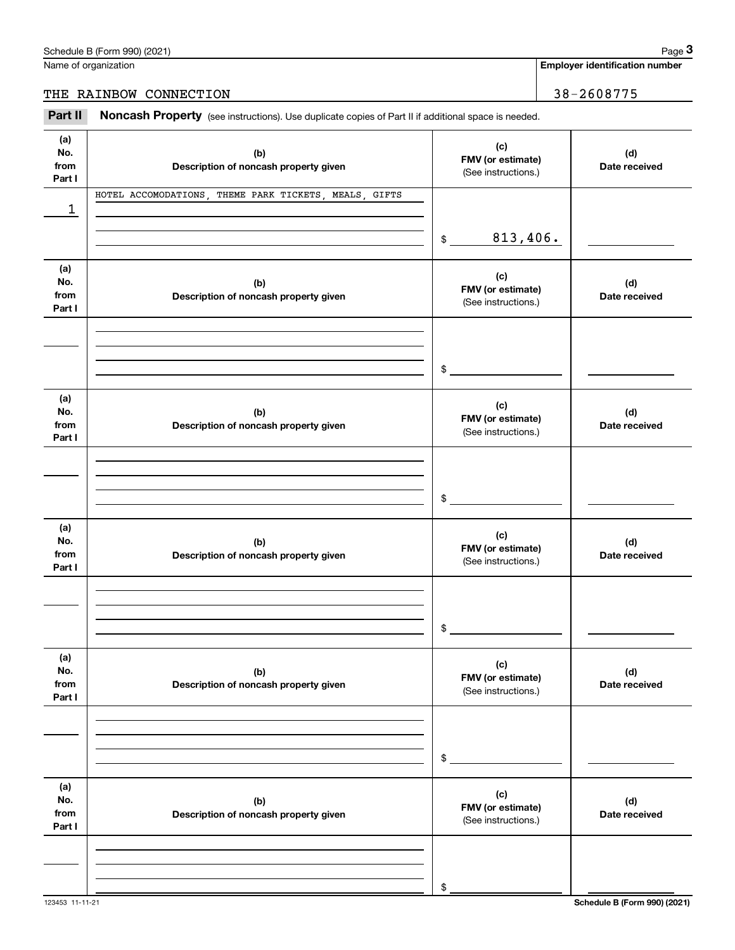| Name of organization |  |
|----------------------|--|
|                      |  |

|                              | Schedule B (Form 990) (2021)                                                                        |                                                 | Page 3                                |
|------------------------------|-----------------------------------------------------------------------------------------------------|-------------------------------------------------|---------------------------------------|
|                              | Name of organization                                                                                |                                                 | <b>Employer identification number</b> |
|                              | THE RAINBOW CONNECTION                                                                              |                                                 | 38-2608775                            |
| Part II                      | Noncash Property (see instructions). Use duplicate copies of Part II if additional space is needed. |                                                 |                                       |
| (a)<br>No.<br>from<br>Part I | (b)<br>Description of noncash property given                                                        | (c)<br>FMV (or estimate)<br>(See instructions.) | (d)<br>Date received                  |
|                              | HOTEL ACCOMODATIONS, THEME PARK TICKETS, MEALS, GIFTS                                               |                                                 |                                       |
| 1                            |                                                                                                     | 813,406.<br>$\frac{1}{2}$                       |                                       |
| (a)<br>No.<br>from<br>Part I | (b)<br>Description of noncash property given                                                        | (c)<br>FMV (or estimate)<br>(See instructions.) | (d)<br>Date received                  |
|                              |                                                                                                     | \$                                              |                                       |
| (a)<br>No.<br>from<br>Part I | (b)<br>Description of noncash property given                                                        | (c)<br>FMV (or estimate)<br>(See instructions.) | (d)<br>Date received                  |
|                              |                                                                                                     | \$                                              |                                       |
| (a)<br>No.<br>from<br>Part I | (b)<br>Description of noncash property given                                                        | (c)<br>FMV (or estimate)<br>(See instructions.) | (d)<br>Date received                  |
|                              |                                                                                                     | \$                                              |                                       |
| (a)<br>No.<br>from<br>Part I | (b)<br>Description of noncash property given                                                        | (c)<br>FMV (or estimate)<br>(See instructions.) | (d)<br>Date received                  |
|                              |                                                                                                     | \$                                              |                                       |
| (a)<br>No.<br>from<br>Part I | (b)<br>Description of noncash property given                                                        | (c)<br>FMV (or estimate)<br>(See instructions.) | (d)<br>Date received                  |
|                              |                                                                                                     | \$                                              |                                       |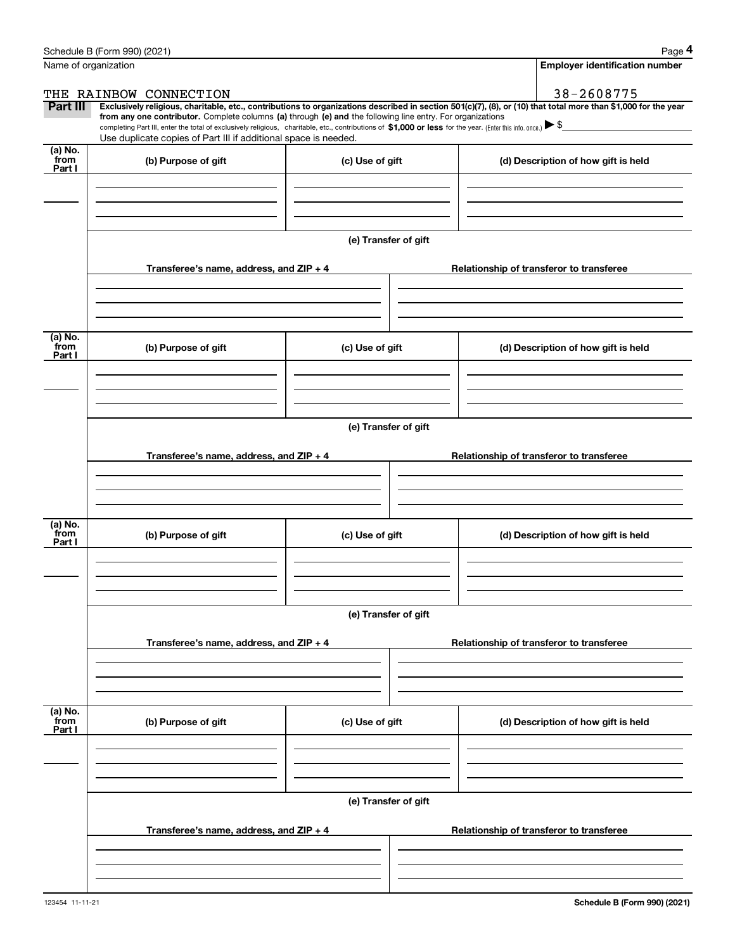|                           | Schedule B (Form 990) (2021)                                                                                                                                                      |                      | Page 4                                                                                                                                                         |  |  |  |  |
|---------------------------|-----------------------------------------------------------------------------------------------------------------------------------------------------------------------------------|----------------------|----------------------------------------------------------------------------------------------------------------------------------------------------------------|--|--|--|--|
|                           | Name of organization                                                                                                                                                              |                      | <b>Employer identification number</b>                                                                                                                          |  |  |  |  |
|                           | THE RAINBOW CONNECTION                                                                                                                                                            |                      | 38-2608775                                                                                                                                                     |  |  |  |  |
| Part III                  | from any one contributor. Complete columns (a) through (e) and the following line entry. For organizations                                                                        |                      | Exclusively religious, charitable, etc., contributions to organizations described in section 501(c)(7), (8), or (10) that total more than \$1,000 for the year |  |  |  |  |
|                           | completing Part III, enter the total of exclusively religious, charitable, etc., contributions of \$1,000 or less for the year. (Enter this info. once.) $\blacktriangleright$ \$ |                      |                                                                                                                                                                |  |  |  |  |
| (a) No.                   | Use duplicate copies of Part III if additional space is needed.                                                                                                                   |                      |                                                                                                                                                                |  |  |  |  |
| from<br>Part I            | (b) Purpose of gift                                                                                                                                                               | (c) Use of gift      | (d) Description of how gift is held                                                                                                                            |  |  |  |  |
|                           |                                                                                                                                                                                   |                      |                                                                                                                                                                |  |  |  |  |
|                           |                                                                                                                                                                                   |                      |                                                                                                                                                                |  |  |  |  |
|                           |                                                                                                                                                                                   |                      |                                                                                                                                                                |  |  |  |  |
|                           |                                                                                                                                                                                   | (e) Transfer of gift |                                                                                                                                                                |  |  |  |  |
|                           | Transferee's name, address, and ZIP + 4                                                                                                                                           |                      | Relationship of transferor to transferee                                                                                                                       |  |  |  |  |
|                           |                                                                                                                                                                                   |                      |                                                                                                                                                                |  |  |  |  |
|                           |                                                                                                                                                                                   |                      |                                                                                                                                                                |  |  |  |  |
|                           |                                                                                                                                                                                   |                      |                                                                                                                                                                |  |  |  |  |
| (a) No.<br>from<br>Part I | (b) Purpose of gift                                                                                                                                                               | (c) Use of gift      | (d) Description of how gift is held                                                                                                                            |  |  |  |  |
|                           |                                                                                                                                                                                   |                      |                                                                                                                                                                |  |  |  |  |
|                           |                                                                                                                                                                                   |                      |                                                                                                                                                                |  |  |  |  |
|                           |                                                                                                                                                                                   |                      |                                                                                                                                                                |  |  |  |  |
|                           | (e) Transfer of gift                                                                                                                                                              |                      |                                                                                                                                                                |  |  |  |  |
|                           | Transferee's name, address, and ZIP + 4                                                                                                                                           |                      | Relationship of transferor to transferee                                                                                                                       |  |  |  |  |
|                           |                                                                                                                                                                                   |                      |                                                                                                                                                                |  |  |  |  |
|                           |                                                                                                                                                                                   |                      |                                                                                                                                                                |  |  |  |  |
|                           |                                                                                                                                                                                   |                      |                                                                                                                                                                |  |  |  |  |
| (a) No.<br>from           | (b) Purpose of gift                                                                                                                                                               | (c) Use of gift      | (d) Description of how gift is held                                                                                                                            |  |  |  |  |
| Part I                    |                                                                                                                                                                                   |                      |                                                                                                                                                                |  |  |  |  |
|                           |                                                                                                                                                                                   |                      |                                                                                                                                                                |  |  |  |  |
|                           |                                                                                                                                                                                   |                      |                                                                                                                                                                |  |  |  |  |
|                           | (e) Transfer of gift                                                                                                                                                              |                      |                                                                                                                                                                |  |  |  |  |
|                           |                                                                                                                                                                                   |                      |                                                                                                                                                                |  |  |  |  |
|                           | Transferee's name, address, and $ZIP + 4$                                                                                                                                         |                      | Relationship of transferor to transferee                                                                                                                       |  |  |  |  |
|                           |                                                                                                                                                                                   |                      |                                                                                                                                                                |  |  |  |  |
|                           |                                                                                                                                                                                   |                      |                                                                                                                                                                |  |  |  |  |
| (a) No.<br>from           | (b) Purpose of gift                                                                                                                                                               | (c) Use of gift      | (d) Description of how gift is held                                                                                                                            |  |  |  |  |
| Part I                    |                                                                                                                                                                                   |                      |                                                                                                                                                                |  |  |  |  |
|                           |                                                                                                                                                                                   |                      |                                                                                                                                                                |  |  |  |  |
|                           |                                                                                                                                                                                   |                      |                                                                                                                                                                |  |  |  |  |
|                           |                                                                                                                                                                                   | (e) Transfer of gift |                                                                                                                                                                |  |  |  |  |
|                           |                                                                                                                                                                                   |                      |                                                                                                                                                                |  |  |  |  |
|                           | Transferee's name, address, and $ZIP + 4$                                                                                                                                         |                      | Relationship of transferor to transferee                                                                                                                       |  |  |  |  |
|                           |                                                                                                                                                                                   |                      |                                                                                                                                                                |  |  |  |  |
|                           |                                                                                                                                                                                   |                      |                                                                                                                                                                |  |  |  |  |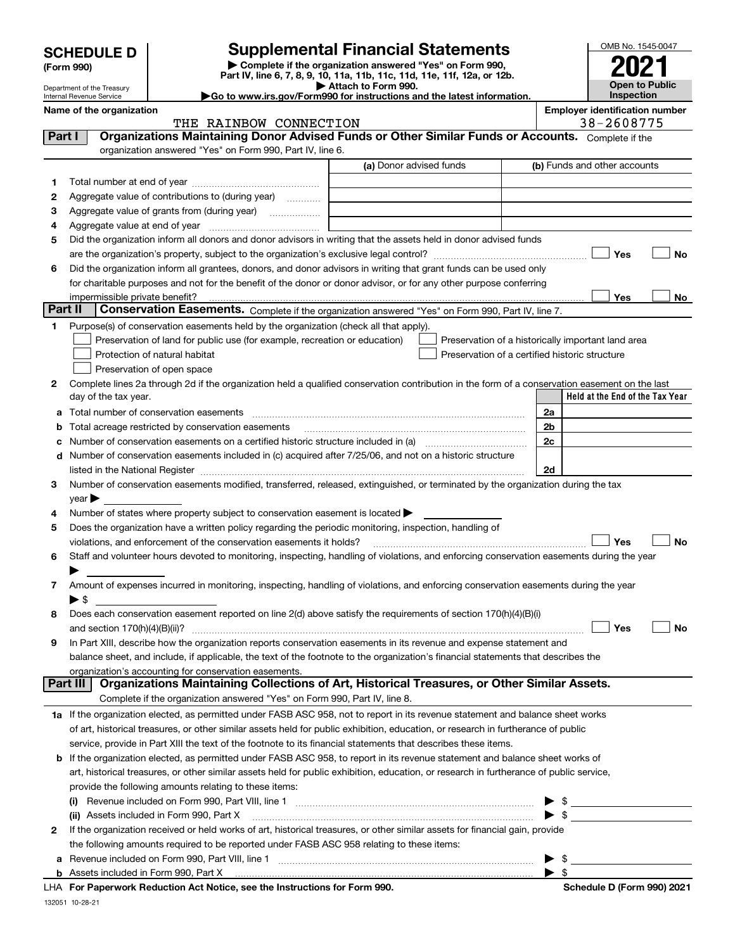| <b>SCHEDULE D</b> |  |
|-------------------|--|
| (Form 990)        |  |

# **SCHEDULE D Supplemental Financial Statements**

**| Complete if the organization answered "Yes" on Form 990, Part IV, line 6, 7, 8, 9, 10, 11a, 11b, 11c, 11d, 11e, 11f, 12a, or 12b. | Attach to Form 990.**

| OMB No. 1545-0047     |
|-----------------------|
| 2021                  |
|                       |
| <b>Open to Public</b> |
| Inspection            |

Department of the Treasury Internal Revenue Service

|  |  |  | Go to www.irs.gov/Form990 for instructions and the latest information. |  |  |  |
|--|--|--|------------------------------------------------------------------------|--|--|--|
|  |  |  |                                                                        |  |  |  |

THE RAINBOW CONNECTION

Name of the organization<br> **Employer identification number**<br> **Employer identification number**<br> **Employer identification number**<br> **Employer identification number**<br> **Employer identification number** 

| Part I  | THE KAINDOM CONNECTION<br>Organizations Maintaining Donor Advised Funds or Other Similar Funds or Accounts. Complete if the                                                                                                   |                         | JU 4000 <i>113</i>                                 |
|---------|-------------------------------------------------------------------------------------------------------------------------------------------------------------------------------------------------------------------------------|-------------------------|----------------------------------------------------|
|         | organization answered "Yes" on Form 990, Part IV, line 6.                                                                                                                                                                     |                         |                                                    |
|         |                                                                                                                                                                                                                               | (a) Donor advised funds | (b) Funds and other accounts                       |
| 1.      |                                                                                                                                                                                                                               |                         |                                                    |
| 2       | Aggregate value of contributions to (during year)                                                                                                                                                                             |                         |                                                    |
| з       | Aggregate value of grants from (during year)                                                                                                                                                                                  |                         |                                                    |
| 4       | Aggregate value at end of year                                                                                                                                                                                                |                         |                                                    |
| 5       | Did the organization inform all donors and donor advisors in writing that the assets held in donor advised funds                                                                                                              |                         |                                                    |
|         |                                                                                                                                                                                                                               |                         | Yes<br>No                                          |
| 6       | Did the organization inform all grantees, donors, and donor advisors in writing that grant funds can be used only                                                                                                             |                         |                                                    |
|         | for charitable purposes and not for the benefit of the donor or donor advisor, or for any other purpose conferring                                                                                                            |                         |                                                    |
|         | impermissible private benefit?                                                                                                                                                                                                |                         | Yes<br>No                                          |
| Part II | Conservation Easements. Complete if the organization answered "Yes" on Form 990, Part IV, line 7.                                                                                                                             |                         |                                                    |
| 1.      | Purpose(s) of conservation easements held by the organization (check all that apply).                                                                                                                                         |                         |                                                    |
|         | Preservation of land for public use (for example, recreation or education)                                                                                                                                                    |                         | Preservation of a historically important land area |
|         | Protection of natural habitat                                                                                                                                                                                                 |                         | Preservation of a certified historic structure     |
|         | Preservation of open space                                                                                                                                                                                                    |                         |                                                    |
| 2       | Complete lines 2a through 2d if the organization held a qualified conservation contribution in the form of a conservation easement on the last                                                                                |                         |                                                    |
|         | day of the tax year.                                                                                                                                                                                                          |                         | Held at the End of the Tax Year                    |
| а       | Total number of conservation easements                                                                                                                                                                                        |                         | 2a                                                 |
| b       | Total acreage restricted by conservation easements                                                                                                                                                                            |                         | 2b                                                 |
|         |                                                                                                                                                                                                                               |                         | 2c                                                 |
|         | d Number of conservation easements included in (c) acquired after 7/25/06, and not on a historic structure                                                                                                                    |                         |                                                    |
|         | listed in the National Register [111] Marshall Register [11] Marshall Register [11] Marshall Register [11] Marshall Register [11] Marshall Register [11] Marshall Register [11] Marshall Register [11] Marshall Register [11] |                         | 2d                                                 |
| 3       | Number of conservation easements modified, transferred, released, extinguished, or terminated by the organization during the tax                                                                                              |                         |                                                    |
|         | year                                                                                                                                                                                                                          |                         |                                                    |
| 4       | Number of states where property subject to conservation easement is located >                                                                                                                                                 |                         |                                                    |
| 5       | Does the organization have a written policy regarding the periodic monitoring, inspection, handling of                                                                                                                        |                         |                                                    |
|         | violations, and enforcement of the conservation easements it holds?                                                                                                                                                           |                         | Yes<br>No                                          |
| 6       | Staff and volunteer hours devoted to monitoring, inspecting, handling of violations, and enforcing conservation easements during the year                                                                                     |                         |                                                    |
|         |                                                                                                                                                                                                                               |                         |                                                    |
| 7       | Amount of expenses incurred in monitoring, inspecting, handling of violations, and enforcing conservation easements during the year                                                                                           |                         |                                                    |
|         | $\blacktriangleright$ \$                                                                                                                                                                                                      |                         |                                                    |
| 8       | Does each conservation easement reported on line 2(d) above satisfy the requirements of section 170(h)(4)(B)(i)                                                                                                               |                         |                                                    |
|         | and section $170(h)(4)(B)(ii)?$                                                                                                                                                                                               |                         | Yes<br>No                                          |
| 9       | In Part XIII, describe how the organization reports conservation easements in its revenue and expense statement and                                                                                                           |                         |                                                    |
|         | balance sheet, and include, if applicable, the text of the footnote to the organization's financial statements that describes the                                                                                             |                         |                                                    |
|         | organization's accounting for conservation easements.                                                                                                                                                                         |                         |                                                    |
|         | Organizations Maintaining Collections of Art, Historical Treasures, or Other Similar Assets.<br>Part III                                                                                                                      |                         |                                                    |
|         | Complete if the organization answered "Yes" on Form 990, Part IV, line 8.                                                                                                                                                     |                         |                                                    |
|         | 1a If the organization elected, as permitted under FASB ASC 958, not to report in its revenue statement and balance sheet works                                                                                               |                         |                                                    |
|         | of art, historical treasures, or other similar assets held for public exhibition, education, or research in furtherance of public                                                                                             |                         |                                                    |
|         | service, provide in Part XIII the text of the footnote to its financial statements that describes these items.                                                                                                                |                         |                                                    |
| b       | If the organization elected, as permitted under FASB ASC 958, to report in its revenue statement and balance sheet works of                                                                                                   |                         |                                                    |
|         | art, historical treasures, or other similar assets held for public exhibition, education, or research in furtherance of public service,                                                                                       |                         |                                                    |
|         | provide the following amounts relating to these items:                                                                                                                                                                        |                         |                                                    |
|         |                                                                                                                                                                                                                               |                         | $\frac{1}{2}$                                      |
|         | (ii) Assets included in Form 990, Part X [11] [2000] [2010] Assets included in Form 990, Part X [2010] [2000]                                                                                                                 |                         | $\blacktriangleright$ \$                           |
| 2       | If the organization received or held works of art, historical treasures, or other similar assets for financial gain, provide                                                                                                  |                         |                                                    |
|         | the following amounts required to be reported under FASB ASC 958 relating to these items:                                                                                                                                     |                         |                                                    |
| а       |                                                                                                                                                                                                                               |                         | $\frac{1}{2}$                                      |
|         |                                                                                                                                                                                                                               |                         | $\blacktriangleright$ \$                           |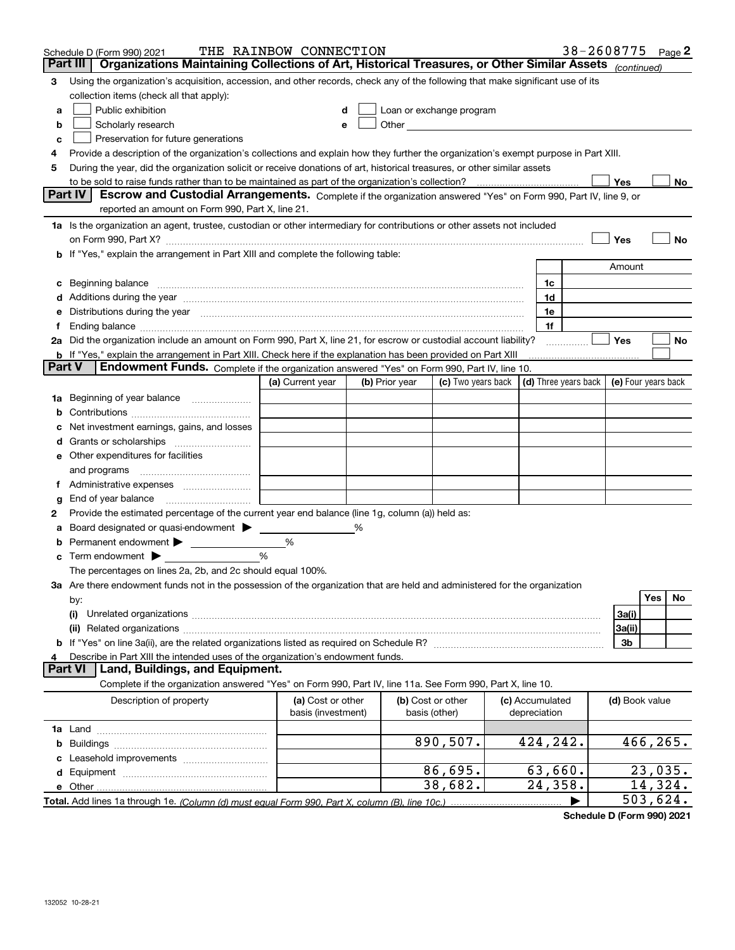|               | Schedule D (Form 990) 2021                                                                                                                                                                                                           | THE RAINBOW CONNECTION |                |                                                                                                                                                                                                                               |                 | 38-2608775 $_{Page}$ 2                                   |                |           |           |
|---------------|--------------------------------------------------------------------------------------------------------------------------------------------------------------------------------------------------------------------------------------|------------------------|----------------|-------------------------------------------------------------------------------------------------------------------------------------------------------------------------------------------------------------------------------|-----------------|----------------------------------------------------------|----------------|-----------|-----------|
| Part III      | Organizations Maintaining Collections of Art, Historical Treasures, or Other Similar Assets (continued)                                                                                                                              |                        |                |                                                                                                                                                                                                                               |                 |                                                          |                |           |           |
| 3             | Using the organization's acquisition, accession, and other records, check any of the following that make significant use of its                                                                                                      |                        |                |                                                                                                                                                                                                                               |                 |                                                          |                |           |           |
|               | collection items (check all that apply):                                                                                                                                                                                             |                        |                |                                                                                                                                                                                                                               |                 |                                                          |                |           |           |
| a             | Public exhibition                                                                                                                                                                                                                    | d                      |                | Loan or exchange program                                                                                                                                                                                                      |                 |                                                          |                |           |           |
| b             | Scholarly research                                                                                                                                                                                                                   | e                      |                | Other and the contract of the contract of the contract of the contract of the contract of the contract of the contract of the contract of the contract of the contract of the contract of the contract of the contract of the |                 |                                                          |                |           |           |
| c             | Preservation for future generations                                                                                                                                                                                                  |                        |                |                                                                                                                                                                                                                               |                 |                                                          |                |           |           |
| 4             | Provide a description of the organization's collections and explain how they further the organization's exempt purpose in Part XIII.                                                                                                 |                        |                |                                                                                                                                                                                                                               |                 |                                                          |                |           |           |
| 5             | During the year, did the organization solicit or receive donations of art, historical treasures, or other similar assets                                                                                                             |                        |                |                                                                                                                                                                                                                               |                 |                                                          |                |           |           |
|               |                                                                                                                                                                                                                                      |                        |                |                                                                                                                                                                                                                               |                 |                                                          | Yes            |           | No        |
|               | <b>Part IV</b><br>Escrow and Custodial Arrangements. Complete if the organization answered "Yes" on Form 990, Part IV, line 9, or                                                                                                    |                        |                |                                                                                                                                                                                                                               |                 |                                                          |                |           |           |
|               | reported an amount on Form 990, Part X, line 21.                                                                                                                                                                                     |                        |                |                                                                                                                                                                                                                               |                 |                                                          |                |           |           |
|               | 1a Is the organization an agent, trustee, custodian or other intermediary for contributions or other assets not included                                                                                                             |                        |                |                                                                                                                                                                                                                               |                 |                                                          |                |           |           |
|               |                                                                                                                                                                                                                                      |                        |                |                                                                                                                                                                                                                               |                 |                                                          | Yes            |           | No        |
|               | b If "Yes," explain the arrangement in Part XIII and complete the following table:                                                                                                                                                   |                        |                |                                                                                                                                                                                                                               |                 |                                                          |                |           |           |
|               |                                                                                                                                                                                                                                      |                        |                |                                                                                                                                                                                                                               |                 |                                                          | Amount         |           |           |
| c             | Beginning balance <b>contract to the contract of the contract of the contract of the contract of the contract of the contract of the contract of the contract of the contract of the contract of the contract of the contract of</b> |                        |                |                                                                                                                                                                                                                               | 1c              |                                                          |                |           |           |
|               | Additions during the year manufactured and an annual contract of the year manufactured and all the year manufactured and all the year manufactured and all the year manufactured and all the year manufactured and all the yea       |                        |                |                                                                                                                                                                                                                               | 1d              |                                                          |                |           |           |
|               | Distributions during the year manufactured and continuum and contact the year manufactured and contact the year                                                                                                                      |                        |                |                                                                                                                                                                                                                               | 1e              |                                                          |                |           |           |
|               |                                                                                                                                                                                                                                      |                        |                |                                                                                                                                                                                                                               | 1f              |                                                          |                |           |           |
| 2a            | Did the organization include an amount on Form 990, Part X, line 21, for escrow or custodial account liability?                                                                                                                      |                        |                |                                                                                                                                                                                                                               |                 |                                                          | Yes            |           | No        |
| <b>Part V</b> | <b>b</b> If "Yes," explain the arrangement in Part XIII. Check here if the explanation has been provided on Part XIII                                                                                                                |                        |                |                                                                                                                                                                                                                               |                 |                                                          |                |           |           |
|               | Endowment Funds. Complete if the organization answered "Yes" on Form 990, Part IV, line 10.                                                                                                                                          |                        |                | (c) Two years back                                                                                                                                                                                                            |                 |                                                          |                |           |           |
|               |                                                                                                                                                                                                                                      | (a) Current year       | (b) Prior year |                                                                                                                                                                                                                               |                 | $\vert$ (d) Three years back $\vert$ (e) Four years back |                |           |           |
| 1a            | Beginning of year balance                                                                                                                                                                                                            |                        |                |                                                                                                                                                                                                                               |                 |                                                          |                |           |           |
| b             |                                                                                                                                                                                                                                      |                        |                |                                                                                                                                                                                                                               |                 |                                                          |                |           |           |
|               | Net investment earnings, gains, and losses                                                                                                                                                                                           |                        |                |                                                                                                                                                                                                                               |                 |                                                          |                |           |           |
| d             |                                                                                                                                                                                                                                      |                        |                |                                                                                                                                                                                                                               |                 |                                                          |                |           |           |
|               | e Other expenditures for facilities                                                                                                                                                                                                  |                        |                |                                                                                                                                                                                                                               |                 |                                                          |                |           |           |
|               | and programs                                                                                                                                                                                                                         |                        |                |                                                                                                                                                                                                                               |                 |                                                          |                |           |           |
| Ť.            |                                                                                                                                                                                                                                      |                        |                |                                                                                                                                                                                                                               |                 |                                                          |                |           |           |
| g             | End of year balance                                                                                                                                                                                                                  |                        |                |                                                                                                                                                                                                                               |                 |                                                          |                |           |           |
| 2             | Provide the estimated percentage of the current year end balance (line 1g, column (a)) held as:                                                                                                                                      |                        |                |                                                                                                                                                                                                                               |                 |                                                          |                |           |           |
| а             | Board designated or quasi-endowment > _____<br>Permanent endowment > 1                                                                                                                                                               | %                      |                |                                                                                                                                                                                                                               |                 |                                                          |                |           |           |
| b             | <b>c</b> Term endowment $\blacktriangleright$                                                                                                                                                                                        | %                      |                |                                                                                                                                                                                                                               |                 |                                                          |                |           |           |
|               | The percentages on lines 2a, 2b, and 2c should equal 100%.                                                                                                                                                                           |                        |                |                                                                                                                                                                                                                               |                 |                                                          |                |           |           |
|               | 3a Are there endowment funds not in the possession of the organization that are held and administered for the organization                                                                                                           |                        |                |                                                                                                                                                                                                                               |                 |                                                          |                |           |           |
|               | by:                                                                                                                                                                                                                                  |                        |                |                                                                                                                                                                                                                               |                 |                                                          |                | Yes       | <b>No</b> |
|               | (i)                                                                                                                                                                                                                                  |                        |                |                                                                                                                                                                                                                               |                 |                                                          | 3a(i)          |           |           |
|               |                                                                                                                                                                                                                                      |                        |                |                                                                                                                                                                                                                               |                 |                                                          | 3a(ii)         |           |           |
|               |                                                                                                                                                                                                                                      |                        |                |                                                                                                                                                                                                                               |                 |                                                          | 3b             |           |           |
|               | Describe in Part XIII the intended uses of the organization's endowment funds.                                                                                                                                                       |                        |                |                                                                                                                                                                                                                               |                 |                                                          |                |           |           |
|               | <b>Part VI</b><br>Land, Buildings, and Equipment.                                                                                                                                                                                    |                        |                |                                                                                                                                                                                                                               |                 |                                                          |                |           |           |
|               | Complete if the organization answered "Yes" on Form 990, Part IV, line 11a. See Form 990, Part X, line 10.                                                                                                                           |                        |                |                                                                                                                                                                                                                               |                 |                                                          |                |           |           |
|               | Description of property                                                                                                                                                                                                              | (a) Cost or other      |                | (b) Cost or other                                                                                                                                                                                                             | (c) Accumulated |                                                          | (d) Book value |           |           |
|               |                                                                                                                                                                                                                                      | basis (investment)     |                | basis (other)                                                                                                                                                                                                                 | depreciation    |                                                          |                |           |           |
|               |                                                                                                                                                                                                                                      |                        |                |                                                                                                                                                                                                                               |                 |                                                          |                |           |           |
|               |                                                                                                                                                                                                                                      |                        |                | 890,507.                                                                                                                                                                                                                      | 424,242.        |                                                          |                | 466, 265. |           |
|               |                                                                                                                                                                                                                                      |                        |                |                                                                                                                                                                                                                               |                 |                                                          |                |           |           |
|               |                                                                                                                                                                                                                                      |                        |                | 86,695.                                                                                                                                                                                                                       | 63,660.         |                                                          |                | 23,035.   |           |
|               |                                                                                                                                                                                                                                      |                        |                | 38,682.                                                                                                                                                                                                                       | 24,358.         |                                                          |                | 14,324.   |           |
|               |                                                                                                                                                                                                                                      |                        |                |                                                                                                                                                                                                                               |                 |                                                          |                | 503,624.  |           |

**Schedule D (Form 990) 2021**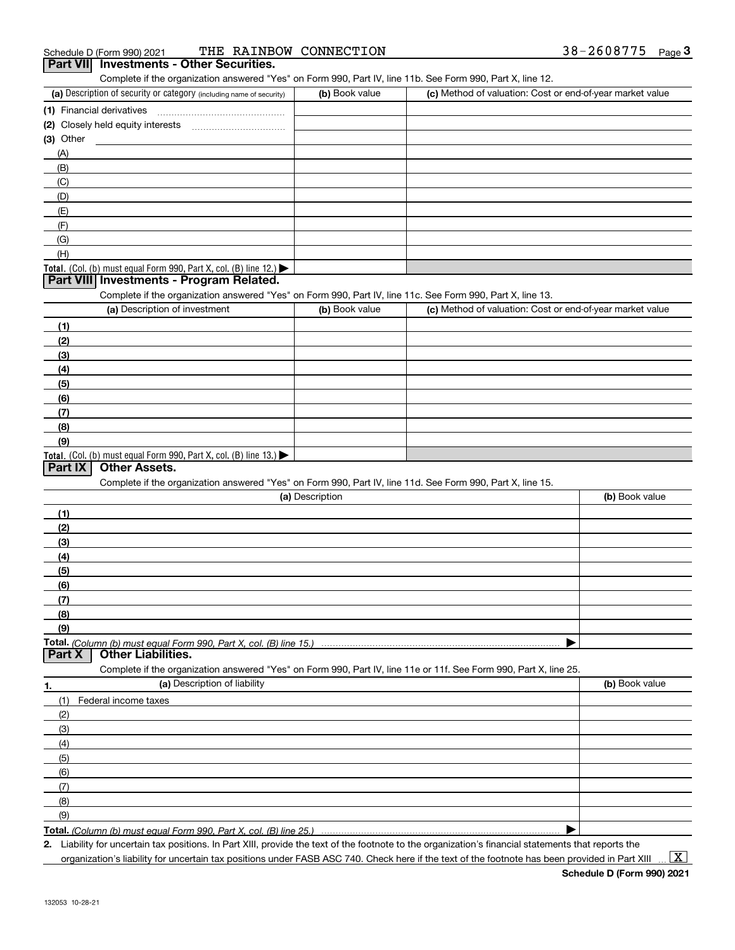| Schedule D (Form 990) 2021 |                                                 | THE RAINBOW CONNECTION | 38-2608775 | Page |
|----------------------------|-------------------------------------------------|------------------------|------------|------|
|                            | <b>Part VII</b> Investments - Other Securities. |                        |            |      |

| Complete if the organization answered "Yes" on Form 990, Part IV, line 11b. See Form 990, Part X, line 12.                                                                                                        |                 |                                                           |                |
|-------------------------------------------------------------------------------------------------------------------------------------------------------------------------------------------------------------------|-----------------|-----------------------------------------------------------|----------------|
| (a) Description of security or category (including name of security)                                                                                                                                              | (b) Book value  | (c) Method of valuation: Cost or end-of-year market value |                |
| (1) Financial derivatives                                                                                                                                                                                         |                 |                                                           |                |
| (2) Closely held equity interests                                                                                                                                                                                 |                 |                                                           |                |
| $(3)$ Other                                                                                                                                                                                                       |                 |                                                           |                |
| (A)                                                                                                                                                                                                               |                 |                                                           |                |
| (B)                                                                                                                                                                                                               |                 |                                                           |                |
| (C)                                                                                                                                                                                                               |                 |                                                           |                |
| (D)                                                                                                                                                                                                               |                 |                                                           |                |
| (E)                                                                                                                                                                                                               |                 |                                                           |                |
| (F)                                                                                                                                                                                                               |                 |                                                           |                |
| (G)                                                                                                                                                                                                               |                 |                                                           |                |
| (H)                                                                                                                                                                                                               |                 |                                                           |                |
| Total. (Col. (b) must equal Form 990, Part X, col. (B) line 12.)                                                                                                                                                  |                 |                                                           |                |
| Part VIII Investments - Program Related.                                                                                                                                                                          |                 |                                                           |                |
| Complete if the organization answered "Yes" on Form 990, Part IV, line 11c. See Form 990, Part X, line 13.                                                                                                        |                 |                                                           |                |
| (a) Description of investment                                                                                                                                                                                     | (b) Book value  | (c) Method of valuation: Cost or end-of-year market value |                |
| (1)                                                                                                                                                                                                               |                 |                                                           |                |
| (2)                                                                                                                                                                                                               |                 |                                                           |                |
| (3)                                                                                                                                                                                                               |                 |                                                           |                |
| (4)                                                                                                                                                                                                               |                 |                                                           |                |
| (5)                                                                                                                                                                                                               |                 |                                                           |                |
| (6)                                                                                                                                                                                                               |                 |                                                           |                |
| (7)                                                                                                                                                                                                               |                 |                                                           |                |
| (8)                                                                                                                                                                                                               |                 |                                                           |                |
| (9)                                                                                                                                                                                                               |                 |                                                           |                |
| Total. (Col. (b) must equal Form 990, Part X, col. (B) line 13.)<br><b>Other Assets.</b><br>Part IX<br>Complete if the organization answered "Yes" on Form 990, Part IV, line 11d. See Form 990, Part X, line 15. |                 |                                                           |                |
|                                                                                                                                                                                                                   | (a) Description |                                                           | (b) Book value |
| (1)                                                                                                                                                                                                               |                 |                                                           |                |
| (2)                                                                                                                                                                                                               |                 |                                                           |                |
| (3)                                                                                                                                                                                                               |                 |                                                           |                |
| (4)                                                                                                                                                                                                               |                 |                                                           |                |
| (5)                                                                                                                                                                                                               |                 |                                                           |                |
| (6)                                                                                                                                                                                                               |                 |                                                           |                |
| (7)                                                                                                                                                                                                               |                 |                                                           |                |
| (8)                                                                                                                                                                                                               |                 |                                                           |                |
| (9)                                                                                                                                                                                                               |                 |                                                           |                |
| <b>Other Liabilities.</b><br>Part X                                                                                                                                                                               |                 |                                                           |                |
| Complete if the organization answered "Yes" on Form 990, Part IV, line 11e or 11f. See Form 990, Part X, line 25.                                                                                                 |                 |                                                           |                |
| (a) Description of liability<br>1.                                                                                                                                                                                |                 |                                                           | (b) Book value |
| (1)<br>Federal income taxes                                                                                                                                                                                       |                 |                                                           |                |
| (2)                                                                                                                                                                                                               |                 |                                                           |                |
| (3)                                                                                                                                                                                                               |                 |                                                           |                |
| (4)                                                                                                                                                                                                               |                 |                                                           |                |
|                                                                                                                                                                                                                   |                 |                                                           |                |
| (5)                                                                                                                                                                                                               |                 |                                                           |                |
| (6)                                                                                                                                                                                                               |                 |                                                           |                |
| (7)                                                                                                                                                                                                               |                 |                                                           |                |
| (8)                                                                                                                                                                                                               |                 |                                                           |                |
| (9)                                                                                                                                                                                                               |                 |                                                           |                |

**Total.**  *(Column (b) must equal Form 990, Part X, col. (B) line 25.)*

**2.** Liability for uncertain tax positions. In Part XIII, provide the text of the footnote to the organization's financial statements that reports the organization's liability for uncertain tax positions under FASB ASC 740. Check here if the text of the footnote has been provided in Part XIII

 $\vert$  X  $\vert$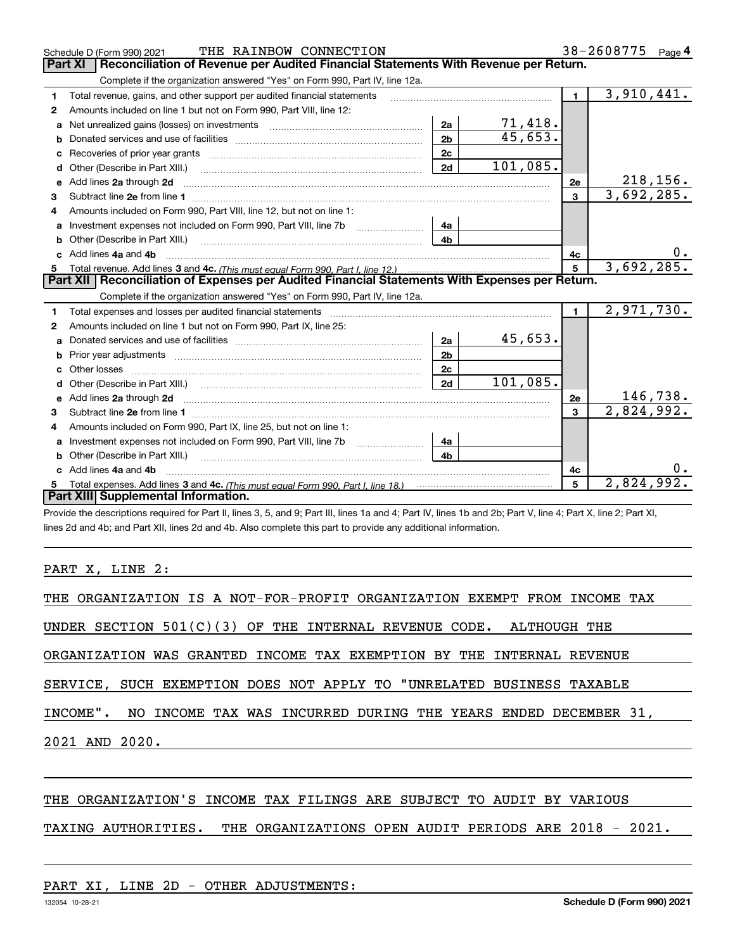|              | THE RAINBOW CONNECTION<br>Schedule D (Form 990) 2021                                                                                                                                                                          |                |          |                | 38-2608775<br>Page $4$  |    |
|--------------|-------------------------------------------------------------------------------------------------------------------------------------------------------------------------------------------------------------------------------|----------------|----------|----------------|-------------------------|----|
|              | Reconciliation of Revenue per Audited Financial Statements With Revenue per Return.<br><b>Part XI</b>                                                                                                                         |                |          |                |                         |    |
|              | Complete if the organization answered "Yes" on Form 990, Part IV, line 12a.                                                                                                                                                   |                |          |                |                         |    |
| 1            | Total revenue, gains, and other support per audited financial statements                                                                                                                                                      |                |          | $\blacksquare$ | $\overline{3,910},441.$ |    |
| $\mathbf{2}$ | Amounts included on line 1 but not on Form 990, Part VIII, line 12:                                                                                                                                                           |                |          |                |                         |    |
| a            |                                                                                                                                                                                                                               | 2a             | 71,418.  |                |                         |    |
|              |                                                                                                                                                                                                                               | 2 <sub>b</sub> | 45,653.  |                |                         |    |
|              |                                                                                                                                                                                                                               | 2c             |          |                |                         |    |
| d            |                                                                                                                                                                                                                               | 2d             | 101,085. |                |                         |    |
| е            | Add lines 2a through 2d                                                                                                                                                                                                       |                |          | 2e             | <u>218,156.</u>         |    |
| 3            |                                                                                                                                                                                                                               |                |          | $\mathbf{3}$   | 3,692,285.              |    |
| 4            | Amounts included on Form 990, Part VIII, line 12, but not on line 1:                                                                                                                                                          |                |          |                |                         |    |
|              |                                                                                                                                                                                                                               | 4а             |          |                |                         |    |
| b            |                                                                                                                                                                                                                               | 4 <sub>h</sub> |          |                |                         |    |
| c.           | Add lines 4a and 4b                                                                                                                                                                                                           |                |          | 4c             |                         | 0. |
|              |                                                                                                                                                                                                                               |                |          | $\overline{5}$ | 3,692,285.              |    |
|              | Part XII   Reconciliation of Expenses per Audited Financial Statements With Expenses per Return.                                                                                                                              |                |          |                |                         |    |
|              | Complete if the organization answered "Yes" on Form 990, Part IV, line 12a.                                                                                                                                                   |                |          |                |                         |    |
| 1            | Total expenses and losses per audited financial statements [11, 11] manuscription control expenses and losses per audited financial statements [11] manuscription of the statements and the statements and the statements and |                |          | $\blacksquare$ | 2,971,730.              |    |
| 2            | Amounts included on line 1 but not on Form 990, Part IX, line 25:                                                                                                                                                             |                |          |                |                         |    |
| a            |                                                                                                                                                                                                                               | 2a             | 45,653.  |                |                         |    |
|              |                                                                                                                                                                                                                               | 2 <sub>b</sub> |          |                |                         |    |
| с            |                                                                                                                                                                                                                               | 2c             |          |                |                         |    |
| d            | Other (Describe in Part XIII.) (2000) (2000) (2000) (2010) (2010) (2010) (2010) (2010) (2010) (2010) (2010) (20                                                                                                               | 2d             | 101,085. |                |                         |    |
| е            | Add lines 2a through 2d <b>contained a contained a contained a contained a</b> contained a contained a contact the set                                                                                                        |                |          | 2e             | 146,738.                |    |
| З.           |                                                                                                                                                                                                                               |                |          | $\mathbf{3}$   | 2,824,992.              |    |
| 4            | Amounts included on Form 990, Part IX, line 25, but not on line 1:                                                                                                                                                            |                |          |                |                         |    |
| a            |                                                                                                                                                                                                                               | 4a             |          |                |                         |    |
| b            |                                                                                                                                                                                                                               | 4b.            |          |                |                         |    |
|              |                                                                                                                                                                                                                               |                |          |                |                         |    |
|              | Add lines 4a and 4b                                                                                                                                                                                                           |                |          | 4с             |                         | 0. |
|              | Part XIII Supplemental Information.                                                                                                                                                                                           |                |          | 5              | 2,824,992.              |    |

Provide the descriptions required for Part II, lines 3, 5, and 9; Part III, lines 1a and 4; Part IV, lines 1b and 2b; Part V, line 4; Part X, line 2; Part XI, lines 2d and 4b; and Part XII, lines 2d and 4b. Also complete this part to provide any additional information.

PART X, LINE 2:

| THE ORGANIZATION IS A NOT-FOR-PROFIT ORGANIZATION EXEMPT FROM INCOME TAX |  |
|--------------------------------------------------------------------------|--|
| UNDER SECTION $501(C)(3)$ OF THE INTERNAL REVENUE CODE. ALTHOUGH THE     |  |
| ORGANIZATION WAS GRANTED INCOME TAX EXEMPTION BY THE INTERNAL REVENUE    |  |
| SERVICE, SUCH EXEMPTION DOES NOT APPLY TO "UNRELATED BUSINESS TAXABLE    |  |
| INCOME". NO INCOME TAX WAS INCURRED DURING THE YEARS ENDED DECEMBER 31,  |  |
| 2021 AND 2020.                                                           |  |
|                                                                          |  |
|                                                                          |  |

## THE ORGANIZATION'S INCOME TAX FILINGS ARE SUBJECT TO AUDIT BY VARIOUS

# TAXING AUTHORITIES. THE ORGANIZATIONS OPEN AUDIT PERIODS ARE 2018 - 2021.

## PART XI, LINE 2D - OTHER ADJUSTMENTS: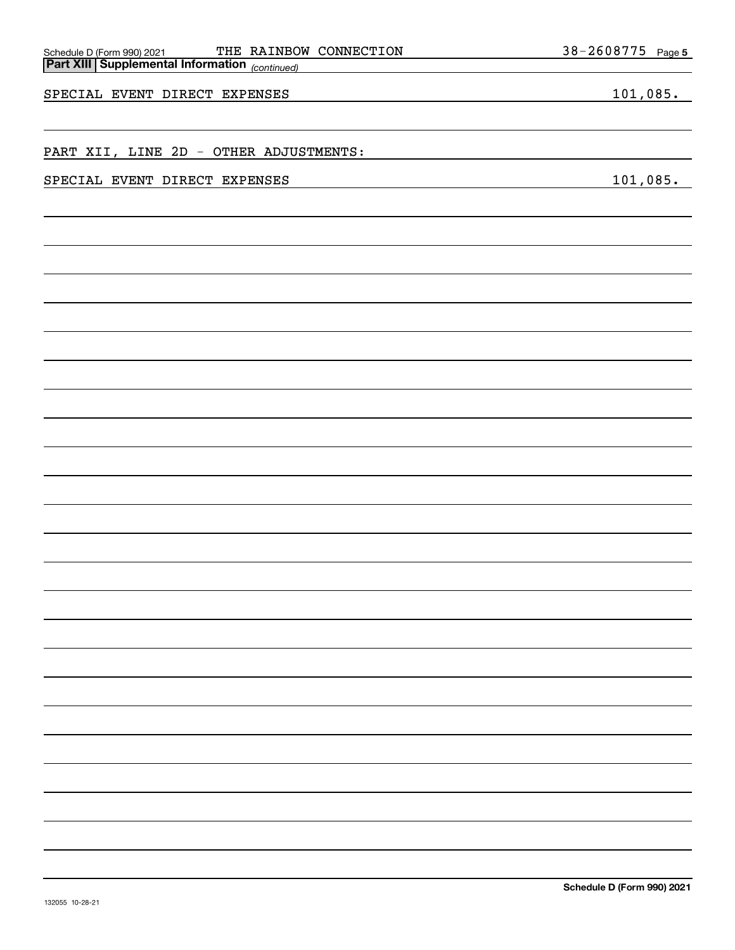| SPECIAL EVENT DIRECT EXPENSES | 101,085. |
|-------------------------------|----------|
|                               |          |
|                               |          |
|                               |          |
|                               |          |
|                               |          |
|                               |          |
|                               |          |
|                               |          |
|                               |          |
|                               |          |
|                               |          |
|                               |          |
|                               |          |
|                               |          |
|                               |          |
|                               |          |
|                               |          |
|                               |          |
|                               |          |
|                               |          |
|                               |          |
|                               |          |
|                               |          |
|                               |          |
|                               |          |
|                               |          |
|                               |          |

**5**

*(continued)* **Part XIII Supplemental Information** 

SPECIAL EVENT DIRECT EXPENSES 101,085.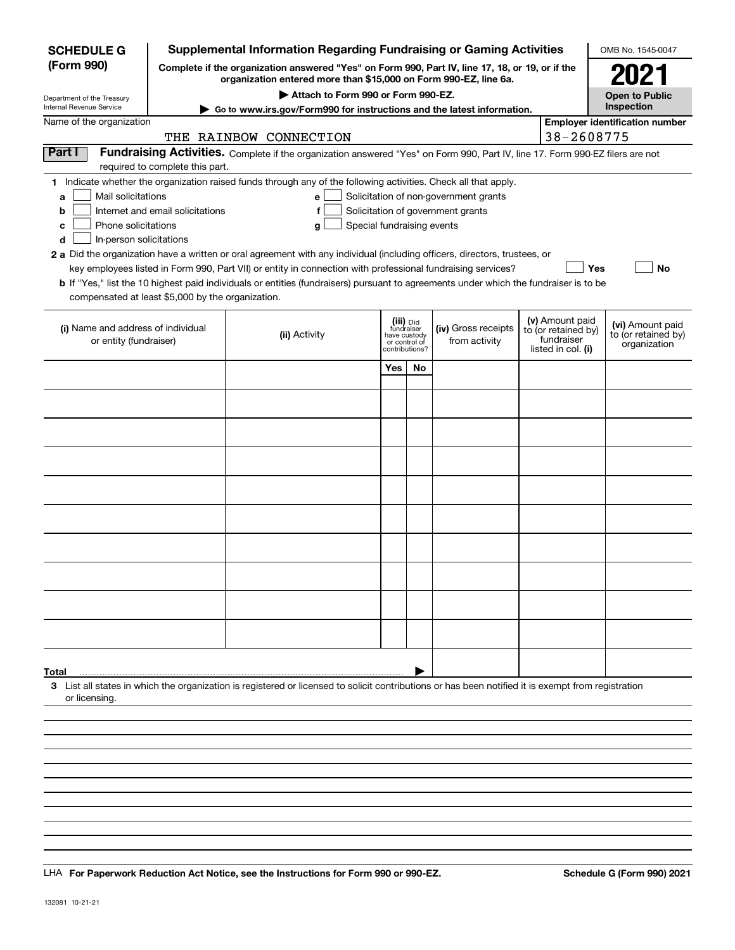| <b>SCHEDULE G</b>                                    |                                  | Supplemental Information Regarding Fundraising or Gaming Activities                                                                                                 |               |                                         |                                       |                                        | OMB No. 1545-0047                       |
|------------------------------------------------------|----------------------------------|---------------------------------------------------------------------------------------------------------------------------------------------------------------------|---------------|-----------------------------------------|---------------------------------------|----------------------------------------|-----------------------------------------|
| (Form 990)                                           |                                  | Complete if the organization answered "Yes" on Form 990, Part IV, line 17, 18, or 19, or if the<br>organization entered more than \$15,000 on Form 990-EZ, line 6a. |               |                                         |                                       |                                        | 2021                                    |
| Department of the Treasury                           |                                  | Attach to Form 990 or Form 990-EZ.                                                                                                                                  |               |                                         |                                       |                                        | <b>Open to Public</b><br>Inspection     |
| Internal Revenue Service<br>Name of the organization |                                  | Go to www.irs.gov/Form990 for instructions and the latest information.                                                                                              |               |                                         |                                       |                                        | <b>Employer identification number</b>   |
|                                                      |                                  | THE RAINBOW CONNECTION                                                                                                                                              |               |                                         |                                       | 38-2608775                             |                                         |
| Part I                                               |                                  | Fundraising Activities. Complete if the organization answered "Yes" on Form 990, Part IV, line 17. Form 990-EZ filers are not                                       |               |                                         |                                       |                                        |                                         |
|                                                      | required to complete this part.  |                                                                                                                                                                     |               |                                         |                                       |                                        |                                         |
|                                                      |                                  | 1 Indicate whether the organization raised funds through any of the following activities. Check all that apply.                                                     |               |                                         |                                       |                                        |                                         |
| Mail solicitations<br>a<br>b                         | Internet and email solicitations | е<br>f                                                                                                                                                              |               |                                         | Solicitation of non-government grants |                                        |                                         |
| Phone solicitations<br>с                             |                                  | Special fundraising events<br>g                                                                                                                                     |               |                                         | Solicitation of government grants     |                                        |                                         |
| In-person solicitations<br>d                         |                                  |                                                                                                                                                                     |               |                                         |                                       |                                        |                                         |
|                                                      |                                  | 2 a Did the organization have a written or oral agreement with any individual (including officers, directors, trustees, or                                          |               |                                         |                                       |                                        |                                         |
|                                                      |                                  | key employees listed in Form 990, Part VII) or entity in connection with professional fundraising services?                                                         |               |                                         |                                       |                                        | Yes<br>No                               |
| compensated at least \$5,000 by the organization.    |                                  | <b>b</b> If "Yes," list the 10 highest paid individuals or entities (fundraisers) pursuant to agreements under which the fundraiser is to be                        |               |                                         |                                       |                                        |                                         |
|                                                      |                                  |                                                                                                                                                                     |               |                                         |                                       |                                        |                                         |
| (i) Name and address of individual                   |                                  | (ii) Activity                                                                                                                                                       |               | (iii) Did<br>fundraiser<br>have custody | (iv) Gross receipts                   | (v) Amount paid<br>to (or retained by) | (vi) Amount paid<br>to (or retained by) |
| or entity (fundraiser)                               |                                  |                                                                                                                                                                     | or control of | contributions?                          | from activity                         | fundraiser<br>listed in col. (i)       | organization                            |
|                                                      |                                  |                                                                                                                                                                     | Yes           | No                                      |                                       |                                        |                                         |
|                                                      |                                  |                                                                                                                                                                     |               |                                         |                                       |                                        |                                         |
|                                                      |                                  |                                                                                                                                                                     |               |                                         |                                       |                                        |                                         |
|                                                      |                                  |                                                                                                                                                                     |               |                                         |                                       |                                        |                                         |
|                                                      |                                  |                                                                                                                                                                     |               |                                         |                                       |                                        |                                         |
|                                                      |                                  |                                                                                                                                                                     |               |                                         |                                       |                                        |                                         |
|                                                      |                                  |                                                                                                                                                                     |               |                                         |                                       |                                        |                                         |
|                                                      |                                  |                                                                                                                                                                     |               |                                         |                                       |                                        |                                         |
|                                                      |                                  |                                                                                                                                                                     |               |                                         |                                       |                                        |                                         |
|                                                      |                                  |                                                                                                                                                                     |               |                                         |                                       |                                        |                                         |
|                                                      |                                  |                                                                                                                                                                     |               |                                         |                                       |                                        |                                         |
|                                                      |                                  |                                                                                                                                                                     |               |                                         |                                       |                                        |                                         |
|                                                      |                                  |                                                                                                                                                                     |               |                                         |                                       |                                        |                                         |
|                                                      |                                  |                                                                                                                                                                     |               |                                         |                                       |                                        |                                         |
|                                                      |                                  |                                                                                                                                                                     |               |                                         |                                       |                                        |                                         |
|                                                      |                                  |                                                                                                                                                                     |               |                                         |                                       |                                        |                                         |
|                                                      |                                  |                                                                                                                                                                     |               |                                         |                                       |                                        |                                         |
| Total                                                |                                  |                                                                                                                                                                     |               |                                         |                                       |                                        |                                         |
|                                                      |                                  | 3 List all states in which the organization is registered or licensed to solicit contributions or has been notified it is exempt from registration                  |               |                                         |                                       |                                        |                                         |
| or licensing.                                        |                                  |                                                                                                                                                                     |               |                                         |                                       |                                        |                                         |
|                                                      |                                  |                                                                                                                                                                     |               |                                         |                                       |                                        |                                         |
|                                                      |                                  |                                                                                                                                                                     |               |                                         |                                       |                                        |                                         |
|                                                      |                                  |                                                                                                                                                                     |               |                                         |                                       |                                        |                                         |
|                                                      |                                  |                                                                                                                                                                     |               |                                         |                                       |                                        |                                         |
|                                                      |                                  |                                                                                                                                                                     |               |                                         |                                       |                                        |                                         |

LHA For Paperwork Reduction Act Notice, see the Instructions for Form 990 or 990-EZ. Schedule G (Form 990) 2021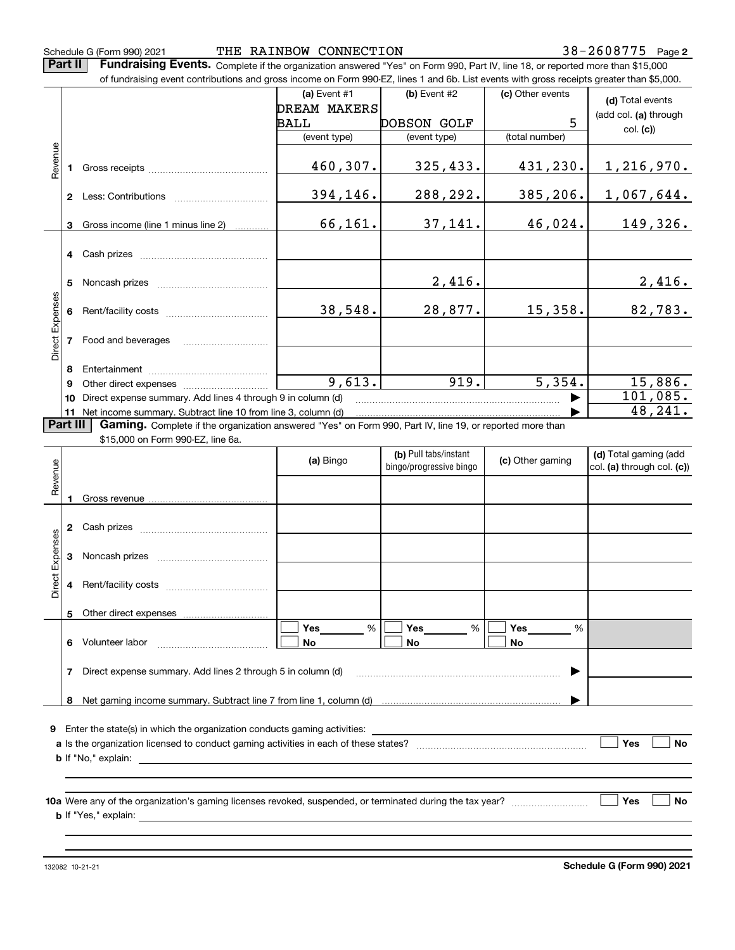Schedule G (Form 990) 2021 THE RAINBOW CONNECTION 38-2608775 Page

**Part II** | Fundraising Events. Complete if the organization answered "Yes" on Form 990, Part IV, line 18, or reported more than \$15,000

|                 |   | of fundraising event contributions and gross income on Form 990-EZ, lines 1 and 6b. List events with gross receipts greater than \$5,000.                                   |                |                         |                  |                            |
|-----------------|---|-----------------------------------------------------------------------------------------------------------------------------------------------------------------------------|----------------|-------------------------|------------------|----------------------------|
|                 |   |                                                                                                                                                                             | (a) Event $#1$ | (b) Event #2            | (c) Other events | (d) Total events           |
|                 |   |                                                                                                                                                                             | DREAM MAKERS   |                         |                  | (add col. (a) through      |
|                 |   |                                                                                                                                                                             | BALL           | DOBSON GOLF             | 5                | col. (c)                   |
|                 |   |                                                                                                                                                                             | (event type)   | (event type)            | (total number)   |                            |
| Revenue         |   |                                                                                                                                                                             |                |                         |                  |                            |
|                 |   |                                                                                                                                                                             | 460,307.       | 325,433.                | 431,230.         | 1, 216, 970.               |
|                 |   |                                                                                                                                                                             |                |                         |                  |                            |
|                 |   |                                                                                                                                                                             | 394,146.       | 288,292.                | 385, 206.        | 1,067,644.                 |
|                 |   |                                                                                                                                                                             |                |                         |                  |                            |
|                 |   | 3 Gross income (line 1 minus line 2)                                                                                                                                        | 66,161.        | 37,141.                 | 46,024.          | 149,326.                   |
|                 |   |                                                                                                                                                                             |                |                         |                  |                            |
|                 |   |                                                                                                                                                                             |                |                         |                  |                            |
|                 |   |                                                                                                                                                                             |                |                         |                  |                            |
|                 |   |                                                                                                                                                                             |                | 2,416.                  |                  | 2,416.                     |
|                 |   |                                                                                                                                                                             |                |                         |                  |                            |
|                 |   |                                                                                                                                                                             | 38,548.        | 28,877.                 | 15,358.          | 82,783.                    |
| Direct Expenses |   |                                                                                                                                                                             |                |                         |                  |                            |
|                 |   | 7 Food and beverages                                                                                                                                                        |                |                         |                  |                            |
|                 |   |                                                                                                                                                                             |                |                         |                  |                            |
|                 |   |                                                                                                                                                                             |                |                         |                  |                            |
|                 | 9 |                                                                                                                                                                             | 9,613.         | 919.                    | 5,354.           | 15,886.                    |
|                 |   | 10 Direct expense summary. Add lines 4 through 9 in column (d)                                                                                                              |                |                         |                  | 101,085.                   |
| Part III        |   | 11 Net income summary. Subtract line 10 from line 3, column (d)<br>Gaming. Complete if the organization answered "Yes" on Form 990, Part IV, line 19, or reported more than |                |                         |                  | 48,241.                    |
|                 |   |                                                                                                                                                                             |                |                         |                  |                            |
|                 |   |                                                                                                                                                                             |                |                         |                  |                            |
|                 |   | \$15,000 on Form 990-EZ, line 6a.                                                                                                                                           |                |                         |                  |                            |
|                 |   |                                                                                                                                                                             | (a) Bingo      | (b) Pull tabs/instant   | (c) Other gaming | (d) Total gaming (add      |
|                 |   |                                                                                                                                                                             |                | bingo/progressive bingo |                  | col. (a) through col. (c)) |
| Revenue         |   |                                                                                                                                                                             |                |                         |                  |                            |
|                 |   |                                                                                                                                                                             |                |                         |                  |                            |
|                 |   |                                                                                                                                                                             |                |                         |                  |                            |
|                 |   |                                                                                                                                                                             |                |                         |                  |                            |
|                 | 3 |                                                                                                                                                                             |                |                         |                  |                            |
|                 |   |                                                                                                                                                                             |                |                         |                  |                            |
|                 | 4 |                                                                                                                                                                             |                |                         |                  |                            |
| Direct Expenses |   |                                                                                                                                                                             |                |                         |                  |                            |
|                 | 5 | Other direct expenses                                                                                                                                                       |                |                         |                  |                            |
|                 |   |                                                                                                                                                                             | Yes<br>%       | Yes<br>%                | Yes<br>%         |                            |
|                 |   | 6 Volunteer labor                                                                                                                                                           | No             | No                      | No               |                            |
|                 |   |                                                                                                                                                                             |                |                         |                  |                            |
|                 | 7 | Direct expense summary. Add lines 2 through 5 in column (d)                                                                                                                 |                |                         |                  |                            |
|                 |   |                                                                                                                                                                             |                |                         |                  |                            |
|                 |   |                                                                                                                                                                             |                |                         |                  |                            |
|                 |   |                                                                                                                                                                             |                |                         |                  |                            |
|                 |   | 9 Enter the state(s) in which the organization conducts gaming activities:                                                                                                  |                |                         |                  |                            |
|                 |   |                                                                                                                                                                             |                |                         |                  | Yes<br>No                  |
|                 |   | <b>b</b> If "No," explain:                                                                                                                                                  |                |                         |                  |                            |

**10 a Yes No** Were any of the organization's gaming licenses revoked, suspended, or terminated during the tax year? ~~~~~~~~~ **b** If "Yes," explain:

132082 10-21-21

**Schedule G (Form 990) 2021**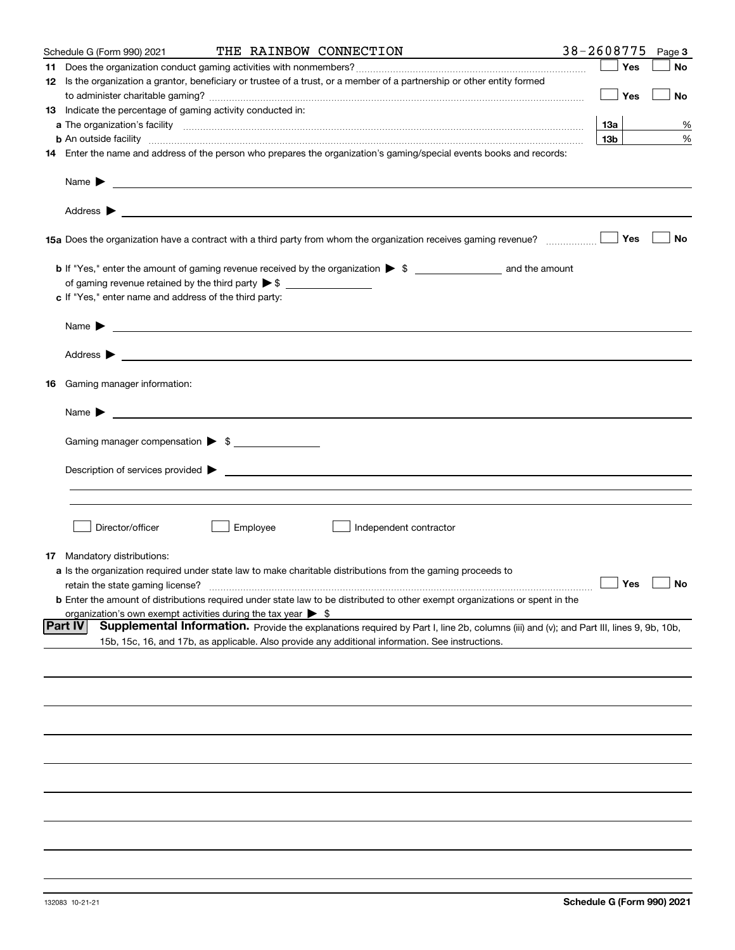|                                                                                          | THE RAINBOW CONNECTION                                                                                                                                                                                                                                                                | 38-2608775 Page 3         |
|------------------------------------------------------------------------------------------|---------------------------------------------------------------------------------------------------------------------------------------------------------------------------------------------------------------------------------------------------------------------------------------|---------------------------|
| 11.                                                                                      |                                                                                                                                                                                                                                                                                       | Yes<br>No                 |
|                                                                                          | 12 Is the organization a grantor, beneficiary or trustee of a trust, or a member of a partnership or other entity formed                                                                                                                                                              | $\Box$ Yes<br>No          |
| 13 Indicate the percentage of gaming activity conducted in:                              |                                                                                                                                                                                                                                                                                       |                           |
|                                                                                          |                                                                                                                                                                                                                                                                                       | 13a                       |
|                                                                                          |                                                                                                                                                                                                                                                                                       | %<br>13 <sub>b</sub><br>% |
|                                                                                          | <b>b</b> An outside facility <i>www.communicality www.communicality.communicality www.communicality www.communicality.communicality www.communicality.com</i><br>14 Enter the name and address of the person who prepares the organization's gaming/special events books and records: |                           |
| Name $\triangleright$ $\square$                                                          |                                                                                                                                                                                                                                                                                       |                           |
|                                                                                          |                                                                                                                                                                                                                                                                                       |                           |
|                                                                                          |                                                                                                                                                                                                                                                                                       | Yes<br>No                 |
|                                                                                          |                                                                                                                                                                                                                                                                                       |                           |
|                                                                                          |                                                                                                                                                                                                                                                                                       |                           |
| c If "Yes," enter name and address of the third party:                                   |                                                                                                                                                                                                                                                                                       |                           |
|                                                                                          |                                                                                                                                                                                                                                                                                       |                           |
|                                                                                          |                                                                                                                                                                                                                                                                                       |                           |
|                                                                                          |                                                                                                                                                                                                                                                                                       |                           |
| Gaming manager information:<br>16                                                        |                                                                                                                                                                                                                                                                                       |                           |
| Name $\blacktriangleright$ $\lrcorner$                                                   |                                                                                                                                                                                                                                                                                       |                           |
| Gaming manager compensation > \$                                                         |                                                                                                                                                                                                                                                                                       |                           |
|                                                                                          |                                                                                                                                                                                                                                                                                       |                           |
|                                                                                          |                                                                                                                                                                                                                                                                                       |                           |
|                                                                                          |                                                                                                                                                                                                                                                                                       |                           |
| Director/officer                                                                         | Employee<br>Independent contractor                                                                                                                                                                                                                                                    |                           |
|                                                                                          |                                                                                                                                                                                                                                                                                       |                           |
| <b>17</b> Mandatory distributions:                                                       | a Is the organization required under state law to make charitable distributions from the gaming proceeds to                                                                                                                                                                           |                           |
|                                                                                          |                                                                                                                                                                                                                                                                                       | $\Box$ Yes $\Box$ No      |
| retain the state gaming license?                                                         | <b>b</b> Enter the amount of distributions required under state law to be distributed to other exempt organizations or spent in the                                                                                                                                                   |                           |
|                                                                                          |                                                                                                                                                                                                                                                                                       |                           |
| organization's own exempt activities during the tax year $\triangleright$ \$<br> Part IV | Supplemental Information. Provide the explanations required by Part I, line 2b, columns (iii) and (v); and Part III, lines 9, 9b, 10b,                                                                                                                                                |                           |
|                                                                                          | 15b, 15c, 16, and 17b, as applicable. Also provide any additional information. See instructions.                                                                                                                                                                                      |                           |
|                                                                                          |                                                                                                                                                                                                                                                                                       |                           |
|                                                                                          |                                                                                                                                                                                                                                                                                       |                           |
|                                                                                          |                                                                                                                                                                                                                                                                                       |                           |
|                                                                                          |                                                                                                                                                                                                                                                                                       |                           |
|                                                                                          |                                                                                                                                                                                                                                                                                       |                           |
|                                                                                          |                                                                                                                                                                                                                                                                                       |                           |
|                                                                                          |                                                                                                                                                                                                                                                                                       |                           |
|                                                                                          |                                                                                                                                                                                                                                                                                       |                           |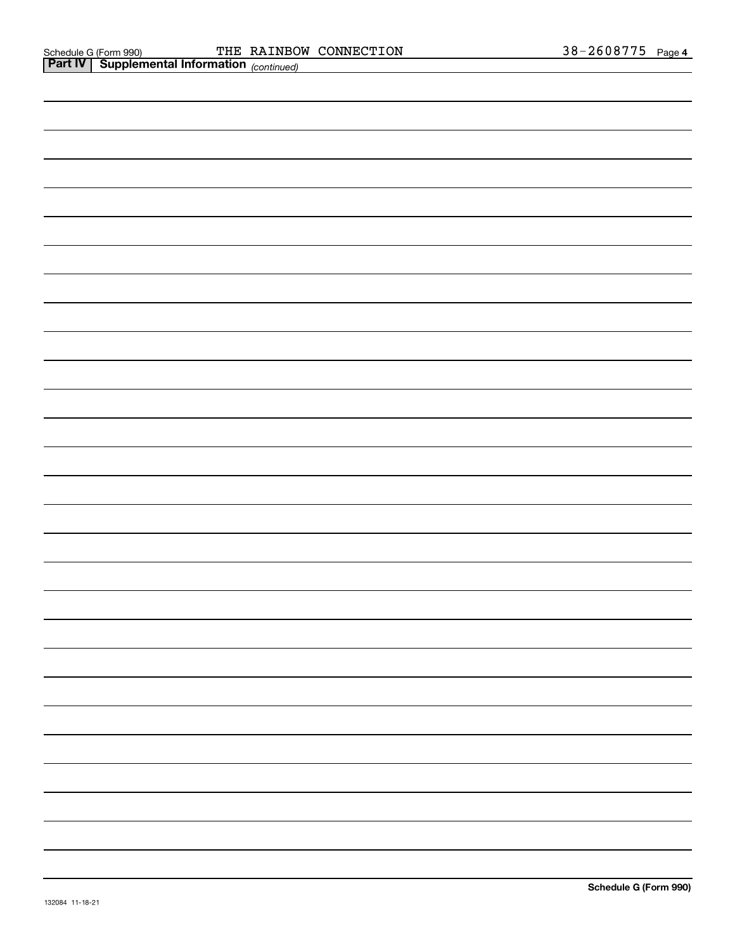| <b>Part IV   Supplemental Information (continued)</b> |  |  |
|-------------------------------------------------------|--|--|
|                                                       |  |  |
|                                                       |  |  |
|                                                       |  |  |
|                                                       |  |  |
|                                                       |  |  |
|                                                       |  |  |
|                                                       |  |  |
|                                                       |  |  |
|                                                       |  |  |
|                                                       |  |  |
|                                                       |  |  |
|                                                       |  |  |
|                                                       |  |  |
|                                                       |  |  |
|                                                       |  |  |
|                                                       |  |  |
|                                                       |  |  |
|                                                       |  |  |
|                                                       |  |  |
|                                                       |  |  |
|                                                       |  |  |
|                                                       |  |  |
|                                                       |  |  |
|                                                       |  |  |
|                                                       |  |  |
|                                                       |  |  |
|                                                       |  |  |
|                                                       |  |  |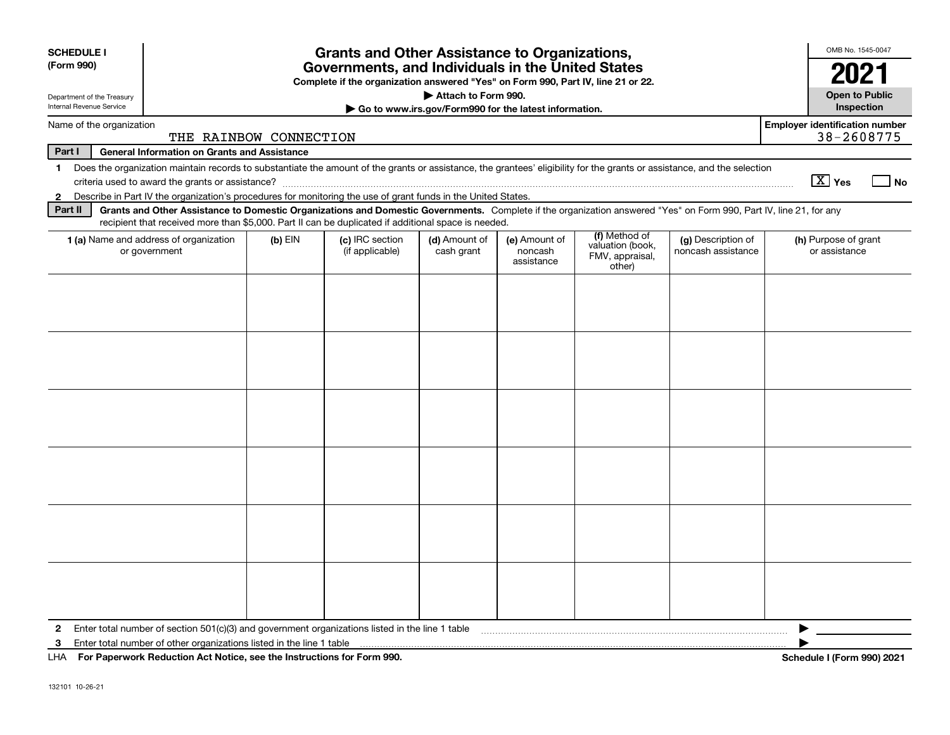| <b>SCHEDULE I</b><br>(Form 990)                                                                                                                                                                                                                                                                             | <b>Grants and Other Assistance to Organizations,</b><br>Governments, and Individuals in the United States |                                                                                                                                                                                                                                                                           |                                                       |                                        |                                                                |                                          |                                                     |  |  |  |  |
|-------------------------------------------------------------------------------------------------------------------------------------------------------------------------------------------------------------------------------------------------------------------------------------------------------------|-----------------------------------------------------------------------------------------------------------|---------------------------------------------------------------------------------------------------------------------------------------------------------------------------------------------------------------------------------------------------------------------------|-------------------------------------------------------|----------------------------------------|----------------------------------------------------------------|------------------------------------------|-----------------------------------------------------|--|--|--|--|
|                                                                                                                                                                                                                                                                                                             |                                                                                                           | Complete if the organization answered "Yes" on Form 990, Part IV, line 21 or 22.                                                                                                                                                                                          |                                                       |                                        |                                                                |                                          | 2021                                                |  |  |  |  |
| Department of the Treasury                                                                                                                                                                                                                                                                                  |                                                                                                           |                                                                                                                                                                                                                                                                           | Attach to Form 990.                                   |                                        |                                                                |                                          | <b>Open to Public</b>                               |  |  |  |  |
| Internal Revenue Service                                                                                                                                                                                                                                                                                    |                                                                                                           |                                                                                                                                                                                                                                                                           | Go to www.irs.gov/Form990 for the latest information. |                                        |                                                                |                                          | Inspection                                          |  |  |  |  |
| Name of the organization                                                                                                                                                                                                                                                                                    | THE RAINBOW CONNECTION                                                                                    |                                                                                                                                                                                                                                                                           |                                                       |                                        |                                                                |                                          | <b>Employer identification number</b><br>38-2608775 |  |  |  |  |
| Part I                                                                                                                                                                                                                                                                                                      | <b>General Information on Grants and Assistance</b>                                                       |                                                                                                                                                                                                                                                                           |                                                       |                                        |                                                                |                                          |                                                     |  |  |  |  |
| Does the organization maintain records to substantiate the amount of the grants or assistance, the grantees' eligibility for the grants or assistance, and the selection<br>$\mathbf{1}$                                                                                                                    |                                                                                                           |                                                                                                                                                                                                                                                                           |                                                       |                                        |                                                                |                                          |                                                     |  |  |  |  |
|                                                                                                                                                                                                                                                                                                             | $\boxed{\text{X}}$ Yes<br>  No                                                                            |                                                                                                                                                                                                                                                                           |                                                       |                                        |                                                                |                                          |                                                     |  |  |  |  |
| 2 Describe in Part IV the organization's procedures for monitoring the use of grant funds in the United States.                                                                                                                                                                                             |                                                                                                           |                                                                                                                                                                                                                                                                           |                                                       |                                        |                                                                |                                          |                                                     |  |  |  |  |
| Part II                                                                                                                                                                                                                                                                                                     |                                                                                                           | Grants and Other Assistance to Domestic Organizations and Domestic Governments. Complete if the organization answered "Yes" on Form 990, Part IV, line 21, for any<br>recipient that received more than \$5,000. Part II can be duplicated if additional space is needed. |                                                       |                                        |                                                                |                                          |                                                     |  |  |  |  |
| <b>1 (a)</b> Name and address of organization<br>or government                                                                                                                                                                                                                                              | $(b)$ EIN                                                                                                 | (c) IRC section<br>(if applicable)                                                                                                                                                                                                                                        | (d) Amount of<br>cash grant                           | (e) Amount of<br>noncash<br>assistance | (f) Method of<br>valuation (book,<br>FMV, appraisal,<br>other) | (g) Description of<br>noncash assistance | (h) Purpose of grant<br>or assistance               |  |  |  |  |
|                                                                                                                                                                                                                                                                                                             |                                                                                                           |                                                                                                                                                                                                                                                                           |                                                       |                                        |                                                                |                                          |                                                     |  |  |  |  |
|                                                                                                                                                                                                                                                                                                             |                                                                                                           |                                                                                                                                                                                                                                                                           |                                                       |                                        |                                                                |                                          |                                                     |  |  |  |  |
|                                                                                                                                                                                                                                                                                                             |                                                                                                           |                                                                                                                                                                                                                                                                           |                                                       |                                        |                                                                |                                          |                                                     |  |  |  |  |
|                                                                                                                                                                                                                                                                                                             |                                                                                                           |                                                                                                                                                                                                                                                                           |                                                       |                                        |                                                                |                                          |                                                     |  |  |  |  |
|                                                                                                                                                                                                                                                                                                             |                                                                                                           |                                                                                                                                                                                                                                                                           |                                                       |                                        |                                                                |                                          |                                                     |  |  |  |  |
| 2 Enter total number of section 501(c)(3) and government organizations listed in the line 1 table [10] content content content and the line in the line 1 table [10] content content content content and content and content a<br>Enter total number of other organizations listed in the line 1 table<br>3 |                                                                                                           |                                                                                                                                                                                                                                                                           |                                                       |                                        |                                                                |                                          | ▶                                                   |  |  |  |  |

**For Paperwork Reduction Act Notice, see the Instructions for Form 990. Schedule I (Form 990) 2021** LHA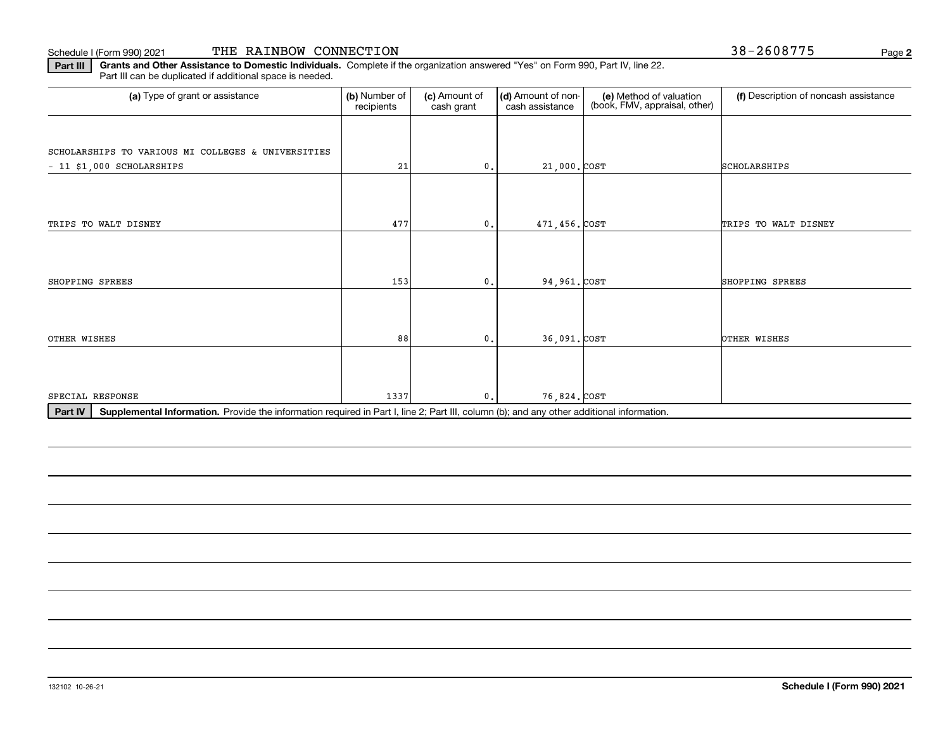#### Schedule I (Form 990) 2021

|  |  | THE RAINBOW CONNECTION |
|--|--|------------------------|
|--|--|------------------------|

**2**

**Part III Grants and Other Assistance to Domestic Individuals.**  Complete if the organization answered "Yes" on Form 990, Part IV, line 22. Part III can be duplicated if additional space is needed.

| (a) Type of grant or assistance                                                                                                                      | (b) Number of<br>recipients | (c) Amount of<br>cash grant | (d) Amount of non-<br>cash assistance | (e) Method of valuation<br>(book, FMV, appraisal, other) | (f) Description of noncash assistance |  |  |  |  |
|------------------------------------------------------------------------------------------------------------------------------------------------------|-----------------------------|-----------------------------|---------------------------------------|----------------------------------------------------------|---------------------------------------|--|--|--|--|
|                                                                                                                                                      |                             |                             |                                       |                                                          |                                       |  |  |  |  |
| SCHOLARSHIPS TO VARIOUS MI COLLEGES & UNIVERSITIES                                                                                                   |                             |                             |                                       |                                                          |                                       |  |  |  |  |
| $-11$ \$1,000 SCHOLARSHIPS                                                                                                                           | 21                          | $\mathbf{0}$ .              | 21,000. COST                          |                                                          | SCHOLARSHIPS                          |  |  |  |  |
|                                                                                                                                                      |                             |                             |                                       |                                                          |                                       |  |  |  |  |
|                                                                                                                                                      |                             |                             |                                       |                                                          |                                       |  |  |  |  |
| TRIPS TO WALT DISNEY                                                                                                                                 | 477                         | $\mathbf{0}$ .              | 471,456. COST                         |                                                          | TRIPS TO WALT DISNEY                  |  |  |  |  |
|                                                                                                                                                      |                             |                             |                                       |                                                          |                                       |  |  |  |  |
|                                                                                                                                                      |                             |                             |                                       |                                                          |                                       |  |  |  |  |
| SHOPPING SPREES                                                                                                                                      | 153                         | $\mathbf{0}$ .              | 94,961. COST                          |                                                          | SHOPPING SPREES                       |  |  |  |  |
|                                                                                                                                                      |                             |                             |                                       |                                                          |                                       |  |  |  |  |
|                                                                                                                                                      |                             |                             |                                       |                                                          |                                       |  |  |  |  |
| OTHER WISHES                                                                                                                                         | 88                          | $\mathbf{0}$ .              | 36,091. COST                          |                                                          | OTHER WISHES                          |  |  |  |  |
|                                                                                                                                                      |                             |                             |                                       |                                                          |                                       |  |  |  |  |
|                                                                                                                                                      |                             |                             |                                       |                                                          |                                       |  |  |  |  |
| SPECIAL RESPONSE                                                                                                                                     | 1337                        | $\mathbf{0}$ .              | 76,824. COST                          |                                                          |                                       |  |  |  |  |
| Part IV<br>Supplemental Information. Provide the information required in Part I, line 2; Part III, column (b); and any other additional information. |                             |                             |                                       |                                                          |                                       |  |  |  |  |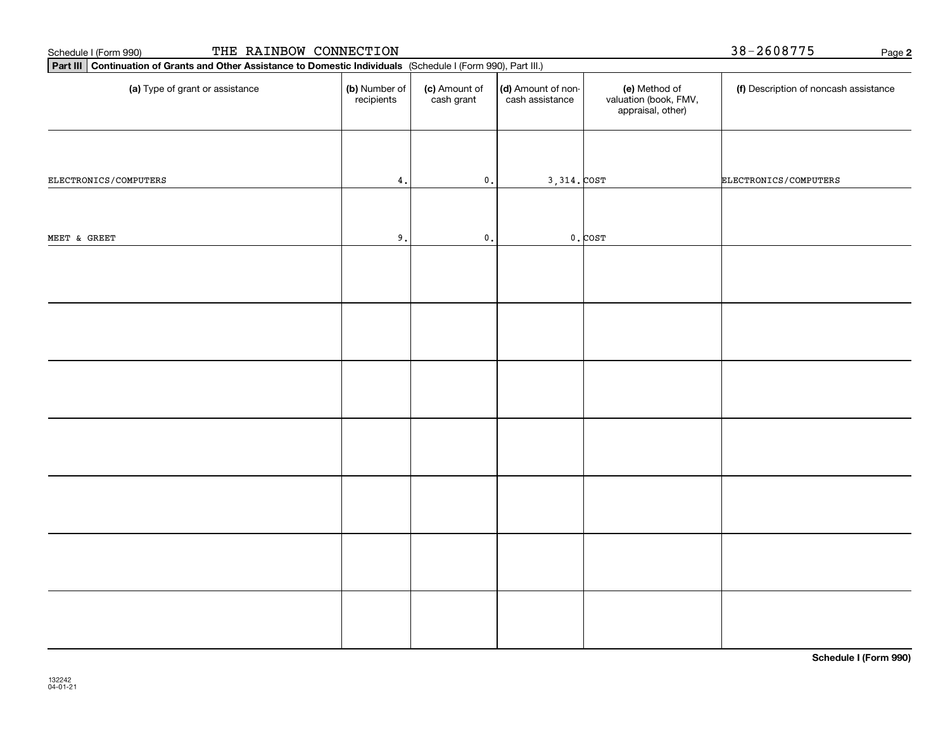| THE RAINBOW CONNECTION<br>Schedule I (Form 990)                                                                 |                             |                             |                                       |                                                             | 38-2608775<br>Page 2                  |
|-----------------------------------------------------------------------------------------------------------------|-----------------------------|-----------------------------|---------------------------------------|-------------------------------------------------------------|---------------------------------------|
| Part III Continuation of Grants and Other Assistance to Domestic Individuals (Schedule I (Form 990), Part III.) |                             |                             |                                       |                                                             |                                       |
| (a) Type of grant or assistance                                                                                 | (b) Number of<br>recipients | (c) Amount of<br>cash grant | (d) Amount of non-<br>cash assistance | (e) Method of<br>valuation (book, FMV,<br>appraisal, other) | (f) Description of noncash assistance |
| ELECTRONICS/COMPUTERS                                                                                           | $\mathtt{4}$ .              | $\mathbf 0$ .               | $3,314.$ COST                         |                                                             | ELECTRONICS/COMPUTERS                 |
|                                                                                                                 |                             |                             |                                       |                                                             |                                       |
| MEET & GREET                                                                                                    | 9.                          | $\mathbf 0$ .               |                                       | $0.$ $COST$                                                 |                                       |
|                                                                                                                 |                             |                             |                                       |                                                             |                                       |
|                                                                                                                 |                             |                             |                                       |                                                             |                                       |
|                                                                                                                 |                             |                             |                                       |                                                             |                                       |
|                                                                                                                 |                             |                             |                                       |                                                             |                                       |
|                                                                                                                 |                             |                             |                                       |                                                             |                                       |
|                                                                                                                 |                             |                             |                                       |                                                             |                                       |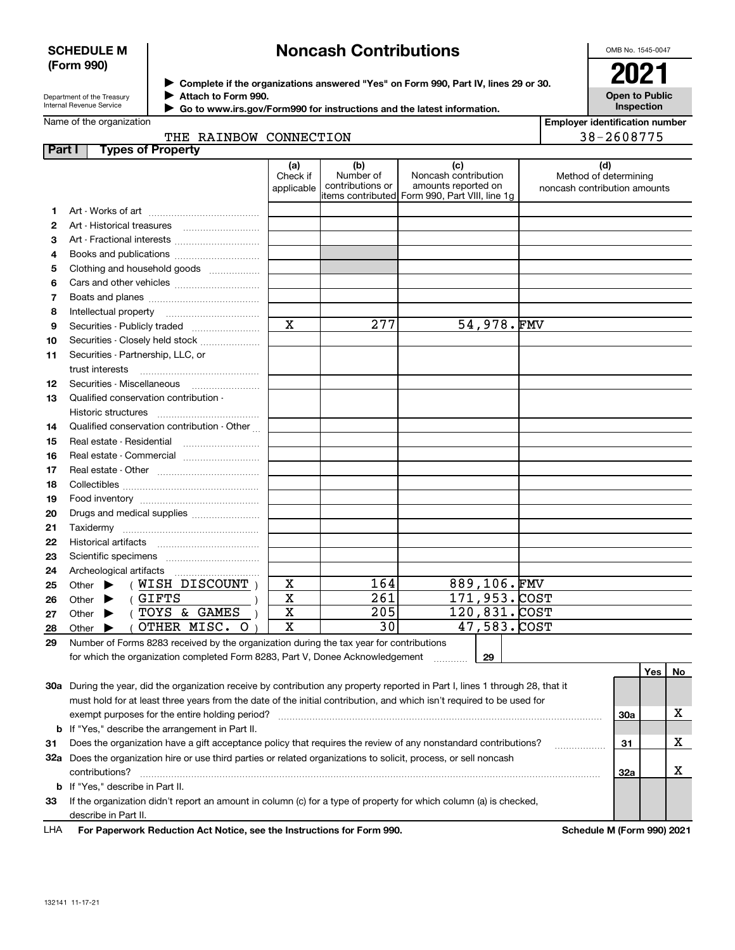### **SCHEDULE M (Form 990)**

# **Noncash Contributions**

OMB No. 1545-0047

| Department of the Treasury      |  |
|---------------------------------|--|
| <b>Internal Revenue Service</b> |  |

**Complete if the organizations answered "Yes" on Form 990, Part IV, lines 29 or 30.** <sup>J</sup>**2021 Attach to Form 990.** J

**Open to Public Inspection**

**Employer identification number**

| Internal Revenue Service | Go to www.irs.gov/Form990 for instructions and the latest information. |
|--------------------------|------------------------------------------------------------------------|
| Name of the organization |                                                                        |

|               | THE RAINBOW CONNECTION                                                                                                         | 38-2608775                    |                                      |                                                                                                      |                                                              |     |     |           |  |
|---------------|--------------------------------------------------------------------------------------------------------------------------------|-------------------------------|--------------------------------------|------------------------------------------------------------------------------------------------------|--------------------------------------------------------------|-----|-----|-----------|--|
| <b>Part I</b> | <b>Types of Property</b>                                                                                                       |                               |                                      |                                                                                                      |                                                              |     |     |           |  |
|               |                                                                                                                                | (a)<br>Check if<br>applicable | (b)<br>Number of<br>contributions or | (c)<br>Noncash contribution<br>amounts reported on<br>items contributed Form 990, Part VIII, line 1g | (d)<br>Method of determining<br>noncash contribution amounts |     |     |           |  |
| 1             |                                                                                                                                |                               |                                      |                                                                                                      |                                                              |     |     |           |  |
| 2             |                                                                                                                                |                               |                                      |                                                                                                      |                                                              |     |     |           |  |
| з             | Art - Fractional interests                                                                                                     |                               |                                      |                                                                                                      |                                                              |     |     |           |  |
| 4             | Books and publications                                                                                                         |                               |                                      |                                                                                                      |                                                              |     |     |           |  |
| 5             | Clothing and household goods                                                                                                   |                               |                                      |                                                                                                      |                                                              |     |     |           |  |
| 6             |                                                                                                                                |                               |                                      |                                                                                                      |                                                              |     |     |           |  |
| 7             |                                                                                                                                |                               |                                      |                                                                                                      |                                                              |     |     |           |  |
| 8             | Intellectual property                                                                                                          |                               |                                      |                                                                                                      |                                                              |     |     |           |  |
| 9             |                                                                                                                                | $\overline{\mathbf{x}}$       | 277                                  | 54,978.FMV                                                                                           |                                                              |     |     |           |  |
| 10            | Securities - Closely held stock                                                                                                |                               |                                      |                                                                                                      |                                                              |     |     |           |  |
| 11            | Securities - Partnership, LLC, or                                                                                              |                               |                                      |                                                                                                      |                                                              |     |     |           |  |
|               | trust interests                                                                                                                |                               |                                      |                                                                                                      |                                                              |     |     |           |  |
| 12            | Securities - Miscellaneous                                                                                                     |                               |                                      |                                                                                                      |                                                              |     |     |           |  |
| 13            | Qualified conservation contribution -                                                                                          |                               |                                      |                                                                                                      |                                                              |     |     |           |  |
|               | Historic structures                                                                                                            |                               |                                      |                                                                                                      |                                                              |     |     |           |  |
| 14            | Qualified conservation contribution - Other                                                                                    |                               |                                      |                                                                                                      |                                                              |     |     |           |  |
| 15            |                                                                                                                                |                               |                                      |                                                                                                      |                                                              |     |     |           |  |
| 16            | Real estate - Commercial                                                                                                       |                               |                                      |                                                                                                      |                                                              |     |     |           |  |
| 17            |                                                                                                                                |                               |                                      |                                                                                                      |                                                              |     |     |           |  |
| 18            |                                                                                                                                |                               |                                      |                                                                                                      |                                                              |     |     |           |  |
| 19            |                                                                                                                                |                               |                                      |                                                                                                      |                                                              |     |     |           |  |
| 20            | Drugs and medical supplies                                                                                                     |                               |                                      |                                                                                                      |                                                              |     |     |           |  |
| 21            |                                                                                                                                |                               |                                      |                                                                                                      |                                                              |     |     |           |  |
| 22            |                                                                                                                                |                               |                                      |                                                                                                      |                                                              |     |     |           |  |
| 23            |                                                                                                                                |                               |                                      |                                                                                                      |                                                              |     |     |           |  |
| 24            | Archeological artifacts                                                                                                        |                               |                                      |                                                                                                      |                                                              |     |     |           |  |
| 25            | $(NISH$ DISCOUNT)<br>Other $\blacktriangleright$                                                                               | X                             | 164                                  | 889,106.FMV                                                                                          |                                                              |     |     |           |  |
| 26            | (GIFTS<br>Other $\blacktriangleright$                                                                                          | X                             | 261                                  | 171,953.COST                                                                                         |                                                              |     |     |           |  |
| 27            | (TOYS & GAMES<br>Other $\blacktriangleright$                                                                                   | X                             | 205                                  | 120,831.COST                                                                                         |                                                              |     |     |           |  |
| 28            | OTHER MISC. O<br>Other $\blacktriangleright$                                                                                   | X                             | 30                                   | 47,583.COST                                                                                          |                                                              |     |     |           |  |
| 29            | Number of Forms 8283 received by the organization during the tax year for contributions                                        |                               |                                      |                                                                                                      |                                                              |     |     |           |  |
|               | for which the organization completed Form 8283, Part V, Donee Acknowledgement                                                  |                               |                                      | 29                                                                                                   |                                                              |     |     |           |  |
|               |                                                                                                                                |                               |                                      |                                                                                                      |                                                              |     | Yes | <b>No</b> |  |
|               | 30a During the year, did the organization receive by contribution any property reported in Part I, lines 1 through 28, that it |                               |                                      |                                                                                                      |                                                              |     |     |           |  |
|               | must hold for at least three years from the date of the initial contribution, and which isn't required to be used for          |                               |                                      |                                                                                                      |                                                              |     |     |           |  |
|               | exempt purposes for the entire holding period?                                                                                 |                               |                                      |                                                                                                      |                                                              |     |     |           |  |
|               | <b>b</b> If "Yes," describe the arrangement in Part II.                                                                        |                               |                                      |                                                                                                      |                                                              |     |     |           |  |
| 31            | Does the organization have a gift acceptance policy that requires the review of any nonstandard contributions?                 |                               |                                      |                                                                                                      |                                                              | 31  |     | х         |  |
|               | 32a Does the organization hire or use third parties or related organizations to solicit, process, or sell noncash              |                               |                                      |                                                                                                      |                                                              |     |     |           |  |
|               | contributions?                                                                                                                 |                               |                                      |                                                                                                      |                                                              | 32a |     | х         |  |
|               | <b>b</b> If "Yes," describe in Part II.                                                                                        |                               |                                      |                                                                                                      |                                                              |     |     |           |  |

**33**If the organization didn't report an amount in column (c) for a type of property for which column (a) is checked, describe in Part II.

**For Paperwork Reduction Act Notice, see the Instructions for Form 990. Schedule M (Form 990) 2021** LHA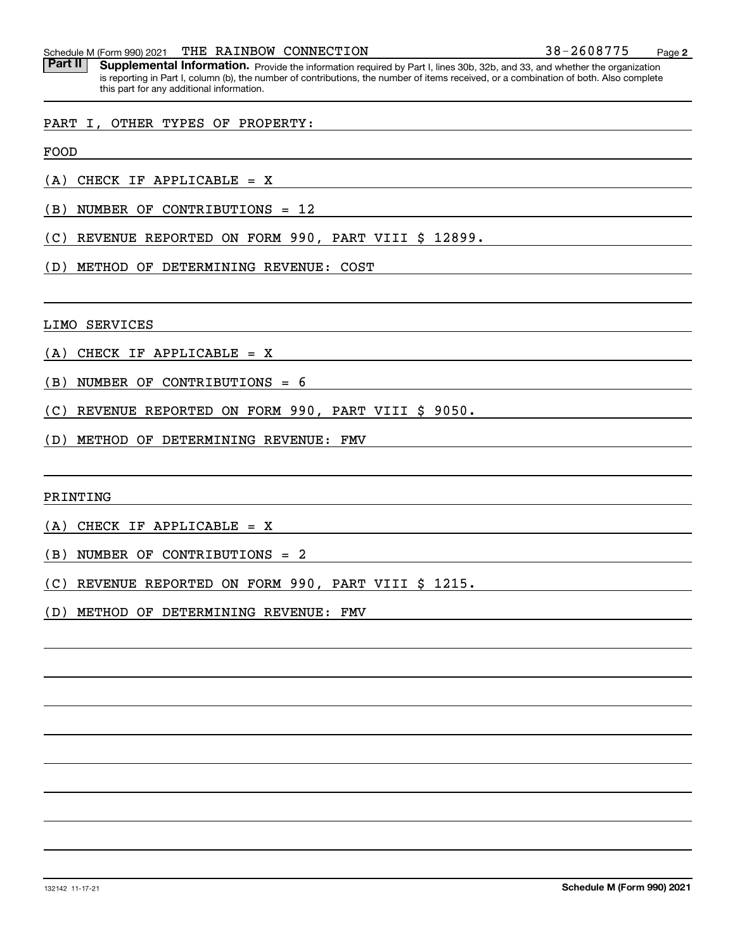Part II | Supplemental Information. Provide the information required by Part I, lines 30b, 32b, and 33, and whether the organization is reporting in Part I, column (b), the number of contributions, the number of items received, or a combination of both. Also complete this part for any additional information.

## PART I, OTHER TYPES OF PROPERTY:

FOOD

(A) CHECK IF APPLICABLE = X

(B) NUMBER OF CONTRIBUTIONS = 12

(C) REVENUE REPORTED ON FORM 990, PART VIII \$ 12899.

(D) METHOD OF DETERMINING REVENUE: COST

LIMO SERVICES

(A) CHECK IF APPLICABLE = X

(B) NUMBER OF CONTRIBUTIONS = 6

(C) REVENUE REPORTED ON FORM 990, PART VIII \$ 9050.

(D) METHOD OF DETERMINING REVENUE: FMV

PRINTING

(A) CHECK IF APPLICABLE = X

(B) NUMBER OF CONTRIBUTIONS = 2

(C) REVENUE REPORTED ON FORM 990, PART VIII \$ 1215.

(D) METHOD OF DETERMINING REVENUE: FMV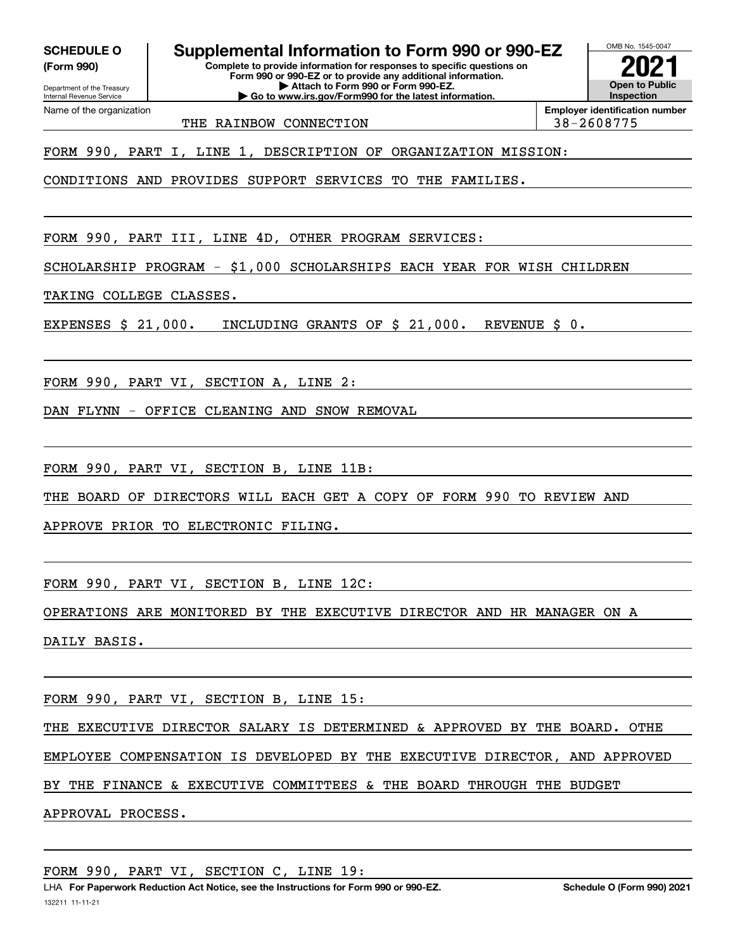**(Form 990)**

Name of the organization

**Complete to provide information for responses to specific questions on SCHEDULE O Supplemental Information to Form 990 or 990-EZ**

Department of the Treasury Internal Revenue Service **Form 990 or 990-EZ or to provide any additional information. | Attach to Form 990 or Form 990-EZ. | Go to www.irs.gov/Form990 for the latest information.**

**Open to Public InspectionEmployer identification number 2021**

OMB No. 1545-0047

THE RAINBOW CONNECTION 188-2608775

FORM 990, PART I, LINE 1, DESCRIPTION OF ORGANIZATION MISSION:

CONDITIONS AND PROVIDES SUPPORT SERVICES TO THE FAMILIES.

FORM 990, PART III, LINE 4D, OTHER PROGRAM SERVICES:

SCHOLARSHIP PROGRAM - \$1,000 SCHOLARSHIPS EACH YEAR FOR WISH CHILDREN

TAKING COLLEGE CLASSES.

EXPENSES \$ 21,000. INCLUDING GRANTS OF \$ 21,000. REVENUE \$ 0.

FORM 990, PART VI, SECTION A, LINE 2:

DAN FLYNN - OFFICE CLEANING AND SNOW REMOVAL

FORM 990, PART VI, SECTION B, LINE 11B:

THE BOARD OF DIRECTORS WILL EACH GET A COPY OF FORM 990 TO REVIEW AND

APPROVE PRIOR TO ELECTRONIC FILING.

FORM 990, PART VI, SECTION B, LINE 12C:

OPERATIONS ARE MONITORED BY THE EXECUTIVE DIRECTOR AND HR MANAGER ON A DAILY BASIS.

FORM 990, PART VI, SECTION B, LINE 15:

THE EXECUTIVE DIRECTOR SALARY IS DETERMINED & APPROVED BY THE BOARD. OTHE

EMPLOYEE COMPENSATION IS DEVELOPED BY THE EXECUTIVE DIRECTOR, AND APPROVED

BY THE FINANCE & EXECUTIVE COMMITTEES & THE BOARD THROUGH THE BUDGET

APPROVAL PROCESS.

FORM 990, PART VI, SECTION C, LINE 19: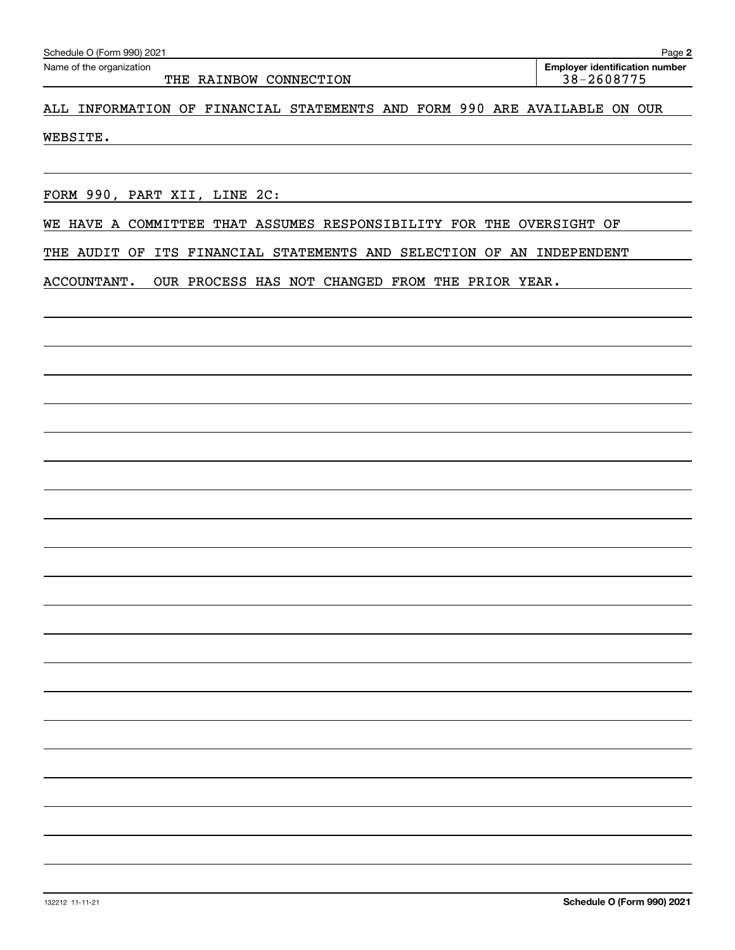THE RAINBOW CONNECTION 188-2608775

**Employer identification number** Schedule O (Form 990) 2021 Page Name of the organization

ALL INFORMATION OF FINANCIAL STATEMENTS AND FORM 990 ARE AVAILABLE ON OUR

WEBSITE.

FORM 990, PART XII, LINE 2C:

WE HAVE A COMMITTEE THAT ASSUMES RESPONSIBILITY FOR THE OVERSIGHT OF

THE AUDIT OF ITS FINANCIAL STATEMENTS AND SELECTION OF AN INDEPENDENT

ACCOUNTANT. OUR PROCESS HAS NOT CHANGED FROM THE PRIOR YEAR.